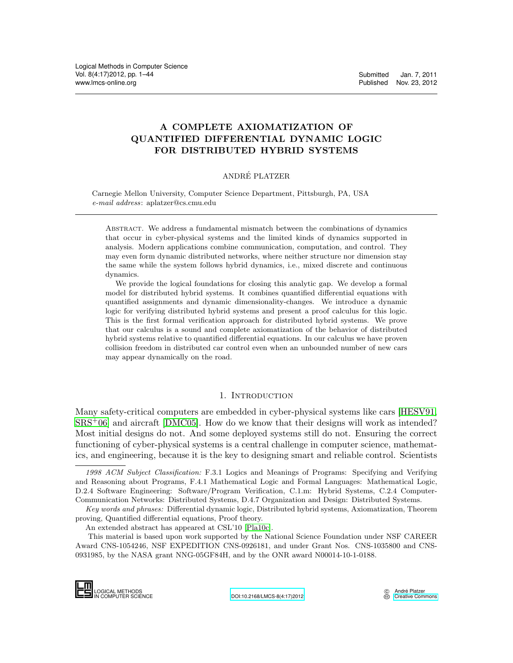# A COMPLETE AXIOMATIZATION OF QUANTIFIED DIFFERENTIAL DYNAMIC LOGIC FOR DISTRIBUTED HYBRID SYSTEMS

## ANDRE PLATZER ´

Carnegie Mellon University, Computer Science Department, Pittsburgh, PA, USA e-mail address: aplatzer@cs.cmu.edu

Abstract. We address a fundamental mismatch between the combinations of dynamics that occur in cyber-physical systems and the limited kinds of dynamics supported in analysis. Modern applications combine communication, computation, and control. They may even form dynamic distributed networks, where neither structure nor dimension stay the same while the system follows hybrid dynamics, i.e., mixed discrete and continuous dynamics.

We provide the logical foundations for closing this analytic gap. We develop a formal model for distributed hybrid systems. It combines quantified differential equations with quantified assignments and dynamic dimensionality-changes. We introduce a dynamic logic for verifying distributed hybrid systems and present a proof calculus for this logic. This is the first formal verification approach for distributed hybrid systems. We prove that our calculus is a sound and complete axiomatization of the behavior of distributed hybrid systems relative to quantified differential equations. In our calculus we have proven collision freedom in distributed car control even when an unbounded number of new cars may appear dynamically on the road.

# 1. INTRODUCTION

<span id="page-0-0"></span>Many safety-critical computers are embedded in cyber-physical systems like cars [\[HESV91,](#page-42-0)  $SRS<sup>+</sup>06$  $SRS<sup>+</sup>06$ ] and aircraft [\[DMC05\]](#page-42-1). How do we know that their designs will work as intended? Most initial designs do not. And some deployed systems still do not. Ensuring the correct functioning of cyber-physical systems is a central challenge in computer science, mathematics, and engineering, because it is the key to designing smart and reliable control. Scientists

IN COMPUTER SCIENCE [DOI:10.2168/LMCS-8\(4:17\)2012](http://dx.doi.org/10.2168/LMCS-8(4:17)2012)

<sup>1998</sup> ACM Subject Classification: F.3.1 Logics and Meanings of Programs: Specifying and Verifying and Reasoning about Programs, F.4.1 Mathematical Logic and Formal Languages: Mathematical Logic, D.2.4 Software Engineering: Software/Program Verification, C.1.m: Hybrid Systems, C.2.4 Computer-Communication Networks: Distributed Systems, D.4.7 Organization and Design: Distributed Systems.

Key words and phrases: Differential dynamic logic, Distributed hybrid systems, Axiomatization, Theorem proving, Quantified differential equations, Proof theory.

An extended abstract has appeared at CSL'10 [\[Pla10c\]](#page-43-1).

This material is based upon work supported by the National Science Foundation under NSF CAREER Award CNS-1054246, NSF EXPEDITION CNS-0926181, and under Grant Nos. CNS-1035800 and CNS-0931985, by the NASA grant NNG-05GF84H, and by the ONR award N00014-10-1-0188. D.2.4 Soliwate Eng<br>Communication Net<br>*Key words and pl*<br>proving, Quantified<br>An extended abs<br>This material is<br>Award CNS-105424<br>0931985, by the NA<br>DOGICAL METHODS<br>COROLAL METHODS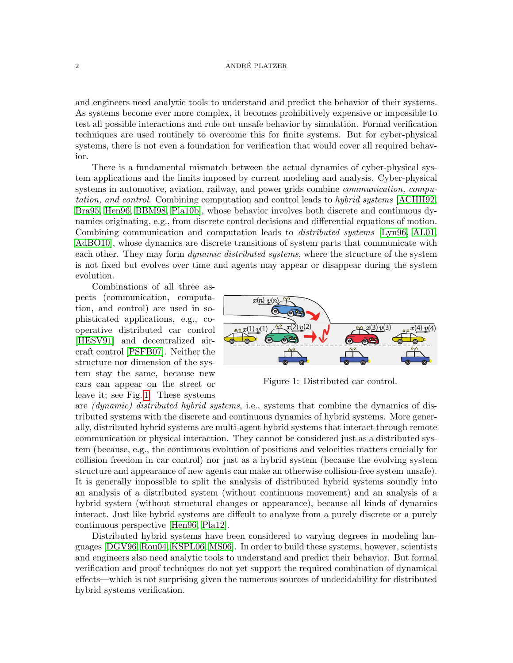and engineers need analytic tools to understand and predict the behavior of their systems. As systems become ever more complex, it becomes prohibitively expensive or impossible to test all possible interactions and rule out unsafe behavior by simulation. Formal verification techniques are used routinely to overcome this for finite systems. But for cyber-physical systems, there is not even a foundation for verification that would cover all required behavior.

There is a fundamental mismatch between the actual dynamics of cyber-physical system applications and the limits imposed by current modeling and analysis. Cyber-physical systems in automotive, aviation, railway, and power grids combine *communication*, *compu*tation, and control. Combining computation and control leads to hybrid systems [\[ACHH92,](#page-42-2) [Bra95,](#page-42-3) [Hen96,](#page-42-4) [BBM98,](#page-42-5) [Pla10b\]](#page-43-2), whose behavior involves both discrete and continuous dynamics originating, e.g., from discrete control decisions and differential equations of motion. Combining communication and computation leads to *distributed systems* [\[Lyn96,](#page-43-3) [AL01,](#page-42-6) [AdBO10\]](#page-42-7), whose dynamics are discrete transitions of system parts that communicate with each other. They may form *dynamic distributed systems*, where the structure of the system is not fixed but evolves over time and agents may appear or disappear during the system evolution.

Combinations of all three aspects (communication, computation, and control) are used in sophisticated applications, e.g., cooperative distributed car control [\[HESV91\]](#page-42-0) and decentralized aircraft control [\[PSFB07\]](#page-43-4). Neither the structure nor dimension of the system stay the same, because new cars can appear on the street or leave it; see Fig. [1.](#page-1-0) These systems



<span id="page-1-0"></span>Figure 1: Distributed car control.

are *(dynamic) distributed hybrid systems, i.e., systems that combine the dynamics of dis*tributed systems with the discrete and continuous dynamics of hybrid systems. More generally, distributed hybrid systems are multi-agent hybrid systems that interact through remote communication or physical interaction. They cannot be considered just as a distributed system (because, e.g., the continuous evolution of positions and velocities matters crucially for collision freedom in car control) nor just as a hybrid system (because the evolving system structure and appearance of new agents can make an otherwise collision-free system unsafe). It is generally impossible to split the analysis of distributed hybrid systems soundly into an analysis of a distributed system (without continuous movement) and an analysis of a hybrid system (without structural changes or appearance), because all kinds of dynamics interact. Just like hybrid systems are diffcult to analyze from a purely discrete or a purely continuous perspective [\[Hen96,](#page-42-4) [Pla12\]](#page-43-5).

Distributed hybrid systems have been considered to varying degrees in modeling languages [\[DGV96,](#page-42-8) [Rou04,](#page-43-6) [KSPL06,](#page-43-7) [MS06\]](#page-43-8). In order to build these systems, however, scientists and engineers also need analytic tools to understand and predict their behavior. But formal verification and proof techniques do not yet support the required combination of dynamical effects—which is not surprising given the numerous sources of undecidability for distributed hybrid systems verification.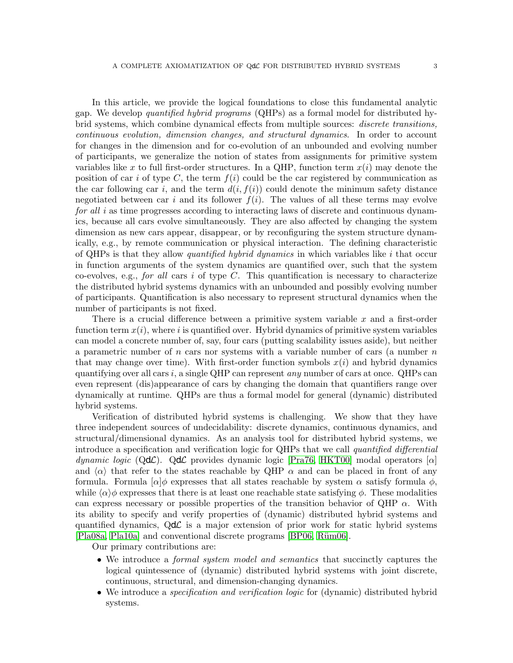In this article, we provide the logical foundations to close this fundamental analytic gap. We develop quantified hybrid programs (QHPs) as a formal model for distributed hybrid systems, which combine dynamical effects from multiple sources: discrete transitions,

continuous evolution, dimension changes, and structural dynamics. In order to account for changes in the dimension and for co-evolution of an unbounded and evolving number of participants, we generalize the notion of states from assignments for primitive system variables like x to full first-order structures. In a QHP, function term  $x(i)$  may denote the position of car i of type C, the term  $f(i)$  could be the car registered by communication as the car following car i, and the term  $d(i, f(i))$  could denote the minimum safety distance negotiated between car i and its follower  $f(i)$ . The values of all these terms may evolve for all i as time progresses according to interacting laws of discrete and continuous dynamics, because all cars evolve simultaneously. They are also affected by changing the system dimension as new cars appear, disappear, or by reconfiguring the system structure dynamically, e.g., by remote communication or physical interaction. The defining characteristic of QHPs is that they allow *quantified hybrid dynamics* in which variables like i that occur in function arguments of the system dynamics are quantified over, such that the system co-evolves, e.g., for all cars i of type C. This quantification is necessary to characterize the distributed hybrid systems dynamics with an unbounded and possibly evolving number of participants. Quantification is also necessary to represent structural dynamics when the number of participants is not fixed.

There is a crucial difference between a primitive system variable x and a first-order function term  $x(i)$ , where i is quantified over. Hybrid dynamics of primitive system variables can model a concrete number of, say, four cars (putting scalability issues aside), but neither a parametric number of n cars nor systems with a variable number of cars (a number  $n$ that may change over time). With first-order function symbols  $x(i)$  and hybrid dynamics quantifying over all cars i, a single QHP can represent any number of cars at once. QHPs can even represent (dis)appearance of cars by changing the domain that quantifiers range over dynamically at runtime. QHPs are thus a formal model for general (dynamic) distributed hybrid systems.

Verification of distributed hybrid systems is challenging. We show that they have three independent sources of undecidability: discrete dynamics, continuous dynamics, and structural/dimensional dynamics. As an analysis tool for distributed hybrid systems, we introduce a specification and verification logic for QHPs that we call quantified differential dynamic logic (QdC). QdC provides dynamic logic [\[Pra76,](#page-43-9) [HKT00\]](#page-42-9) modal operators [ $\alpha$ ] and  $\langle \alpha \rangle$  that refer to the states reachable by QHP  $\alpha$  and can be placed in front of any formula. Formula  $\alpha|\phi$  expresses that all states reachable by system  $\alpha$  satisfy formula  $\phi$ , while  $\langle \alpha \rangle \phi$  expresses that there is at least one reachable state satisfying  $\phi$ . These modalities can express necessary or possible properties of the transition behavior of QHP  $\alpha$ . With its ability to specify and verify properties of (dynamic) distributed hybrid systems and quantified dynamics,  $Qd\mathcal{L}$  is a major extension of prior work for static hybrid systems [\[Pla08a,](#page-43-10) [Pla10a\]](#page-43-11) and conventional discrete programs [\[BP06,](#page-42-10) Rüm06].

Our primary contributions are:

- We introduce a *formal system model and semantics* that succinctly captures the logical quintessence of (dynamic) distributed hybrid systems with joint discrete, continuous, structural, and dimension-changing dynamics.
- We introduce a *specification and verification logic* for (dynamic) distributed hybrid systems.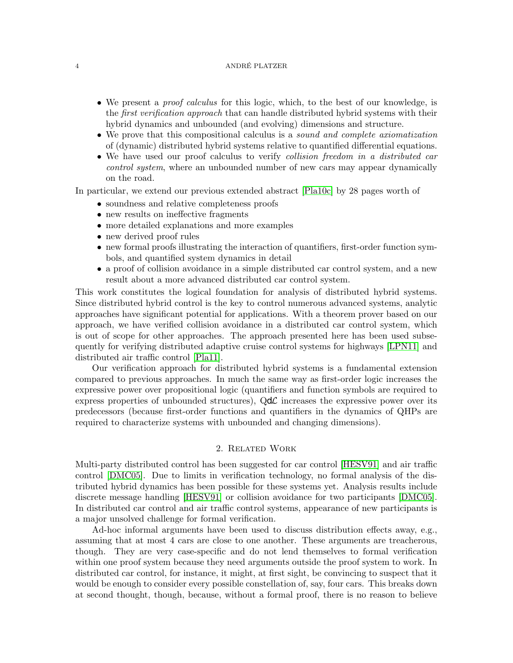- We present a *proof calculus* for this logic, which, to the best of our knowledge, is the first verification approach that can handle distributed hybrid systems with their hybrid dynamics and unbounded (and evolving) dimensions and structure.
- We prove that this compositional calculus is a *sound and complete axiomatization* of (dynamic) distributed hybrid systems relative to quantified differential equations.
- We have used our proof calculus to verify *collision freedom in a distributed car* control system, where an unbounded number of new cars may appear dynamically on the road.

In particular, we extend our previous extended abstract [\[Pla10c\]](#page-43-1) by 28 pages worth of

- soundness and relative completeness proofs
- new results on ineffective fragments
- more detailed explanations and more examples
- new derived proof rules
- new formal proofs illustrating the interaction of quantifiers, first-order function symbols, and quantified system dynamics in detail
- a proof of collision avoidance in a simple distributed car control system, and a new result about a more advanced distributed car control system.

This work constitutes the logical foundation for analysis of distributed hybrid systems. Since distributed hybrid control is the key to control numerous advanced systems, analytic approaches have significant potential for applications. With a theorem prover based on our approach, we have verified collision avoidance in a distributed car control system, which is out of scope for other approaches. The approach presented here has been used subsequently for verifying distributed adaptive cruise control systems for highways [\[LPN11\]](#page-43-13) and distributed air traffic control [\[Pla11\]](#page-43-14).

Our verification approach for distributed hybrid systems is a fundamental extension compared to previous approaches. In much the same way as first-order logic increases the expressive power over propositional logic (quantifiers and function symbols are required to express properties of unbounded structures),  $Qd\mathcal{L}$  increases the expressive power over its predecessors (because first-order functions and quantifiers in the dynamics of QHPs are required to characterize systems with unbounded and changing dimensions).

### 2. Related Work

Multi-party distributed control has been suggested for car control [\[HESV91\]](#page-42-0) and air traffic control [\[DMC05\]](#page-42-1). Due to limits in verification technology, no formal analysis of the distributed hybrid dynamics has been possible for these systems yet. Analysis results include discrete message handling [\[HESV91\]](#page-42-0) or collision avoidance for two participants [\[DMC05\]](#page-42-1). In distributed car control and air traffic control systems, appearance of new participants is a major unsolved challenge for formal verification.

Ad-hoc informal arguments have been used to discuss distribution effects away, e.g., assuming that at most 4 cars are close to one another. These arguments are treacherous, though. They are very case-specific and do not lend themselves to formal verification within one proof system because they need arguments outside the proof system to work. In distributed car control, for instance, it might, at first sight, be convincing to suspect that it would be enough to consider every possible constellation of, say, four cars. This breaks down at second thought, though, because, without a formal proof, there is no reason to believe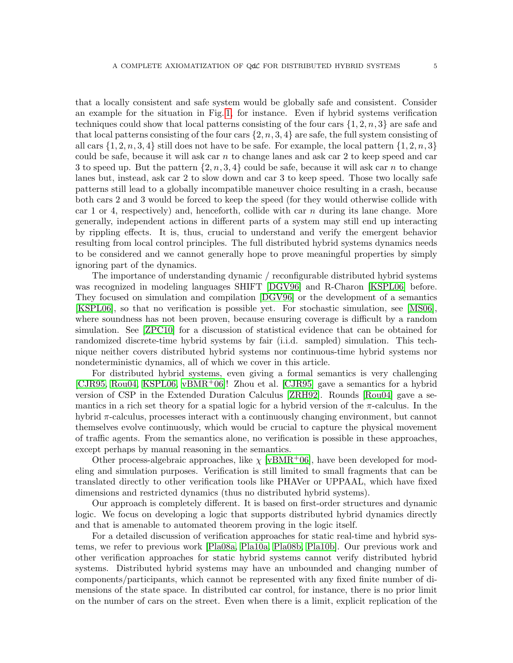that a locally consistent and safe system would be globally safe and consistent. Consider an example for the situation in Fig. [1,](#page-1-0) for instance. Even if hybrid systems verification techniques could show that local patterns consisting of the four cars  $\{1, 2, n, 3\}$  are safe and that local patterns consisting of the four cars  $\{2, n, 3, 4\}$  are safe, the full system consisting of all cars  $\{1, 2, n, 3, 4\}$  still does not have to be safe. For example, the local pattern  $\{1, 2, n, 3\}$ could be safe, because it will ask car  $n$  to change lanes and ask car 2 to keep speed and car 3 to speed up. But the pattern  $\{2, n, 3, 4\}$  could be safe, because it will ask car n to change lanes but, instead, ask car 2 to slow down and car 3 to keep speed. Those two locally safe patterns still lead to a globally incompatible maneuver choice resulting in a crash, because both cars 2 and 3 would be forced to keep the speed (for they would otherwise collide with car 1 or 4, respectively) and, henceforth, collide with car  $n$  during its lane change. More generally, independent actions in different parts of a system may still end up interacting by rippling effects. It is, thus, crucial to understand and verify the emergent behavior resulting from local control principles. The full distributed hybrid systems dynamics needs to be considered and we cannot generally hope to prove meaningful properties by simply ignoring part of the dynamics.

The importance of understanding dynamic / reconfigurable distributed hybrid systems was recognized in modeling languages SHIFT [\[DGV96\]](#page-42-8) and R-Charon [\[KSPL06\]](#page-43-7) before. They focused on simulation and compilation [\[DGV96\]](#page-42-8) or the development of a semantics [\[KSPL06\]](#page-43-7), so that no verification is possible yet. For stochastic simulation, see [\[MS06\]](#page-43-8), where soundness has not been proven, because ensuring coverage is difficult by a random simulation. See [\[ZPC10\]](#page-43-15) for a discussion of statistical evidence that can be obtained for randomized discrete-time hybrid systems by fair (i.i.d. sampled) simulation. This technique neither covers distributed hybrid systems nor continuous-time hybrid systems nor nondeterministic dynamics, all of which we cover in this article.

For distributed hybrid systems, even giving a formal semantics is very challenging [\[CJR95,](#page-42-11) [Rou04,](#page-43-6) [KSPL06,](#page-43-7) [vBMR](#page-43-16)+06]! Zhou et al. [\[CJR95\]](#page-42-11) gave a semantics for a hybrid version of CSP in the Extended Duration Calculus [\[ZRH92\]](#page-43-17). Rounds [\[Rou04\]](#page-43-6) gave a semantics in a rich set theory for a spatial logic for a hybrid version of the  $\pi$ -calculus. In the hybrid  $\pi$ -calculus, processes interact with a continuously changing environment, but cannot themselves evolve continuously, which would be crucial to capture the physical movement of traffic agents. From the semantics alone, no verification is possible in these approaches, except perhaps by manual reasoning in the semantics.

Other process-algebraic approaches, like  $\chi$  [\[vBMR](#page-43-16)<sup>+</sup>06], have been developed for modeling and simulation purposes. Verification is still limited to small fragments that can be translated directly to other verification tools like PHAVer or UPPAAL, which have fixed dimensions and restricted dynamics (thus no distributed hybrid systems).

Our approach is completely different. It is based on first-order structures and dynamic logic. We focus on developing a logic that supports distributed hybrid dynamics directly and that is amenable to automated theorem proving in the logic itself.

For a detailed discussion of verification approaches for static real-time and hybrid systems, we refer to previous work [\[Pla08a,](#page-43-10) [Pla10a,](#page-43-11) [Pla08b,](#page-43-18) [Pla10b\]](#page-43-2). Our previous work and other verification approaches for static hybrid systems cannot verify distributed hybrid systems. Distributed hybrid systems may have an unbounded and changing number of components/participants, which cannot be represented with any fixed finite number of dimensions of the state space. In distributed car control, for instance, there is no prior limit on the number of cars on the street. Even when there is a limit, explicit replication of the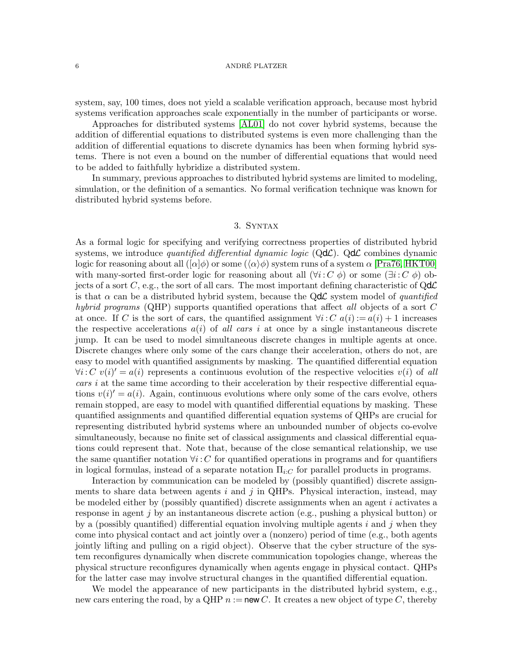system, say, 100 times, does not yield a scalable verification approach, because most hybrid systems verification approaches scale exponentially in the number of participants or worse.

Approaches for distributed systems [\[AL01\]](#page-42-6) do not cover hybrid systems, because the addition of differential equations to distributed systems is even more challenging than the addition of differential equations to discrete dynamics has been when forming hybrid systems. There is not even a bound on the number of differential equations that would need to be added to faithfully hybridize a distributed system.

In summary, previous approaches to distributed hybrid systems are limited to modeling, simulation, or the definition of a semantics. No formal verification technique was known for distributed hybrid systems before.

# 3. Syntax

<span id="page-5-0"></span>As a formal logic for specifying and verifying correctness properties of distributed hybrid systems, we introduce *quantified differential dynamic logic* ( $Qd\mathcal{L}$ ).  $Qd\mathcal{L}$  combines dynamic logic for reasoning about all  $([\alpha]\phi)$  or some  $(\langle \alpha \rangle \phi)$  system runs of a system  $\alpha$  [\[Pra76,](#page-43-9) [HKT00\]](#page-42-9) with many-sorted first-order logic for reasoning about all  $(\forall i: C \phi)$  or some  $(\exists i: C \phi)$  objects of a sort C, e.g., the sort of all cars. The most important defining characteristic of  $Qd\mathcal{L}$ is that  $\alpha$  can be a distributed hybrid system, because the QdC system model of quantified hybrid programs (QHP) supports quantified operations that affect all objects of a sort  $C$ at once. If C is the sort of cars, the quantified assignment  $\forall i: C \ a(i) := a(i) + 1$  increases the respective accelerations  $a(i)$  of all cars i at once by a single instantaneous discrete jump. It can be used to model simultaneous discrete changes in multiple agents at once. Discrete changes where only some of the cars change their acceleration, others do not, are easy to model with quantified assignments by masking. The quantified differential equation  $\forall i: C \ v(i)' = a(i)$  represents a continuous evolution of the respective velocities  $v(i)$  of all cars i at the same time according to their acceleration by their respective differential equations  $v(i)' = a(i)$ . Again, continuous evolutions where only some of the cars evolve, others remain stopped, are easy to model with quantified differential equations by masking. These quantified assignments and quantified differential equation systems of QHPs are crucial for representing distributed hybrid systems where an unbounded number of objects co-evolve simultaneously, because no finite set of classical assignments and classical differential equations could represent that. Note that, because of the close semantical relationship, we use the same quantifier notation  $\forall i: C$  for quantified operations in programs and for quantifiers in logical formulas, instead of a separate notation  $\Pi_{i:C}$  for parallel products in programs.

Interaction by communication can be modeled by (possibly quantified) discrete assignments to share data between agents  $i$  and  $j$  in QHPs. Physical interaction, instead, may be modeled either by (possibly quantified) discrete assignments when an agent i activates a response in agent j by an instantaneous discrete action (e.g., pushing a physical button) or by a (possibly quantified) differential equation involving multiple agents  $i$  and  $j$  when they come into physical contact and act jointly over a (nonzero) period of time (e.g., both agents jointly lifting and pulling on a rigid object). Observe that the cyber structure of the system reconfigures dynamically when discrete communication topologies change, whereas the physical structure reconfigures dynamically when agents engage in physical contact. QHPs for the latter case may involve structural changes in the quantified differential equation.

We model the appearance of new participants in the distributed hybrid system, e.g., new cars entering the road, by a QHP  $n :=$  new C. It creates a new object of type C, thereby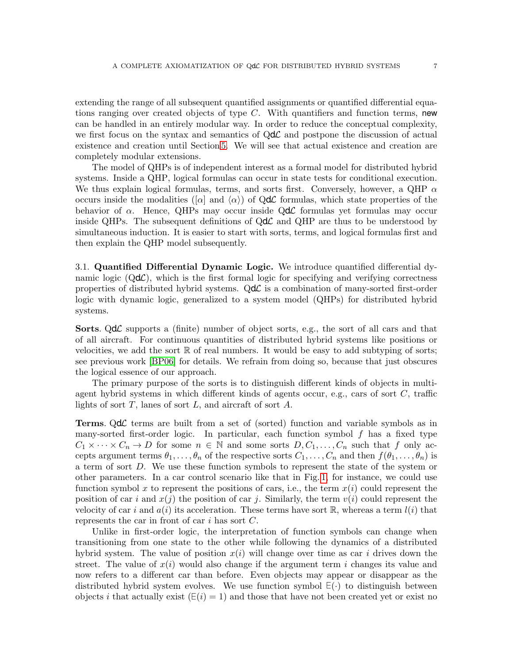extending the range of all subsequent quantified assignments or quantified differential equations ranging over created objects of type  $C$ . With quantifiers and function terms, new can be handled in an entirely modular way. In order to reduce the conceptual complexity, we first focus on the syntax and semantics of  $Qd\mathcal{L}$  and postpone the discussion of actual existence and creation until Section [5.](#page-14-0) We will see that actual existence and creation are completely modular extensions.

The model of QHPs is of independent interest as a formal model for distributed hybrid systems. Inside a QHP, logical formulas can occur in state tests for conditional execution. We thus explain logical formulas, terms, and sorts first. Conversely, however, a QHP  $\alpha$ occurs inside the modalities ([ $\alpha$ ] and  $\langle \alpha \rangle$ ) of QdC formulas, which state properties of the behavior of  $\alpha$ . Hence, QHPs may occur inside Q**d** $\mathcal{L}$  formulas yet formulas may occur inside QHPs. The subsequent definitions of  $Qd\mathcal{L}$  and QHP are thus to be understood by simultaneous induction. It is easier to start with sorts, terms, and logical formulas first and then explain the QHP model subsequently.

3.1. Quantified Differential Dynamic Logic. We introduce quantified differential dynamic logic  $(Qd\mathcal{L})$ , which is the first formal logic for specifying and verifying correctness properties of distributed hybrid systems.  $Qd\mathcal{L}$  is a combination of many-sorted first-order logic with dynamic logic, generalized to a system model (QHPs) for distributed hybrid systems.

**Sorts.** QdC supports a (finite) number of object sorts, e.g., the sort of all cars and that of all aircraft. For continuous quantities of distributed hybrid systems like positions or velocities, we add the sort  $\mathbb R$  of real numbers. It would be easy to add subtyping of sorts; see previous work [\[BP06\]](#page-42-10) for details. We refrain from doing so, because that just obscures the logical essence of our approach.

The primary purpose of the sorts is to distinguish different kinds of objects in multiagent hybrid systems in which different kinds of agents occur, e.g., cars of sort C, traffic lights of sort  $T$ , lanes of sort  $L$ , and aircraft of sort  $A$ .

Terms. QdL terms are built from a set of (sorted) function and variable symbols as in many-sorted first-order logic. In particular, each function symbol  $f$  has a fixed type  $C_1 \times \cdots \times C_n \to D$  for some  $n \in \mathbb{N}$  and some sorts  $D, C_1, \ldots, C_n$  such that f only accepts argument terms  $\theta_1, \ldots, \theta_n$  of the respective sorts  $C_1, \ldots, C_n$  and then  $f(\theta_1, \ldots, \theta_n)$  is a term of sort D. We use these function symbols to represent the state of the system or other parameters. In a car control scenario like that in Fig. [1,](#page-1-0) for instance, we could use function symbol x to represent the positions of cars, i.e., the term  $x(i)$  could represent the position of car i and  $x(j)$  the position of car j. Similarly, the term  $v(i)$  could represent the velocity of car i and  $a(i)$  its acceleration. These terms have sort R, whereas a term  $l(i)$  that represents the car in front of car i has sort  $C$ .

Unlike in first-order logic, the interpretation of function symbols can change when transitioning from one state to the other while following the dynamics of a distributed hybrid system. The value of position  $x(i)$  will change over time as car i drives down the street. The value of  $x(i)$  would also change if the argument term i changes its value and now refers to a different car than before. Even objects may appear or disappear as the distributed hybrid system evolves. We use function symbol <sup>∃</sup> (·) to distinguish between objects *i* that actually exist  $(E(i) = 1)$  and those that have not been created yet or exist no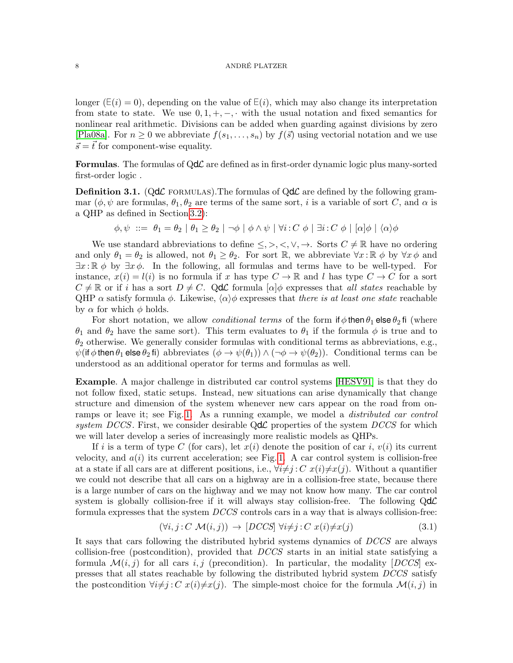longer ( $E(i) = 0$ ), depending on the value of  $E(i)$ , which may also change its interpretation from state to state. We use  $0, 1, +, -, \cdot$  with the usual notation and fixed semantics for nonlinear real arithmetic. Divisions can be added when guarding against divisions by zero [\[Pla08a\]](#page-43-10). For  $n \geq 0$  we abbreviate  $f(s_1, \ldots, s_n)$  by  $f(\vec{s})$  using vectorial notation and we use  $\vec{s} = \vec{t}$  for component-wise equality.

**Formulas.** The formulas of  $Qd\mathcal{L}$  are defined as in first-order dynamic logic plus many-sorted first-order logic .

**Definition 3.1.** (QdC FORMULAS). The formulas of QdC are defined by the following grammar ( $\phi, \psi$  are formulas,  $\theta_1, \theta_2$  are terms of the same sort, i is a variable of sort C, and  $\alpha$  is a QHP as defined in Section [3.2\)](#page-8-0):

$$
\phi, \psi \ ::= \ \theta_1 = \theta_2 \mid \theta_1 \ge \theta_2 \mid \neg \phi \mid \phi \land \psi \mid \forall i : C \phi \mid \exists i : C \phi \mid [\alpha] \phi \mid \langle \alpha \rangle \phi
$$

We use standard abbreviations to define  $\leq,>,<,\vee,\rightarrow$ . Sorts  $C\neq\mathbb{R}$  have no ordering and only  $\theta_1 = \theta_2$  is allowed, not  $\theta_1 \ge \theta_2$ . For sort R, we abbreviate  $\forall x : \mathbb{R} \phi$  by  $\forall x \phi$  and  $\exists x : \mathbb{R} \phi$  by  $\exists x \phi$ . In the following, all formulas and terms have to be well-typed. For instance,  $x(i) = l(i)$  is no formula if x has type  $C \to \mathbb{R}$  and l has type  $C \to C$  for a sort  $C \neq \mathbb{R}$  or if i has a sort  $D \neq C$ . QdC formula  $[\alpha]\phi$  expresses that all states reachable by QHP  $\alpha$  satisfy formula  $\phi$ . Likewise,  $\langle \alpha \rangle \phi$  expresses that there is at least one state reachable by  $\alpha$  for which  $\phi$  holds.

For short notation, we allow *conditional terms* of the form if  $\phi$  then  $\theta_1$  else  $\theta_2$  fi (where  $θ_1$  and  $θ_2$  have the same sort). This term evaluates to  $θ_1$  if the formula  $φ$  is true and to  $\theta_2$  otherwise. We generally consider formulas with conditional terms as abbreviations, e.g.,  $\psi$ (if  $\phi$  then  $\theta_1$  else  $\theta_2$  fi) abbreviates  $(\phi \to \psi(\theta_1)) \wedge (\neg \phi \to \psi(\theta_2))$ . Conditional terms can be understood as an additional operator for terms and formulas as well.

Example. A major challenge in distributed car control systems [\[HESV91\]](#page-42-0) is that they do not follow fixed, static setups. Instead, new situations can arise dynamically that change structure and dimension of the system whenever new cars appear on the road from on-ramps or leave it; see Fig. [1.](#page-1-0) As a running example, we model a *distributed car control* system DCCS. First, we consider desirable  $Qd\mathcal{L}$  properties of the system DCCS for which we will later develop a series of increasingly more realistic models as QHPs.

If i is a term of type C (for cars), let  $x(i)$  denote the position of car i,  $v(i)$  its current velocity, and  $a(i)$  its current acceleration; see Fig. [1.](#page-1-0) A car control system is collision-free at a state if all cars are at different positions, i.e.,  $\forall i \neq j : C \ x(i) \neq x(j)$ . Without a quantifier we could not describe that all cars on a highway are in a collision-free state, because there is a large number of cars on the highway and we may not know how many. The car control system is globally collision-free if it will always stay collision-free. The following  $Qd\mathcal{L}$ formula expresses that the system  $DCCS$  controls cars in a way that is always collision-free:

<span id="page-7-0"></span>
$$
(\forall i, j: C \mathcal{M}(i, j)) \to [DCCS] \ \forall i \neq j: C \ x(i) \neq x(j)
$$
\n
$$
(3.1)
$$

It says that cars following the distributed hybrid systems dynamics of DCCS are always collision-free (postcondition), provided that DCCS starts in an initial state satisfying a formula  $\mathcal{M}(i, j)$  for all cars i, j (precondition). In particular, the modality  $[DCCS]$  expresses that all states reachable by following the distributed hybrid system DCCS satisfy the postcondition  $\forall i\neq j$ : C  $x(i)\neq x(j)$ . The simple-most choice for the formula  $\mathcal{M}(i, j)$  in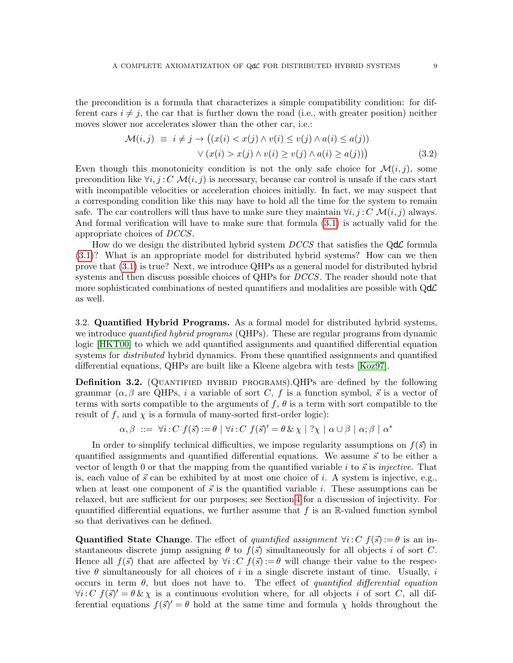the precondition is a formula that characterizes a simple compatibility condition: for different cars  $i \neq j$ , the car that is further down the road (i.e., with greater position) neither moves slower nor accelerates slower than the other car, i.e.:

<span id="page-8-1"></span>
$$
\mathcal{M}(i,j) \equiv i \neq j \rightarrow ((x(i) < x(j) \land v(i) \leq v(j) \land a(i) \leq a(j)) \lor (x(i) > x(j) \land v(i) \geq v(j) \land a(i) \geq a(j)))
$$
\n
$$
(3.2)
$$

Even though this monotonicity condition is not the only safe choice for  $\mathcal{M}(i, j)$ , some precondition like  $\forall i, j : C \mathcal{M}(i, j)$  is necessary, because car control is unsafe if the cars start with incompatible velocities or acceleration choices initially. In fact, we may suspect that a corresponding condition like this may have to hold all the time for the system to remain safe. The car controllers will thus have to make sure they maintain  $\forall i, j : C \mathcal{M}(i, j)$  always. And formal verification will have to make sure that formula [\(3.1\)](#page-7-0) is actually valid for the appropriate choices of DCCS.

How do we design the distributed hybrid system  $DCCS$  that satisfies the Q $d\mathcal{L}$  formula [\(3.1\)](#page-7-0)? What is an appropriate model for distributed hybrid systems? How can we then prove that [\(3.1\)](#page-7-0) is true? Next, we introduce QHPs as a general model for distributed hybrid systems and then discuss possible choices of QHPs for *DCCS*. The reader should note that more sophisticated combinations of nested quantifiers and modalities are possible with  $Qd\mathcal{L}$ as well.

<span id="page-8-0"></span>3.2. Quantified Hybrid Programs. As a formal model for distributed hybrid systems, we introduce *quantified hybrid programs* (QHPs). These are regular programs from dynamic logic [\[HKT00\]](#page-42-9) to which we add quantified assignments and quantified differential equation systems for *distributed* hybrid dynamics. From these quantified assignments and quantified differential equations, QHPs are built like a Kleene algebra with tests [\[Koz97\]](#page-43-19).

**Definition 3.2.** (QUANTIFIED HYBRID PROGRAMS).QHPs are defined by the following grammar  $(\alpha, \beta$  are QHPs, i a variable of sort C, f is a function symbol,  $\vec{s}$  is a vector of terms with sorts compatible to the arguments of f,  $\theta$  is a term with sort compatible to the result of f, and  $\chi$  is a formula of many-sorted first-order logic):

$$
\alpha, \beta \ ::= \ \forall i : C \ f(\vec{s}) := \theta \mid \forall i : C \ f(\vec{s})' = \theta \& \chi \mid ?\chi \mid \alpha \cup \beta \mid \alpha; \beta \mid \alpha^*
$$

In order to simplify technical difficulties, we impose regularity assumptions on  $f(\vec{s})$  in quantified assignments and quantified differential equations. We assume  $\vec{s}$  to be either a vector of length 0 or that the mapping from the quantified variable i to  $\vec{s}$  is injective. That is, each value of  $\vec{s}$  can be exhibited by at most one choice of i. A system is injective, e.g., when at least one component of  $\vec{s}$  is the quantified variable i. These assumptions can be relaxed, but are sufficient for our purposes; see Section [4](#page-12-0) for a discussion of injectivity. For quantified differential equations, we further assume that  $f$  is an R-valued function symbol so that derivatives can be defined.

**Quantified State Change**. The effect of quantified assignment  $\forall i: C \; f(\vec{s}) := \theta$  is an instantaneous discrete jump assigning  $\theta$  to  $f(\vec{s})$  simultaneously for all objects i of sort C. Hence all  $f(\vec{s})$  that are affected by  $\forall i: C \; f(\vec{s}) := \theta$  will change their value to the respective  $\theta$  simultaneously for all choices of i in a single discrete instant of time. Usually, i occurs in term  $\theta$ , but does not have to. The effect of quantified differential equation  $\forall i: C \ f(\vec{s})' = \theta \& \chi$  is a continuous evolution where, for all objects i of sort C, all differential equations  $f(\vec{s})' = \theta$  hold at the same time and formula  $\chi$  holds throughout the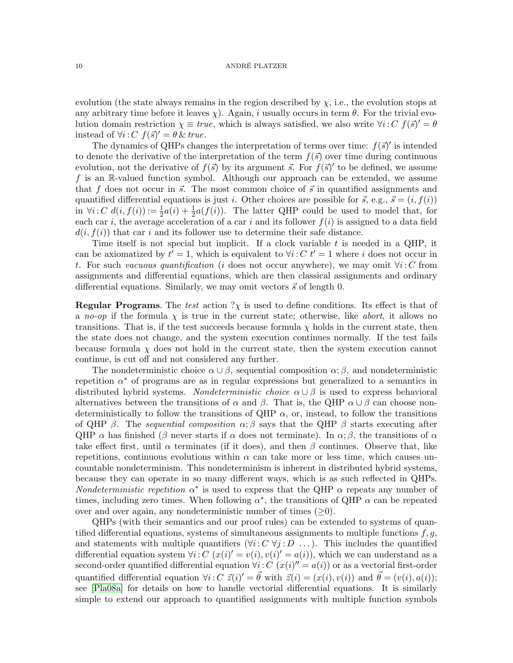evolution (the state always remains in the region described by  $\chi$ , i.e., the evolution stops at any arbitrary time before it leaves  $\chi$ ). Again, i usually occurs in term  $\theta$ . For the trivial evolution domain restriction  $\chi \equiv true$ , which is always satisfied, we also write  $\forall i: C \; f(\vec{s})' = \theta$ instead of  $\forall i: C \ f(\vec{s})' = \theta \ \& \ true.$ 

The dynamics of QHPs changes the interpretation of terms over time:  $f(\vec{s})'$  is intended to denote the derivative of the interpretation of the term  $f(\vec{s})$  over time during continuous evolution, not the derivative of  $f(\vec{s})$  by its argument  $\vec{s}$ . For  $\vec{f}(\vec{s})'$  to be defined, we assume f is an R-valued function symbol. Although our approach can be extended, we assume that f does not occur in  $\vec{s}$ . The most common choice of  $\vec{s}$  in quantified assignments and quantified differential equations is just i. Other choices are possible for  $\vec{s}$ , e.g.,  $\vec{s} = (i, f(i))$ in  $\forall i: C \ d(i, f(i)) := \frac{1}{2}a(i) + \frac{1}{2}a(f(i))$ . The latter QHP could be used to model that, for each car i, the average acceleration of a car i and its follower  $f(i)$  is assigned to a data field  $d(i, f(i))$  that car i and its follower use to determine their safe distance.

Time itself is not special but implicit. If a clock variable  $t$  is needed in a QHP, it can be axiomatized by  $t' = 1$ , which is equivalent to  $\forall i: C \; t' = 1$  where i does not occur in t. For such vacuous quantification (i does not occur anywhere), we may omit  $\forall i: C$  from assignments and differential equations, which are then classical assignments and ordinary differential equations. Similarly, we may omit vectors  $\vec{s}$  of length 0.

**Regular Programs.** The test action  $\gamma_{\chi}$  is used to define conditions. Its effect is that of a no-op if the formula  $\chi$  is true in the current state; otherwise, like abort, it allows no transitions. That is, if the test succeeds because formula  $\chi$  holds in the current state, then the state does not change, and the system execution continues normally. If the test fails because formula  $\chi$  does not hold in the current state, then the system execution cannot continue, is cut off and not considered any further.

The nondeterministic choice  $\alpha \cup \beta$ , sequential composition  $\alpha; \beta$ , and nondeterministic repetition  $\alpha^*$  of programs are as in regular expressions but generalized to a semantics in distributed hybrid systems. Nondeterministic choice  $\alpha \cup \beta$  is used to express behavioral alternatives between the transitions of  $\alpha$  and  $\beta$ . That is, the QHP  $\alpha \cup \beta$  can choose nondeterministically to follow the transitions of QHP  $\alpha$ , or, instead, to follow the transitions of QHP  $\beta$ . The sequential composition  $\alpha$ ;  $\beta$  says that the QHP  $\beta$  starts executing after QHP  $\alpha$  has finished ( $\beta$  never starts if  $\alpha$  does not terminate). In  $\alpha$ ;  $\beta$ , the transitions of  $\alpha$ take effect first, until  $\alpha$  terminates (if it does), and then  $\beta$  continues. Observe that, like repetitions, continuous evolutions within  $\alpha$  can take more or less time, which causes uncountable nondeterminism. This nondeterminism is inherent in distributed hybrid systems, because they can operate in so many different ways, which is as such reflected in QHPs. Nondeterministic repetition  $\alpha^*$  is used to express that the QHP  $\alpha$  repeats any number of times, including zero times. When following  $\alpha^*$ , the transitions of QHP  $\alpha$  can be repeated over and over again, any nondeterministic number of times  $(\geq 0)$ .

QHPs (with their semantics and our proof rules) can be extended to systems of quantified differential equations, systems of simultaneous assignments to multiple functions  $f, g$ , and statements with multiple quantifiers  $(\forall i: C \forall j: D \dots)$ . This includes the quantified differential equation system  $\forall i: C \ (x(i)' = v(i), v(i)' = a(i)),$  which we can understand as a second-order quantified differential equation  $\forall i: C \ (x(i)^{\prime\prime} = a(i))$  or as a vectorial first-order quantified differential equation  $\forall i: C \ \vec{z}(i)' = \vec{\theta}$  with  $\vec{z}(i) = (x(i), v(i))$  and  $\vec{\theta} = (v(i), a(i));$ see [\[Pla08a\]](#page-43-10) for details on how to handle vectorial differential equations. It is similarly simple to extend our approach to quantified assignments with multiple function symbols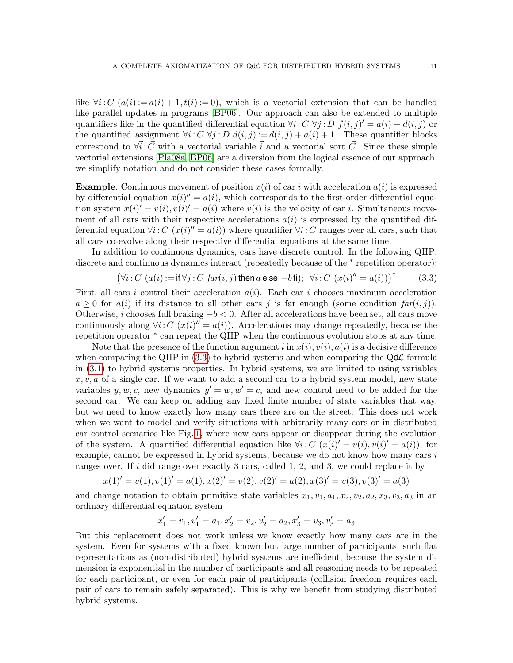like  $\forall i: C \ (a(i) := a(i) + 1, t(i) := 0)$ , which is a vectorial extension that can be handled like parallel updates in programs [\[BP06\]](#page-42-10). Our approach can also be extended to multiple quantifiers like in the quantified differential equation  $\forall i: C \ \forall j: D \ f(i, j)' = a(i) - d(i, j)$  or the quantified assignment  $\forall i: C \ \forall j: D \ d(i, j) := d(i, j) + a(i) + 1$ . These quantifier blocks correspond to  $\forall \vec{i}:\vec{C}$  with a vectorial variable  $\vec{i}$  and a vectorial sort  $\vec{C}$ . Since these simple vectorial extensions [\[Pla08a,](#page-43-10) [BP06\]](#page-42-10) are a diversion from the logical essence of our approach, we simplify notation and do not consider these cases formally.

**Example.** Continuous movement of position  $x(i)$  of car i with acceleration  $a(i)$  is expressed by differential equation  $x(i)'' = a(i)$ , which corresponds to the first-order differential equation system  $x(i)' = v(i), v(i)' = a(i)$  where  $v(i)$  is the velocity of car *i*. Simultaneous movement of all cars with their respective accelerations  $a(i)$  is expressed by the quantified differential equation  $\forall i: C \ (x(i)^{''}=a(i))$  where quantifier  $\forall i: C$  ranges over all cars, such that all cars co-evolve along their respective differential equations at the same time.

In addition to continuous dynamics, cars have discrete control. In the following QHP, discrete and continuous dynamics interact (repeatedly because of the <sup>∗</sup> repetition operator):

<span id="page-10-0"></span>
$$
(\forall i:C (a(i) := \text{if } \forall j:C \text{ far}(i, j) \text{ then } a \text{ else } -b \text{ fi}); \forall i:C (x(i)^{\prime\prime} = a(i)))^*
$$
(3.3)

First, all cars i control their acceleration  $a(i)$ . Each car i chooses maximum acceleration  $a \geq 0$  for  $a(i)$  if its distance to all other cars j is far enough (some condition  $far(i, j)$ ). Otherwise, i chooses full braking  $-b < 0$ . After all accelerations have been set, all cars move continuously along  $\forall i: C \ (x(i)'' = a(i))$ . Accelerations may change repeatedly, because the repetition operator  $*$  can repeat the QHP when the continuous evolution stops at any time.

Note that the presence of the function argument i in  $x(i)$ ,  $v(i)$ ,  $a(i)$  is a decisive difference when comparing the QHP in  $(3.3)$  to hybrid systems and when comparing the QdL formula in [\(3.1\)](#page-7-0) to hybrid systems properties. In hybrid systems, we are limited to using variables  $x, v, a$  of a single car. If we want to add a second car to a hybrid system model, new state variables  $y, w, c$ , new dynamics  $y' = w, w' = c$ , and new control need to be added for the second car. We can keep on adding any fixed finite number of state variables that way, but we need to know exactly how many cars there are on the street. This does not work when we want to model and verify situations with arbitrarily many cars or in distributed car control scenarios like Fig. [1,](#page-1-0) where new cars appear or disappear during the evolution of the system. A quantified differential equation like  $\forall i: C \ (x(i)' = v(i), v(i)' = a(i))$ , for example, cannot be expressed in hybrid systems, because we do not know how many cars  $i$ ranges over. If i did range over exactly 3 cars, called 1, 2, and 3, we could replace it by

$$
x(1)' = v(1), v(1)' = a(1), x(2)' = v(2), v(2)' = a(2), x(3)' = v(3), v(3)' = a(3)
$$

and change notation to obtain primitive state variables  $x_1, v_1, a_1, x_2, v_2, a_2, x_3, v_3, a_3$  in an ordinary differential equation system

$$
x_1'=v_1, v_1'=a_1, x_2'=v_2, v_2'=a_2, x_3'=v_3, v_3'=a_3
$$

But this replacement does not work unless we know exactly how many cars are in the system. Even for systems with a fixed known but large number of participants, such flat representations as (non-distributed) hybrid systems are inefficient, because the system dimension is exponential in the number of participants and all reasoning needs to be repeated for each participant, or even for each pair of participants (collision freedom requires each pair of cars to remain safely separated). This is why we benefit from studying distributed hybrid systems.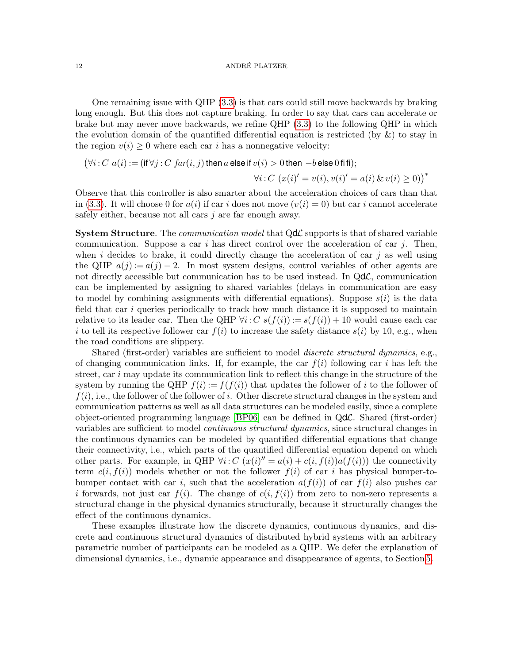One remaining issue with QHP [\(3.3\)](#page-10-0) is that cars could still move backwards by braking long enough. But this does not capture braking. In order to say that cars can accelerate or brake but may never move backwards, we refine QHP [\(3.3\)](#page-10-0) to the following QHP in which the evolution domain of the quantified differential equation is restricted (by  $\&$ ) to stay in the region  $v(i) \geq 0$  where each car i has a nonnegative velocity:

$$
(\forall i : C \ a(i) := (\text{if } \forall j : C \ \text{far}(i, j) \text{ then } a \text{ else if } v(i) > 0 \text{ then } -b \text{ else } 0 \text{ if } \text{if});
$$

$$
\forall i : C \ (x(i)' = v(i), v(i)' = a(i) \ \& \ v(i) \ge 0))^\ast
$$

Observe that this controller is also smarter about the acceleration choices of cars than that in [\(3.3\)](#page-10-0). It will choose 0 for  $a(i)$  if car i does not move  $(v(i) = 0)$  but car i cannot accelerate safely either, because not all cars j are far enough away.

**System Structure**. The *communication model* that  $Qd\mathcal{L}$  supports is that of shared variable communication. Suppose a car i has direct control over the acceleration of car j. Then, when i decides to brake, it could directly change the acceleration of car j as well using the QHP  $a(j) := a(j) - 2$ . In most system designs, control variables of other agents are not directly accessible but communication has to be used instead. In  $Qd\mathcal{L}$ , communication can be implemented by assigning to shared variables (delays in communication are easy to model by combining assignments with differential equations). Suppose  $s(i)$  is the data field that car  $i$  queries periodically to track how much distance it is supposed to maintain relative to its leader car. Then the QHP  $\forall i: C \; s(f(i)) := s(f(i)) + 10$  would cause each car i to tell its respective follower car  $f(i)$  to increase the safety distance  $s(i)$  by 10, e.g., when the road conditions are slippery.

Shared (first-order) variables are sufficient to model *discrete structural dynamics*, e.g., of changing communication links. If, for example, the car  $f(i)$  following car i has left the street, car  $i$  may update its communication link to reflect this change in the structure of the system by running the QHP  $f(i) := f(f(i))$  that updates the follower of i to the follower of  $f(i)$ , i.e., the follower of the follower of i. Other discrete structural changes in the system and communication patterns as well as all data structures can be modeled easily, since a complete object-oriented programming language [\[BP06\]](#page-42-10) can be defined in QdL. Shared (first-order) variables are sufficient to model continuous structural dynamics, since structural changes in the continuous dynamics can be modeled by quantified differential equations that change their connectivity, i.e., which parts of the quantified differential equation depend on which other parts. For example, in QHP  $\forall i: C \ (x(i)^{\prime\prime} = a(i) + c(i, f(i))a(f(i))$  the connectivity term  $c(i, f(i))$  models whether or not the follower  $f(i)$  of car i has physical bumper-tobumper contact with car i, such that the acceleration  $a(f(i))$  of car  $f(i)$  also pushes car i forwards, not just car  $f(i)$ . The change of  $c(i, f(i))$  from zero to non-zero represents a structural change in the physical dynamics structurally, because it structurally changes the effect of the continuous dynamics.

These examples illustrate how the discrete dynamics, continuous dynamics, and discrete and continuous structural dynamics of distributed hybrid systems with an arbitrary parametric number of participants can be modeled as a QHP. We defer the explanation of dimensional dynamics, i.e., dynamic appearance and disappearance of agents, to Section [5.](#page-14-0)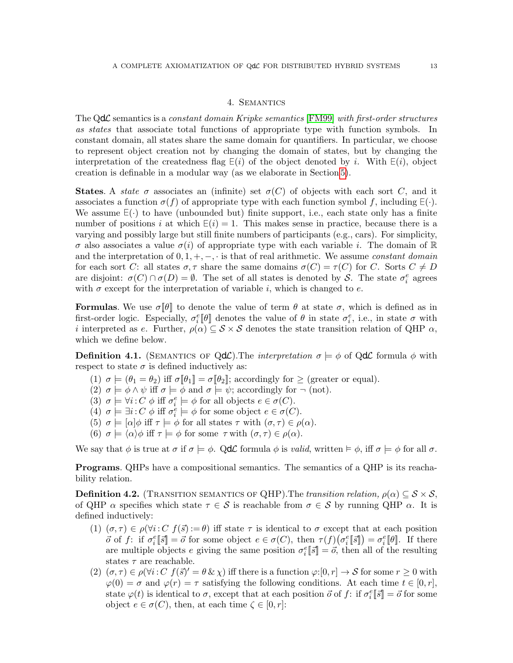# 4. Semantics

<span id="page-12-0"></span>The QdC semantics is a constant domain Kripke semantics [\[FM99\]](#page-42-12) with first-order structures as states that associate total functions of appropriate type with function symbols. In constant domain, all states share the same domain for quantifiers. In particular, we choose to represent object creation not by changing the domain of states, but by changing the interpretation of the createdness flag  $E(i)$  of the object denoted by i. With  $E(i)$ , object creation is definable in a modular way (as we elaborate in Section [5\)](#page-14-0).

**States.** A state  $\sigma$  associates an (infinite) set  $\sigma(C)$  of objects with each sort C, and it associates a function  $\sigma(f)$  of appropriate type with each function symbol f, including  $E(\cdot)$ . We assume  $E(\cdot)$  to have (unbounded but) finite support, i.e., each state only has a finite number of positions i at which  $E(i) = 1$ . This makes sense in practice, because there is a varying and possibly large but still finite numbers of participants (e.g., cars). For simplicity,  $\sigma$  also associates a value  $\sigma(i)$  of appropriate type with each variable i. The domain of R and the interpretation of  $0, 1, +, -, \cdot$  is that of real arithmetic. We assume *constant domain* for each sort C: all states  $\sigma, \tau$  share the same domains  $\sigma(C) = \tau(C)$  for C. Sorts  $C \neq D$ are disjoint:  $\sigma(C) \cap \sigma(D) = \emptyset$ . The set of all states is denoted by S. The state  $\sigma_i^e$  agrees with  $\sigma$  except for the interpretation of variable i, which is changed to e.

Formulas. We use  $\sigma[\theta]$  to denote the value of term  $\theta$  at state  $\sigma$ , which is defined as in first-order logic. Especially,  $\sigma_i^e[\![\theta]\!]$  denotes the value of  $\theta$  in state  $\sigma_i^e$ , i.e., in state  $\sigma$  with i interpreted as e. Further,  $\rho(\alpha) \subseteq S \times S$  denotes the state transition relation of QHP  $\alpha$ , which we define below.

**Definition 4.1.** (SEMANTICS OF Q**d** $\mathcal{L}$ ). The *interpretation*  $\sigma \models \phi$  of Q**d** $\mathcal{L}$  formula  $\phi$  with respect to state  $\sigma$  is defined inductively as:

- (1)  $\sigma \models (\theta_1 = \theta_2)$  iff  $\sigma[\![\theta_1]\!] = \sigma[\![\theta_2]\!]$ ; accordingly for  $\geq$  (greater or equal).
- (2)  $\sigma \models \phi \land \psi$  iff  $\sigma \models \phi$  and  $\sigma \models \psi$ ; accordingly for  $\neg$  (not).
- (3)  $\sigma \models \forall i: C \phi \text{ iff } \sigma_i^e \models \phi \text{ for all objects } e \in \sigma(C).$
- (4)  $\sigma \models \exists i : C \phi \text{ iff } \sigma_i^e \models \phi \text{ for some object } e \in \sigma(C).$
- (5)  $\sigma$  =  $[\alpha]\phi$  iff  $\tau$  =  $\phi$  for all states  $\tau$  with  $(\sigma, \tau) \in \rho(\alpha)$ .
- (6)  $\sigma \models \langle \alpha \rangle \phi$  iff  $\tau \models \phi$  for some  $\tau$  with  $(\sigma, \tau) \in \rho(\alpha)$ .

We say that  $\phi$  is true at  $\sigma$  if  $\sigma \models \phi$ . QdC formula  $\phi$  is valid, written  $\models \phi$ , iff  $\sigma \models \phi$  for all  $\sigma$ .

<span id="page-12-3"></span>Programs. QHPs have a compositional semantics. The semantics of a QHP is its reachability relation.

**Definition 4.2.** (TRANSITION SEMANTICS OF QHP). The transition relation,  $\rho(\alpha) \subset S \times S$ , of QHP  $\alpha$  specifies which state  $\tau \in \mathcal{S}$  is reachable from  $\sigma \in \mathcal{S}$  by running QHP  $\alpha$ . It is defined inductively:

- <span id="page-12-1"></span>(1)  $(\sigma, \tau) \in \rho(\forall i: C \ f(\vec{s}) := \theta)$  iff state  $\tau$  is identical to  $\sigma$  except that at each position  $\vec{\sigma}$  of f: if  $\sigma_i^e[\vec{s}] = \vec{\sigma}$  for some object  $e \in \sigma(C)$ , then  $\tau(f)(\sigma_i^e[\vec{s}]) = \sigma_i^e[\![\theta]\!]$ . If there are multiple objects e giving the same position  $\sigma_i^e[\bar{s}] = \vec{o}$ , then all of the resulting states  $\tau$  are reachable.
- <span id="page-12-2"></span>(2)  $(\sigma, \tau) \in \rho(\forall i: C \ f(\vec{s})' = \theta \& \chi)$  iff there is a function  $\varphi:[0, r] \to S$  for some  $r \geq 0$  with  $\varphi(0) = \sigma$  and  $\varphi(r) = \tau$  satisfying the following conditions. At each time  $t \in [0, r]$ , state  $\varphi(t)$  is identical to  $\sigma$ , except that at each position  $\vec{o}$  of  $f:$  if  $\sigma_i^e[\![\vec{s}]\!] = \vec{o}$  for some object  $e \in \sigma(C)$ , then, at each time  $\zeta \in [0, r]$ :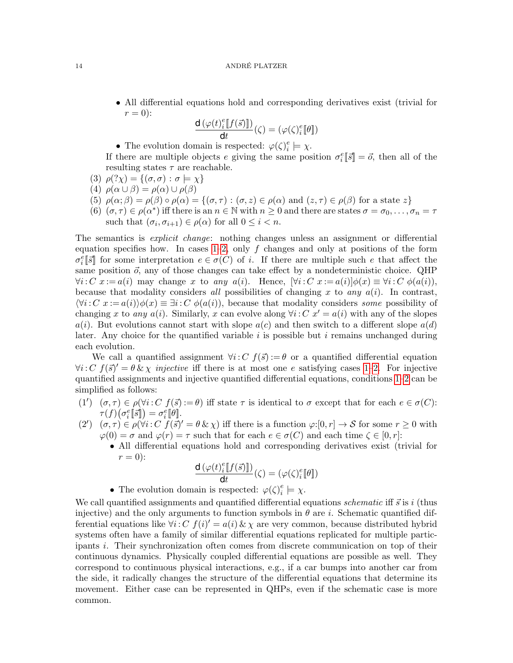• All differential equations hold and corresponding derivatives exist (trivial for  $r=0$ :

$$
\frac{\mathrm{d}\left(\varphi(t)_i^e \llbracket f(\vec{s}) \rrbracket\right)}{\mathrm{d} t}(\zeta) = (\varphi(\zeta)_i^e \llbracket \theta \rrbracket)
$$

• The evolution domain is respected:  $\varphi(\zeta)_i^e$  $e_i^e \models \chi.$ 

If there are multiple objects e giving the same position  $\sigma_i^e[\vec{s}] = \vec{o}$ , then all of the resulting states  $\tau$  are reachable.

- (3)  $\rho$  $(\gamma \chi)$  = { $(\sigma, \sigma)$  :  $\sigma$   $\models \chi$ }
- (4)  $\rho(\alpha \cup \beta) = \rho(\alpha) \cup \rho(\beta)$
- (5)  $\rho(\alpha;\beta) = \rho(\beta) \circ \rho(\alpha) = \{(\sigma,\tau) : (\sigma,z) \in \rho(\alpha) \text{ and } (z,\tau) \in \rho(\beta) \text{ for a state } z\}$
- (6)  $(\sigma, \tau) \in \rho(\alpha^*)$  iff there is an  $n \in \mathbb{N}$  with  $n \geq 0$  and there are states  $\sigma = \sigma_0, \ldots, \sigma_n = \tau$ such that  $(\sigma_i, \sigma_{i+1}) \in \rho(\alpha)$  for all  $0 \leq i < n$ .

The semantics is *explicit change*: nothing changes unless an assignment or differential equation specifies how. In cases  $1-2$ , only f changes and only at positions of the form  $\sigma_i^e[\overline{s}]$  for some interpretation  $e \in \sigma(C)$  of i. If there are multiple such e that affect the same position  $\vec{o}$ , any of those changes can take effect by a nondeterministic choice. QHP  $\forall i: C \ x := a(i)$  may change x to any  $a(i)$ . Hence,  $[\forall i: C \ x := a(i)] \phi(x) \equiv \forall i: C \ \phi(a(i))$ , because that modality considers all possibilities of changing x to any  $a(i)$ . In contrast,  $\langle \forall i: C \ x := a(i) \rangle \phi(x) \equiv \exists i: C \ \phi(a(i))$ , because that modality considers some possibility of changing x to any  $a(i)$ . Similarly, x can evolve along  $\forall i: C \; x' = a(i)$  with any of the slopes  $a(i)$ . But evolutions cannot start with slope  $a(c)$  and then switch to a different slope  $a(d)$ later. Any choice for the quantified variable  $i$  is possible but  $i$  remains unchanged during each evolution.

We call a quantified assignment  $\forall i: C \; f(\vec{s}) := \theta$  or a quantified differential equation  $\forall i: C \ f(\vec{s})' = \theta \& \chi$  *injective* iff there is at most one e satisfying cases [1–](#page-12-1)[2.](#page-12-2) For injective quantified assignments and injective quantified differential equations, conditions [1–](#page-12-1)[2](#page-12-2) can be simplified as follows:

- (1')  $(\sigma, \tau) \in \rho(\forall i: C \ f(\vec{s}) := \theta)$  iff state  $\tau$  is identical to  $\sigma$  except that for each  $e \in \sigma(C)$ :  $\tau(f)\big(\sigma_i^e[\![\vec{s}]\!]\big) = \sigma_i^e[\![\theta]\!].$
- $(2')$   $(\sigma, \tau) \in \rho(\forall i: C \tilde{f}(\vec{s})' = \theta \& \chi)$  iff there is a function  $\varphi:[0, r] \to S$  for some  $r \geq 0$  with  $\varphi(0) = \sigma$  and  $\varphi(r) = \tau$  such that for each  $e \in \sigma(C)$  and each time  $\zeta \in [0, r]$ :
	- All differential equations hold and corresponding derivatives exist (trivial for  $r=0$ :

$$
\frac{\mathbf{d}\left(\varphi(t)_{i}^{e}\llbracket f(\vec{s})\rrbracket\right)}{\mathbf{d}t}(\zeta) = (\varphi(\zeta)_{i}^{e}\llbracket \theta \rrbracket)
$$

• The evolution domain is respected:  $\varphi(\zeta)_{i}^{e}$  $e_i^e \models \chi.$ 

We call quantified assignments and quantified differential equations *schematic* iff  $\vec{s}$  is i (thus injective) and the only arguments to function symbols in  $\theta$  are i. Schematic quantified differential equations like  $\forall i: C \ f(i)' = a(i) \& \chi$  are very common, because distributed hybrid systems often have a family of similar differential equations replicated for multiple participants i. Their synchronization often comes from discrete communication on top of their continuous dynamics. Physically coupled differential equations are possible as well. They correspond to continuous physical interactions, e.g., if a car bumps into another car from the side, it radically changes the structure of the differential equations that determine its movement. Either case can be represented in QHPs, even if the schematic case is more common.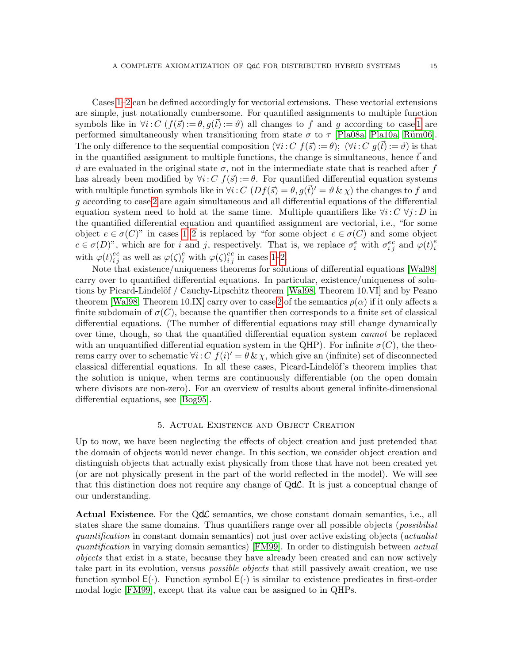Cases [1–](#page-12-1)[2](#page-12-2) can be defined accordingly for vectorial extensions. These vectorial extensions are simple, just notationally cumbersome. For quantified assignments to multiple function symbols like in  $\forall i: C$   $(f(\vec{s}) := \theta, g(\vec{t}) := \vartheta)$  all changes to f and g according to case [1](#page-12-1) are performed simultaneously when transitioning from state  $\sigma$  to  $\tau$  [\[Pla08a,](#page-43-10) [Pla10a,](#page-43-11) Rüm06]. The only difference to the sequential composition  $(\forall i: C \ f(\vec{s}) := \theta)$ ;  $(\forall i: C \ g(\vec{t}) := \vartheta)$  is that in the quantified assignment to multiple functions, the change is simultaneous, hence  $\vec{t}$  and  $\vartheta$  are evaluated in the original state  $\sigma$ , not in the intermediate state that is reached after f has already been modified by  $\forall i: C \ f(\vec{s}) := \theta$ . For quantified differential equation systems with multiple function symbols like in  $\forall i: C \ (Df(\vec{s}) = \theta, g(\vec{t})' = \vartheta \& \chi)$  the changes to f and g according to case [2](#page-12-2) are again simultaneous and all differential equations of the differential equation system need to hold at the same time. Multiple quantifiers like  $\forall i: C \ \forall j: D$  in the quantified differential equation and quantified assignment are vectorial, i.e., "for some object  $e \in \sigma(C)$ " in cases [1–](#page-12-1)[2](#page-12-2) is replaced by "for some object  $e \in \sigma(C)$  and some object  $c \in \sigma(D)$ ", which are for i and j, respectively. That is, we replace  $\sigma_i^e$  with  $\sigma_{ij}^{ec}$  and  $\varphi(t)_i^e$ i with  $\varphi(t)_i^e$ i c  $_j^c$  as well as  $\varphi(\zeta)_i^e$  with  $\varphi(\zeta)_i^e$ i c  $\frac{c}{j}$  in cases [1–](#page-12-1)[2.](#page-12-2)

Note that existence/uniqueness theorems for solutions of differential equations [\[Wal98\]](#page-43-20) carry over to quantified differential equations. In particular, existence/uniqueness of solu-tions by Picard-Lindelöf / Cauchy-Lipschitz theorem [\[Wal98,](#page-43-20) Theorem 10.VI] and by Peano theorem [\[Wal98,](#page-43-20) Theorem 10.IX] carry over to case [2](#page-12-2) of the semantics  $\rho(\alpha)$  if it only affects a finite subdomain of  $\sigma(C)$ , because the quantifier then corresponds to a finite set of classical differential equations. (The number of differential equations may still change dynamically over time, though, so that the quantified differential equation system cannot be replaced with an unquantified differential equation system in the QHP). For infinite  $\sigma(C)$ , the theorems carry over to schematic  $\forall i: C \ f(i)' = \theta \& \chi$ , which give an (infinite) set of disconnected classical differential equations. In all these cases, Picard-Lindelöf's theorem implies that the solution is unique, when terms are continuously differentiable (on the open domain where divisors are non-zero). For an overview of results about general infinite-dimensional differential equations, see [\[Bog95\]](#page-42-13).

# 5. Actual Existence and Object Creation

<span id="page-14-0"></span>Up to now, we have been neglecting the effects of object creation and just pretended that the domain of objects would never change. In this section, we consider object creation and distinguish objects that actually exist physically from those that have not been created yet (or are not physically present in the part of the world reflected in the model). We will see that this distinction does not require any change of  $Qd\mathcal{L}$ . It is just a conceptual change of our understanding.

**Actual Existence.** For the  $Qd\mathcal{L}$  semantics, we chose constant domain semantics, i.e., all states share the same domains. Thus quantifiers range over all possible objects (*possibilist* quantification in constant domain semantics) not just over active existing objects (actualist quantification in varying domain semantics) [\[FM99\]](#page-42-12). In order to distinguish between actual objects that exist in a state, because they have already been created and can now actively take part in its evolution, versus *possible objects* that still passively await creation, we use function symbol <sup>∃</sup> (·). Function symbol <sup>∃</sup> (·) is similar to existence predicates in first-order modal logic [\[FM99\]](#page-42-12), except that its value can be assigned to in QHPs.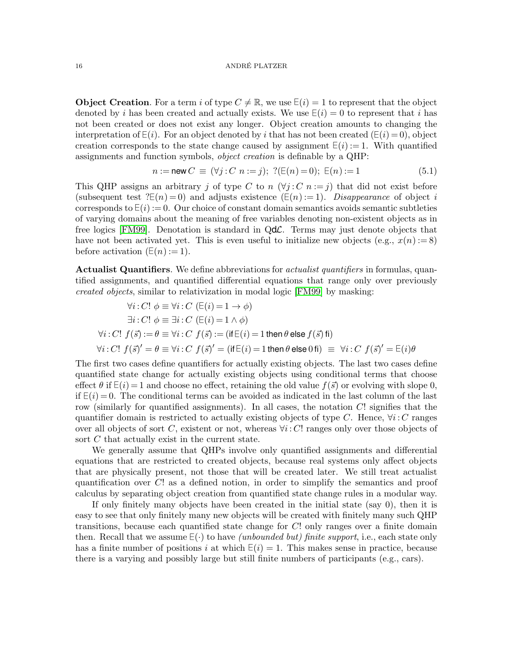### 16 ANDRÉ PLATZER

**Object Creation**. For a term i of type  $C \neq \mathbb{R}$ , we use  $E(i) = 1$  to represent that the object denoted by i has been created and actually exists. We use  $E(i) = 0$  to represent that i has not been created or does not exist any longer. Object creation amounts to changing the interpretation of  $E(i)$ . For an object denoted by i that has not been created ( $E(i) = 0$ ), object creation corresponds to the state change caused by assignment  $E(i) := 1$ . With quantified assignments and function symbols, object creation is definable by a QHP:

<span id="page-15-0"></span>
$$
n := \text{new } C \equiv (\forall j : C \ n := j); \ \ ?(\mathsf{E}(n) = 0); \ \mathsf{E}(n) := 1 \tag{5.1}
$$

This QHP assigns an arbitrary j of type C to n  $(\forall j : C \ n := j)$  that did not exist before (subsequent test  $?E(n) = 0$ ) and adjusts existence  $(E(n) := 1)$ . *Disappearance* of object i corresponds to  $E(i) := 0$ . Our choice of constant domain semantics avoids semantic subtleties of varying domains about the meaning of free variables denoting non-existent objects as in free logics [\[FM99\]](#page-42-12). Denotation is standard in  $Qd\mathcal{L}$ . Terms may just denote objects that have not been activated yet. This is even useful to initialize new objects (e.g.,  $x(n) := 8$ ) before activation  $(E(n) := 1)$ .

Actualist Quantifiers. We define abbreviations for *actualist quantifiers* in formulas, quantified assignments, and quantified differential equations that range only over previously created objects, similar to relativization in modal logic [\[FM99\]](#page-42-12) by masking:

$$
\forall i: C! \ \phi \equiv \forall i: C \ (\mathsf{E}(i) = 1 \to \phi)
$$
  
\n
$$
\exists i: C! \ \phi \equiv \exists i: C \ (\mathsf{E}(i) = 1 \land \phi)
$$
  
\n
$$
\forall i: C! \ f(\vec{s}) := \theta \equiv \forall i: C \ f(\vec{s}) := (\mathsf{if} \ \mathsf{E}(i) = 1 \ \mathsf{then} \ \theta \ \mathsf{else} \ f(\vec{s}) \ \mathsf{fi})
$$
  
\n
$$
\forall i: C! \ f(\vec{s})' = \theta \equiv \forall i: C \ f(\vec{s})' = (\mathsf{if} \ \mathsf{E}(i) = 1 \ \mathsf{then} \ \theta \ \mathsf{else} \ 0 \ \mathsf{fi}) \equiv \ \forall i: C \ f(\vec{s})' = \mathsf{E}(i) \theta
$$

The first two cases define quantifiers for actually existing objects. The last two cases define quantified state change for actually existing objects using conditional terms that choose effect  $\theta$  if  $E(i) = 1$  and choose no effect, retaining the old value  $f(\vec{s})$  or evolving with slope 0, if  $E(i) = 0$ . The conditional terms can be avoided as indicated in the last column of the last row (similarly for quantified assignments). In all cases, the notation  $C!$  signifies that the quantifier domain is restricted to actually existing objects of type C. Hence,  $\forall i: C$  ranges over all objects of sort C, existent or not, whereas  $\forall i: C!$  ranges only over those objects of sort C that actually exist in the current state.

We generally assume that QHPs involve only quantified assignments and differential equations that are restricted to created objects, because real systems only affect objects that are physically present, not those that will be created later. We still treat actualist quantification over C! as a defined notion, in order to simplify the semantics and proof calculus by separating object creation from quantified state change rules in a modular way.

If only finitely many objects have been created in the initial state (say 0), then it is easy to see that only finitely many new objects will be created with finitely many such QHP transitions, because each quantified state change for C! only ranges over a finite domain then. Recall that we assume  $E(\cdot)$  to have *(unbounded but) finite support*, i.e., each state only has a finite number of positions i at which  $E(i) = 1$ . This makes sense in practice, because there is a varying and possibly large but still finite numbers of participants (e.g., cars).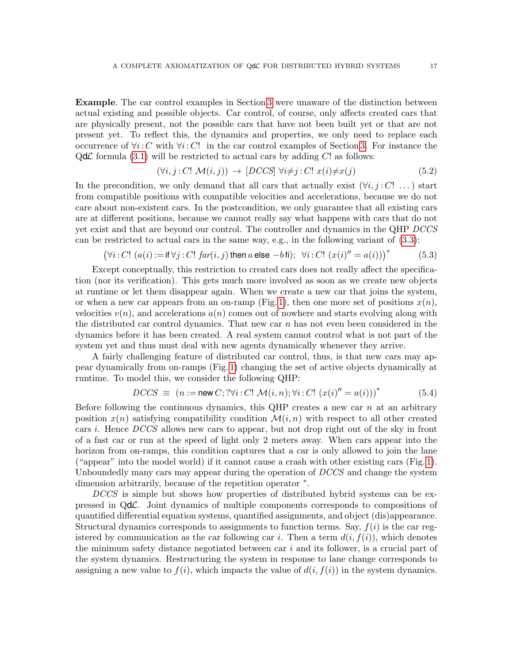Example. The car control examples in Section [3](#page-5-0) were unaware of the distinction between actual existing and possible objects. Car control, of course, only affects created cars that are physically present, not the possible cars that have not been built yet or that are not present yet. To reflect this, the dynamics and properties, we only need to replace each occurrence of  $\forall i: C$  with  $\forall i: C!$  in the car control examples of Section [3.](#page-5-0) For instance the  $Qd\mathcal{L}$  formula [\(3.1\)](#page-7-0) will be restricted to actual cars by adding C! as follows:

<span id="page-16-0"></span>
$$
(\forall i, j : C! \mathcal{M}(i, j)) \rightarrow [DCCS] \; \forall i \neq j : C! \; x(i) \neq x(j) \tag{5.2}
$$

In the precondition, we only demand that all cars that actually exist  $(\forall i, j : C! ...)$  start from compatible positions with compatible velocities and accelerations, because we do not care about non-existent cars. In the postcondition, we only guarantee that all existing cars are at different positions, because we cannot really say what happens with cars that do not yet exist and that are beyond our control. The controller and dynamics in the QHP DCCS can be restricted to actual cars in the same way, e.g., in the following variant of [\(3.3\)](#page-10-0):

<span id="page-16-2"></span>
$$
(\forall i: C! (a(i) := \text{if } \forall j: C! \text{ far}(i, j) \text{ then } a \text{ else } -b \text{ fi}); \forall i: C! (x(i)^{\prime\prime} = a(i)))^*
$$
(5.3)

Except conceptually, this restriction to created cars does not really affect the specification (nor its verification). This gets much more involved as soon as we create new objects at runtime or let them disappear again. When we create a new car that joins the system, or when a new car appears from an on-ramp (Fig. [1\)](#page-1-0), then one more set of positions  $x(n)$ , velocities  $v(n)$ , and accelerations  $a(n)$  comes out of nowhere and starts evolving along with the distributed car control dynamics. That new car  $n$  has not even been considered in the dynamics before it has been created. A real system cannot control what is not part of the system yet and thus must deal with new agents dynamically whenever they arrive.

A fairly challenging feature of distributed car control, thus, is that new cars may appear dynamically from on-ramps (Fig. [1\)](#page-1-0) changing the set of active objects dynamically at runtime. To model this, we consider the following QHP:

<span id="page-16-1"></span>
$$
DCCS \equiv (n := \text{new } C; ?\forall i : C! \mathcal{M}(i, n); \forall i : C! (x(i)^{''} = a(i)))^*
$$
(5.4)

Before following the continuous dynamics, this QHP creates a new car n at an arbitrary position  $x(n)$  satisfying compatibility condition  $\mathcal{M}(i, n)$  with respect to all other created cars i. Hence DCCS allows new cars to appear, but not drop right out of the sky in front of a fast car or run at the speed of light only 2 meters away. When cars appear into the horizon from on-ramps, this condition captures that a car is only allowed to join the lane ("appear" into the model world) if it cannot cause a crash with other existing cars (Fig. [1\)](#page-1-0). Unboundedly many cars may appear during the operation of DCCS and change the system dimension arbitrarily, because of the repetition operator <sup>∗</sup> .

DCCS is simple but shows how properties of distributed hybrid systems can be expressed in QdL. Joint dynamics of multiple components corresponds to compositions of quantified differential equation systems, quantified assignments, and object (dis)appearance. Structural dynamics corresponds to assignments to function terms. Say,  $f(i)$  is the car registered by communication as the car following car i. Then a term  $d(i, f(i))$ , which denotes the minimum safety distance negotiated between car  $i$  and its follower, is a crucial part of the system dynamics. Restructuring the system in response to lane change corresponds to assigning a new value to  $f(i)$ , which impacts the value of  $d(i, f(i))$  in the system dynamics.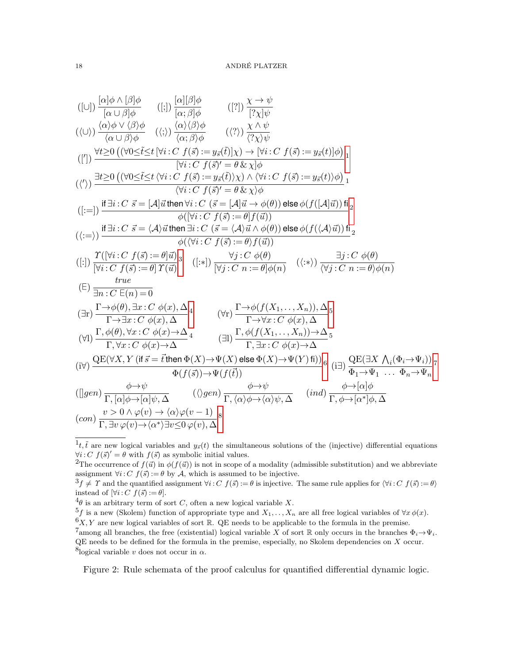<span id="page-17-21"></span><span id="page-17-20"></span><span id="page-17-19"></span><span id="page-17-18"></span><span id="page-17-17"></span><span id="page-17-16"></span><span id="page-17-15"></span><span id="page-17-14"></span><span id="page-17-13"></span><span id="page-17-12"></span><span id="page-17-11"></span><span id="page-17-10"></span><span id="page-17-9"></span>
$$
([\cup]) \frac{[\alpha]\phi \wedge [\beta]\phi}{[\alpha \cup \beta]\phi} \qquad ([\cup]) \frac{[\alpha][\beta]\phi}{[\alpha; \beta]\phi} \qquad ([\emptyset]) \frac{[\alpha][\beta]\phi}{[\alpha; \beta]\phi} \qquad ([\emptyset]) \frac{\chi \wedge \psi}{[\gamma]\psi}
$$
  

$$
((\cup)) \frac{\langle \alpha \rangle \phi \vee \langle \beta \rangle \phi}{\langle \alpha \cup \beta \rangle \phi} \qquad ((\emptyset) \frac{\langle \alpha \rangle \langle \beta \rangle \phi}{\langle \alpha; \beta \rangle \phi} \qquad ((\emptyset)) \frac{\chi \wedge \psi}{\langle \gamma \rangle \psi}
$$
  

$$
([\emptyset]) \frac{\exists \underline{t \geq 0} ((\forall 0 \leq \underline{i \leq t} [\forall i : C \ f(\overline{s}) := y_{\overline{s}}(\underline{i})] \chi) \rightarrow [\forall i : C \ f(\overline{s}) := y_{\overline{s}}(\underline{t})] \phi)}{[\forall i : C \ f(\overline{s})' = \theta \& \chi] \phi}
$$
  

$$
((\vee)) \frac{\exists \underline{t \geq 0} ((\forall 0 \leq \underline{i \leq t} \langle \forall i : C \ f(\overline{s}) := y_{\overline{s}}(\overline{i}) \chi) \wedge \langle \forall i : C \ f(\overline{s}) := y_{\overline{s}}(\underline{t}) \rangle \phi)}{[\forall i : C \ f(\overline{s})' = \theta \& \chi \phi}
$$
  

$$
([\square]) \frac{\text{if } \exists i : C \ \overline{s} = [\mathcal{A}] \overline{\text{if}} \text{then } \forall i : C (\ \overline{s} = [\mathcal{A}] \overline{\text{if}} \rightarrow \phi(\theta)) \text{else } \phi(f([\mathcal{A}]\overline{\text{if}})) \overline{\text{if}}_2}{\phi((\forall i : C \ f(\overline{s}) := \theta] f(\overline{u})}
$$
  

$$
((\square)) \frac{\text{if } \exists i : C \ \overline{s} = \langle \mathcal{A} \rangle \overline{\text{if}} \text{then } \exists i : C (\ \overline{s} = [\mathcal{A}] \overline{\text{if}} \rightarrow \phi(\theta)) \text{else } \phi(f([\mathcal{A}]\overline{\text{if}})) \overline{\text{if}}_2}{\phi((\forall i : C \ f(\overline{s}) := \theta
$$

<span id="page-17-8"></span>Figure 2: Rule schemata of the proof calculus for quantified differential dynamic logic.

<span id="page-17-33"></span><span id="page-17-32"></span><span id="page-17-31"></span><span id="page-17-30"></span><span id="page-17-29"></span><span id="page-17-28"></span><span id="page-17-27"></span><span id="page-17-26"></span><span id="page-17-25"></span><span id="page-17-24"></span><span id="page-17-23"></span><span id="page-17-22"></span><span id="page-17-0"></span> $\hat{t}_t$ ,  $\tilde{t}$  are new logical variables and  $y_{\tilde{s}}(t)$  the simultaneous solutions of the (injective) differential equations  $\forall i: C \ f(\vec{s})' = \theta$  with  $f(\vec{s})$  as symbolic initial values.

<span id="page-17-1"></span><sup>&</sup>lt;sup>2</sup>The occurrence of  $f(\vec{u})$  in  $\phi(f(\vec{u}))$  is not in scope of a modality (admissible substitution) and we abbreviate assignment  $\forall i: C \ f(\vec{s}) := \theta$  by A, which is assumed to be injective.

<span id="page-17-2"></span> ${}^3f \neq \Upsilon$  and the quantified assignment  $\forall i: C \; f(\vec{s}) := \theta$  is injective. The same rule applies for  $\langle \forall i: C \; f(\vec{s}) := \theta \rangle$ instead of  $[\forall i: C \ f(\vec{s}) := \theta].$ 

<span id="page-17-3"></span> ${}^{4}\theta$  is an arbitrary term of sort C, often a new logical variable X.

<span id="page-17-5"></span><span id="page-17-4"></span><sup>&</sup>lt;sup>5</sup>f is a new (Skolem) function of appropriate type and  $X_1, \ldots, X_n$  are all free logical variables of  $\forall x \phi(x)$ .  $6X, Y$  are new logical variables of sort R. QE needs to be applicable to the formula in the premise.

<span id="page-17-7"></span><span id="page-17-6"></span><sup>&</sup>lt;sup>7</sup>among all branches, the free (existential) logical variable X of sort R only occurs in the branches  $\Phi_i \to \Psi_i$ . QE needs to be defined for the formula in the premise, especially, no Skolem dependencies on X occur. <sup>8</sup>logical variable v does not occur in  $\alpha$ .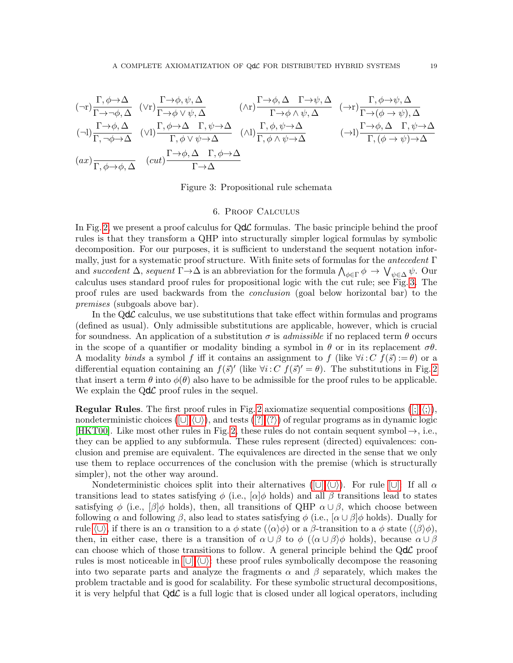$$
(\neg r)\frac{\Gamma, \phi \to \Delta}{\Gamma \to \phi, \Delta} \quad (\vee r)\frac{\Gamma \to \phi, \psi, \Delta}{\Gamma \to \phi \vee \psi, \Delta} \qquad (\wedge r)\frac{\Gamma \to \phi, \Delta}{\Gamma \to \phi \wedge \psi, \Delta} \quad (\neg r)\frac{\Gamma, \phi \to \psi, \Delta}{\Gamma \to (\phi \to \psi), \Delta} \n(\neg l)\frac{\Gamma \to \phi, \Delta}{\Gamma, \neg \phi \to \Delta} \quad (\vee l)\frac{\Gamma, \phi \to \Delta}{\Gamma, \phi \vee \psi \to \Delta} \quad (\wedge l)\frac{\Gamma, \phi, \psi \to \Delta}{\Gamma, \phi \wedge \psi \to \Delta} \qquad (\neg l)\frac{\Gamma \to \phi, \Delta}{\Gamma, (\phi \to \psi), \Delta} \n(ax)\frac{\Gamma \to \phi, \Delta}{\Gamma, \phi \to \phi, \Delta} \quad (cut)\frac{\Gamma \to \phi, \Delta}{\Gamma \to \Delta} \qquad (\neg l)\frac{\Gamma \to \phi, \Delta}{\Gamma, (\phi \to \psi) \to \Delta}
$$

<span id="page-18-4"></span><span id="page-18-3"></span>Figure 3: Propositional rule schemata

## <span id="page-18-5"></span><span id="page-18-1"></span><span id="page-18-0"></span>6. Proof Calculus

<span id="page-18-2"></span>In Fig. [2,](#page-17-8) we present a proof calculus for  $Qd\mathcal{L}$  formulas. The basic principle behind the proof rules is that they transform a QHP into structurally simpler logical formulas by symbolic decomposition. For our purposes, it is sufficient to understand the sequent notation informally, just for a systematic proof structure. With finite sets of formulas for the antecedent  $\Gamma$ and succedent  $\Delta$ , sequent  $\Gamma \to \Delta$  is an abbreviation for the formula  $\bigwedge_{\phi \in \Gamma} \phi \to \bigvee_{\psi \in \Delta} \psi$ . Our calculus uses standard proof rules for propositional logic with the cut rule; see Fig. [3.](#page-18-0) The proof rules are used backwards from the conclusion (goal below horizontal bar) to the premises (subgoals above bar).

In the  $Qd\mathcal{L}$  calculus, we use substitutions that take effect within formulas and programs (defined as usual). Only admissible substitutions are applicable, however, which is crucial for soundness. An application of a substitution  $\sigma$  is *admissible* if no replaced term  $\theta$  occurs in the scope of a quantifier or modality binding a symbol in  $\theta$  or in its replacement  $\sigma\theta$ . A modality binds a symbol f iff it contains an assignment to f (like  $\forall i: C \ f(\vec{s}) := \theta$ ) or a differential equation containing an  $f(\vec{s})'$  (like  $\forall i: C \ f(\vec{s})' = \theta$ ). The substitutions in Fig. [2](#page-17-8) that insert a term  $\theta$  into  $\phi(\theta)$  also have to be admissible for the proof rules to be applicable. We explain the  $Qd\mathcal{L}$  proof rules in the sequel.

**Regular Rules**. The first proof rules in Fig. [2](#page-17-8) axiomatize sequential compositions  $( \xi, \langle \xi \rangle),$ nondeterministic choices ( $[\cup], \langle \cup \rangle$ ), and tests ( $[?], \langle ? \rangle$  $[?], \langle ? \rangle$  $[?], \langle ? \rangle$ ) of regular programs as in dynamic logic [\[HKT00\]](#page-42-9). Like most other rules in Fig. [2,](#page-17-8) these rules do not contain sequent symbol  $\rightarrow$ , i.e., they can be applied to any subformula. These rules represent (directed) equivalences: conclusion and premise are equivalent. The equivalences are directed in the sense that we only use them to replace occurrences of the conclusion with the premise (which is structurally simpler), not the other way around.

Nondeterministic choices split into their alternatives ( $[\cup], \langle \cup \rangle$ ). For rule  $[\cup]$ : If all  $\alpha$ transitions lead to states satisfying  $\phi$  (i.e., [α] $\phi$  holds) and all  $\beta$  transitions lead to states satisfying  $\phi$  (i.e.,  $\beta | \phi$  holds), then, all transitions of QHP  $\alpha \cup \beta$ , which choose between following  $\alpha$  and following  $\beta$ , also lead to states satisfying  $\phi$  (i.e.,  $[\alpha \cup \beta] \phi$  holds). Dually for rule  $\langle \cup \rangle$ , if there is an  $\alpha$  transition to a  $\phi$  state  $(\langle \alpha \rangle \phi)$  or a  $\beta$ -transition to a  $\phi$  state  $(\langle \beta \rangle \phi)$ , then, in either case, there is a transition of  $\alpha \cup \beta$  to  $\phi$  ( $\langle \alpha \cup \beta \rangle \phi$  holds), because  $\alpha \cup \beta$ can choose which of those transitions to follow. A general principle behind the  $Qd\mathcal{L}$  proof rules is most noticeable in  $[\cup], \langle \cup \rangle$ : these proof rules symbolically decompose the reasoning into two separate parts and analyze the fragments  $\alpha$  and  $\beta$  separately, which makes the problem tractable and is good for scalability. For these symbolic structural decompositions, it is very helpful that  $Qd\mathcal{L}$  is a full logic that is closed under all logical operators, including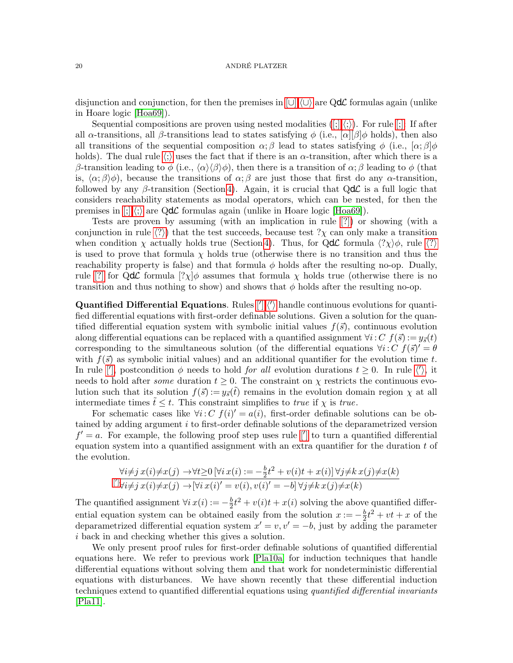disjunction and conjunction, for then the premises in  $[\cup],\langle\cup\rangle$  are QdL formulas again (unlike in Hoare logic [\[Hoa69\]](#page-42-14)).

Sequential compositions are proven using nested modalities  $([;],\langle;\rangle)$ . For rule  $[;]$ : If after all  $\alpha$ -transitions, all  $\beta$ -transitions lead to states satisfying  $\phi$  (i.e.,  $[\alpha][\beta]\phi$  holds), then also all transitions of the sequential composition  $\alpha$ ; β lead to states satisfying  $\phi$  (i.e.,  $\alpha$ ; β $\phi$ ) [h](#page-17-10)olds). The dual rule  $\langle \cdot \rangle$  uses the fact that if there is an  $\alpha$ -transition, after which there is a β-transition leading to φ (i.e.,  $\langle \alpha \rangle \langle \beta \rangle \phi$ ), then there is a transition of  $\alpha$ ; β leading to φ (that is,  $\langle \alpha; \beta \rangle \phi$ ), because the transitions of  $\alpha; \beta$  are just those that first do any  $\alpha$ -transition, followed by any  $\beta$ -transition (Section [4\)](#page-12-0). Again, it is crucial that QdC is a full logic that considers reachability statements as modal operators, which can be nested, for then the premises in  $\vert \cdot \vert \cdot \rangle$  are QdL formulas again (unlike in Hoare logic [\[Hoa69\]](#page-42-14)).

Tests are proven by assuming (with an implication in rule [\[?\]\)](#page-17-13) or showing (with a conjunction in rule  $\langle ? \rangle$  $\langle ? \rangle$  $\langle ? \rangle$ ) that the test succeeds, because test  $? \chi$  can only make a transition when condition  $\chi$  actually holds true (Section [4\)](#page-12-0). Thus, for QdC formula  $\langle?\chi\rangle\phi$  $\langle?\chi\rangle\phi$  $\langle?\chi\rangle\phi$ , rule  $\langle?\rangle$ is used to prove that formula  $\chi$  holds true (otherwise there is no transition and thus the reachability property is false) and that formula  $\phi$  holds after the resulting no-op. Dually, rule [\[?\]](#page-17-13) for QdC formula  $[? \chi] \phi$  assumes that formula  $\chi$  holds true (otherwise there is no transition and thus nothing to show) and shows that  $\phi$  holds after the resulting no-op.

**Quantified Differential Equations.** Rules  $\langle \cdot | \cdot \rangle$  [h](#page-17-16)andle continuous evolutions for quantified differential equations with first-order definable solutions. Given a solution for the quantified differential equation system with symbolic initial values  $f(\vec{s})$ , continuous evolution along differential equations can be replaced with a quantified assignment  $\forall i: C \; f(\vec{s}) := y_{\vec{s}}(t)$ corresponding to the simultaneous solution (of the differential equations  $\forall i: C \; f(\vec{s})' = \theta$ with  $f(\vec{s})$  as symbolic initial values) and an additional quantifier for the evolution time t. In rule  $\vert \vert$ , postcondition  $\phi$  $\phi$  $\phi$  needs to hold *for all* evolution durations  $t \geq 0$ . In rule  $\langle \vert \rangle$ , it needs to hold after *some* duration  $t \geq 0$ . The constraint on  $\chi$  restricts the continuous evolution such that its solution  $f(\vec{s}) := y_{\vec{s}}(t)$  remains in the evolution domain region  $\chi$  at all intermediate times  $\tilde{t} \leq t$ . This constraint simplifies to *true* if  $\chi$  is *true*.

For schematic cases like  $\forall i: C \ f(i)' = a(i)$ , first-order definable solutions can be obtained by adding argument i to first-order definable solutions of the deparametrized version  $f' = a$ . For example, the following proof step uses rule [\[](#page-17-15)'] to turn a quantified differential equation system into a quantified assignment with an extra quantifier for the duration  $t$  of the evolution.

$$
\forall i \neq j \ x(i) \neq x(j) \rightarrow \forall t \geq 0 \ [\forall i \ x(i) := -\frac{b}{2}t^2 + v(i)t + x(i)] \ \forall j \neq k \ x(j) \neq x(k)
$$
  

$$
[c] \ \forall i \neq j \ x(i) \neq x(j) \rightarrow [\forall i \ x(i)' = v(i), v(i)' = -b] \ \forall j \neq k \ x(j) \neq x(k)
$$

The quantified assignment  $\forall i x(i) := -\frac{b}{2}$  $\frac{b}{2}t^2 + v(i)t + x(i)$  solving the above quantified differential equation system can be obtained easily from the solution  $x := -\frac{b}{2}$  $\frac{b}{2}t^2 + vt + x$  of the deparametrized differential equation system  $x' = v, v' = -b$ , just by adding the parameter i back in and checking whether this gives a solution.

We only present proof rules for first-order definable solutions of quantified differential equations here. We refer to previous work [\[Pla10a\]](#page-43-11) for induction techniques that handle differential equations without solving them and that work for nondeterministic differential equations with disturbances. We have shown recently that these differential induction techniques extend to quantified differential equations using *quantified differential invariants* [\[Pla11\]](#page-43-14).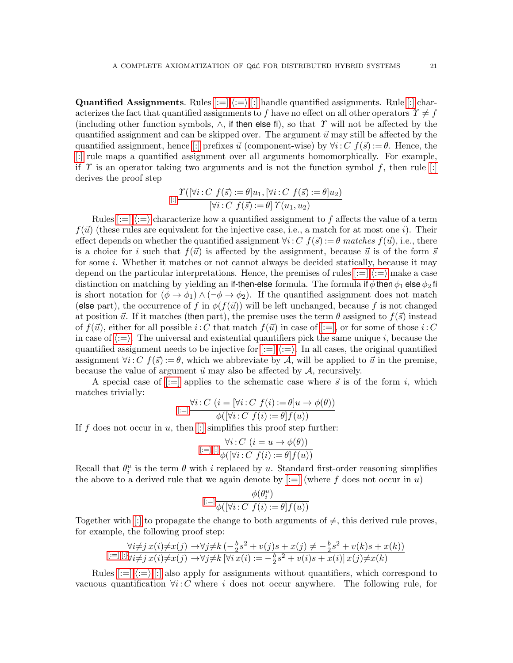**Quantified Assignments**. Rules  $[:=],\langle:=\rangle$  $[:=],\langle:=\rangle$  $[:=],\langle:=\rangle$ ,  $[:]$  handle quantified assignments. Rule  $[:]$  characterizes the fact that quantified assignments to f have no effect on all other operators  $\Upsilon \neq f$ (including other function symbols,  $\wedge$ , if then else fi), so that T will not be affected by the quantified assignment and can be skipped over. The argument  $\vec{u}$  may still be affected by the quantified assignment, hence [\[:\]](#page-17-19) prefixes  $\vec{u}$  (component-wise) by  $\forall i: C \ f(\vec{s}) := \theta$ . Hence, the [\[:\]](#page-17-19) rule maps a quantified assignment over all arguments homomorphically. For example, if  $\Upsilon$  is an operator taking two arguments and is not the function symbol f, then rule [\[:\]](#page-17-19) derives the proof step

$$
[:] \frac{\Upsilon([\forall i : C \ f(\vec{s}) := \theta]u_1, [\forall i : C \ f(\vec{s}) := \theta]u_2)}{[\forall i : C \ f(\vec{s}) := \theta] \Upsilon(u_1, u_2)}
$$

Rules  $|:=|\langle:=\rangle$  $|:=|\langle:=\rangle$  $|:=|\langle:=\rangle$  characterize how a quantified assignment to f affects the value of a term  $f(\vec{u})$  (these rules are equivalent for the injective case, i.e., a match for at most one i). Their effect depends on whether the quantified assignment  $\forall i: C \ f(\vec{s}) := \theta$  matches  $f(\vec{u})$ , i.e., there is a choice for i such that  $f(\vec{u})$  is affected by the assignment, because  $\vec{u}$  is of the form  $\vec{s}$ for some i. Whether it matches or not cannot always be decided statically, because it may depend on the particular interpretations. Hence, the premises of rules  $[:=],\langle:=\rangle$  $[:=],\langle:=\rangle$  $[:=],\langle:=\rangle$  make a case distinction on matching by yielding an if-then-else formula. The formula if  $\phi$  then  $\phi_1$  else  $\phi_2$  fi is short notation for  $(\phi \to \phi_1) \wedge (\neg \phi \to \phi_2)$ . If the quantified assignment does not match (else part), the occurrence of f in  $\phi(f(\vec{u}))$  will be left unchanged, because f is not changed at position  $\vec{u}$ . If it matches (then part), the premise uses the term  $\theta$  assigned to  $f(\vec{s})$  instead of  $f(\vec{u})$ , either for all possible i: C that match  $f(\vec{u})$  in case of [\[:=\],](#page-17-17) or for some of those i: C in case of  $\langle \cdot = \rangle$ . The universal and existential quantifiers pick the same unique i, because the quantified assignment needs to be injective for  $[:=], \langle := \rangle$  $[:=], \langle := \rangle$  $[:=], \langle := \rangle$ . In all cases, the original quantified assignment  $\forall i: C \; f(\vec{s}) := \theta$ , which we abbreviate by A, will be applied to  $\vec{u}$  in the premise, because the value of argument  $\vec{u}$  may also be affected by  $\mathcal{A}$ , recursively.

A special case of [\[:=\]](#page-17-17) applies to the schematic case where  $\vec{s}$  is of the form i, which matches trivially:

$$
[:=]\frac{\forall i:C\ (i=[\forall i:C\ f(i):=\theta]u\to\phi(\theta))}{\phi(\forall i:C\ f(i):=\theta\vert f(u))}
$$

If f does not occur in u, then  $\left[\cdot\right]$  simplifies this proof step further:

$$
[:=],[:]\frac{\forall i:C\ (i=u\rightarrow \phi(\theta))}{\phi([\forall i:C\ f(i):=\theta]f(u))}
$$

Recall that  $\theta_i^u$  is the term  $\theta$  with i replaced by u. Standard first-order reasoning simplifies the above to a derived rule that we again denote by  $|:=|$  (where f does not occur in u)

$$
\stackrel{[:=]}{=}\frac{\phi(\theta_i^u)}{\phi([\forall i: C\ f(i):=\theta]f(u))}
$$

Together with [\[:\]](#page-17-19) to propagate the change to both arguments of  $\neq$ , this derived rule proves, for example, the following proof step:

$$
\frac{\forall i \neq j \ x(i) \neq x(j) \rightarrow \forall j \neq k \ (-\frac{b}{2}s^2 + v(j)s + x(j) \neq -\frac{b}{2}s^2 + v(k)s + x(k))}{\forall i \neq j \ x(i) \neq x(j) \rightarrow \forall j \neq k \ [\forall i \ x(i) := -\frac{b}{2}s^2 + v(i)s + x(i)] \ x(j) \neq x(k)}
$$

Rules  $[:=],\langle:=\rangle,[:]$  $[:=],\langle:=\rangle,[:]$  $[:=],\langle:=\rangle,[:]$  $[:=],\langle:=\rangle,[:]$  also apply for assignments without quantifiers, which correspond to vacuous quantification  $\forall i: C$  where i does not occur anywhere. The following rule, for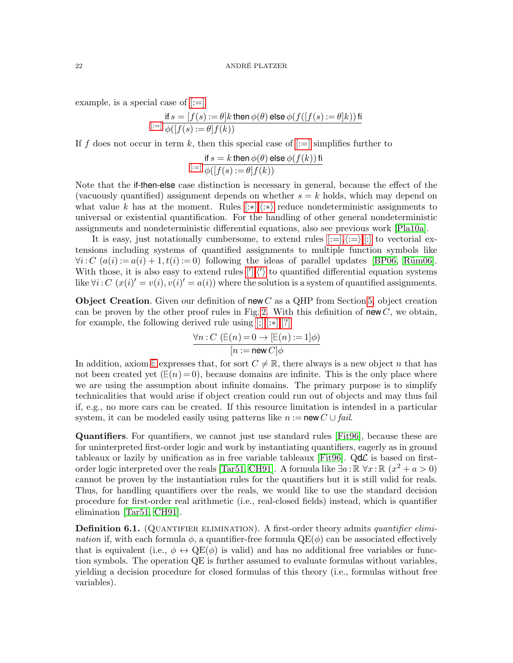example, is a special case of  $|:=|$ 

$$
\inf s = [f(s) := \theta]k \text{ then } \phi(\theta) \text{ else } \phi(f([f(s) := \theta]k)) \text{ fi}
$$
  

$$
[:=] \phi([f(s) := \theta]f(k))
$$

If f does not occur in term k, then this special case of  $[:=]$  simplifies further to

$$
\text{if } s = k \text{ then } \phi(\theta) \text{ else } \phi(f(k)) \text{ fi}
$$

$$
\text{[:=]} \phi([f(s) := \theta]f(k))
$$

Note that the if-then-else case distinction is necessary in general, because the effect of the (vacuously quantified) assignment depends on whether  $s = k$  holds, which may depend on what value k has at the moment. Rules  $[:*],(:*)$  reduce nondeterministic assignments to universal or existential quantification. For the handling of other general nondeterministic assignments and nondeterministic differential equations, also see previous work [\[Pla10a\]](#page-43-11).

It is easy, just notationally cumbersome, to extend rules  $[:=],\langle:=\rangle,[:]$  $[:=],\langle:=\rangle,[:]$  $[:=],\langle:=\rangle,[:]$  $[:=],\langle:=\rangle,[:]$  to vectorial extensions including systems of quantified assignments to multiple function symbols like  $\forall i: C \ (a(i) := a(i) + 1, t(i) := 0)$  following the ideas of parallel updates [\[BP06,](#page-42-10) Rüm06]. Wit[h](#page-17-16) those, it is also easy to extend rules  $\langle \cdot | \langle \cdot \rangle \rangle$  to quantified differential equation systems like  $\forall i: C \ (x(i)' = v(i), v(i)' = a(i))$  where the solution is a system of quantified assignments.

**Object Creation.** Given our definition of new C as a QHP from Section [5,](#page-14-0) object creation can be proven by the other proof rules in Fig. [2.](#page-17-8) With this definition of new  $C$ , we obtain, for example, the following derived rule using [\[;\],](#page-17-9)[\[:](#page-17-20)∗][,\[?\]](#page-17-13)

$$
\frac{\forall n : C \ (\mathsf{E}(n) = 0 \to \mathsf{E}(n) := 1] \phi)}{[n := \text{new } C] \phi}
$$

In addition, axiom  $\mathsf{E}$  expresses that, for sort  $C \neq \mathbb{R}$ , there always is a new object n that has not been created yet  $(E(n) = 0)$ , because domains are infinite. This is the only place where we are using the assumption about infinite domains. The primary purpose is to simplify technicalities that would arise if object creation could run out of objects and may thus fail if, e.g., no more cars can be created. If this resource limitation is intended in a particular system, it can be modeled easily using patterns like  $n := \text{new } C \cup \text{fail.}$ 

Quantifiers. For quantifiers, we cannot just use standard rules [\[Fit96\]](#page-42-15), because these are for uninterpreted first-order logic and work by instantiating quantifiers, eagerly as in ground tableaux or lazily by unification as in free variable tableaux [\[Fit96\]](#page-42-15). Qd $\mathcal{L}$  is based on first-order logic interpreted over the reals [\[Tar51,](#page-43-21) [CH91\]](#page-42-16). A formula like  $\exists a : \mathbb{R} \ \forall x : \mathbb{R} \ (x^2 + a > 0)$ cannot be proven by the instantiation rules for the quantifiers but it is still valid for reals. Thus, for handling quantifiers over the reals, we would like to use the standard decision procedure for first-order real arithmetic (i.e., real-closed fields) instead, which is quantifier elimination [\[Tar51,](#page-43-21) [CH91\]](#page-42-16).

**Definition 6.1.** (QUANTIFIER ELIMINATION). A first-order theory admits *quantifier elimi*nation if, with each formula  $\phi$ , a quantifier-free formula  $\text{QE}(\phi)$  can be associated effectively that is equivalent (i.e.,  $\phi \leftrightarrow \text{QE}(\phi)$  is valid) and has no additional free variables or function symbols. The operation QE is further assumed to evaluate formulas without variables, yielding a decision procedure for closed formulas of this theory (i.e., formulas without free variables).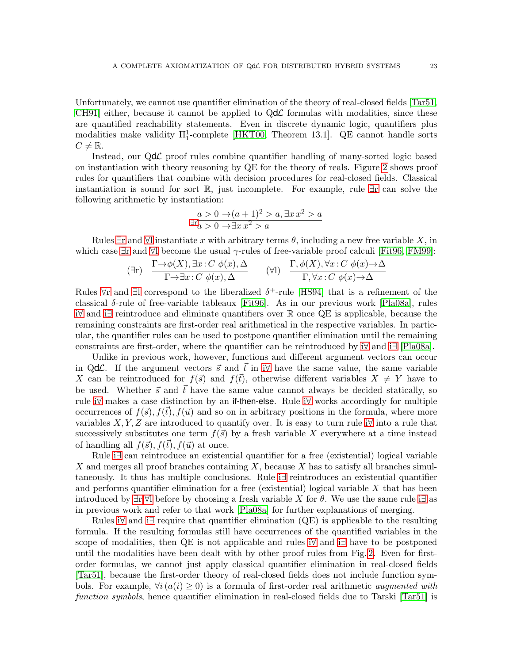Unfortunately, we cannot use quantifier elimination of the theory of real-closed fields [\[Tar51,](#page-43-21) CH91 either, because it cannot be applied to  $Qd\mathcal{L}$  formulas with modalities, since these are quantified reachability statements. Even in discrete dynamic logic, quantifiers plus modalities make validity  $\Pi_1^1$ -complete [\[HKT00,](#page-42-9) Theorem 13.1]. QE cannot handle sorts  $C \neq \mathbb{R}$ .

Instead, our QdL proof rules combine quantifier handling of many-sorted logic based on instantiation with theory reasoning by QE for the theory of reals. Figure [2](#page-17-8) shows proof rules for quantifiers that combine with decision procedures for real-closed fields. Classical instantiation is sound for sort R, just incomplete. For example, rule [∃](#page-17-23)r can solve the following arithmetic by instantiation:

$$
a > 0 \to (a+1)^2 > a, \exists x x^2 > a
$$
  

$$
\exists x a > 0 \to \exists x x^2 > a
$$

Rules  $\exists r$  and  $\forall l$  instantiate x with arbitrary terms  $\theta$ , including a new free variable X, in which case  $\exists r$  and  $\forall l$  become the usual  $\gamma$ -rules of free-variable proof calculi [\[Fit96,](#page-42-15) [FM99\]](#page-42-12):

$$
(\exists r) \quad \frac{\Gamma \rightarrow \phi(X), \exists x : C \ \phi(x), \Delta}{\Gamma \rightarrow \exists x : C \ \phi(x), \Delta} \qquad (\forall l) \quad \frac{\Gamma, \phi(X), \forall x : C \ \phi(x) \rightarrow \Delta}{\Gamma, \forall x : C \ \phi(x) \rightarrow \Delta}
$$

Rules  $\forall$ r and [∃](#page-17-26)l correspond to the liberalized  $\delta^+$ -rule [\[HS94\]](#page-42-17) that is a refinement of the classical δ-rule of free-variable tableaux [\[Fit96\]](#page-42-15). As in our previous work [\[Pla08a\]](#page-43-10), rules i[∀](#page-17-27) and [i](#page-17-28)∃ reintroduce and eliminate quantifiers over R once QE is applicable, because the remaining constraints are first-order real arithmetical in the respective variables. In particular, the quantifier rules can be used to postpone quantifier elimination until the remaining constraints are first-order, where the quantifier can be reintroduced by [i](#page-17-27)∀ and [i](#page-17-28)∃ [\[Pla08a\]](#page-43-10).

Unlike in previous work, however, functions and different argument vectors can occur in QdC. If the argument vectors  $\vec{s}$  and  $\vec{t}$  [i](#page-17-27)n i $\forall$  have the same value, the same variable X can be reintroduced for  $f(\vec{s})$  and  $f(\vec{t})$ , otherwise different variables  $X \neq Y$  have to be used. Whether  $\vec{s}$  and  $\vec{t}$  have the same value cannot always be decided statically, so rule [i](#page-17-27)∀ makes a case distinction by an if-then-else. Rule [i](#page-17-27)∀ works accordingly for multiple occurrences of  $f(\vec{s}), f(\vec{t}), f(\vec{u})$  and so on in arbitrary positions in the formula, where more variables X, Y, Z are [i](#page-17-27)ntroduced to quantify over. It is easy to turn rule i $\forall$  into a rule that successively substitutes one term  $f(\vec{s})$  by a fresh variable X everywhere at a time instead of handling all  $f(\vec{s}), f(t), f(\vec{u})$  at once.

Rule [i](#page-17-28)∃ can reintroduce an existential quantifier for a free (existential) logical variable X and merges all proof branches containing  $X$ , because X has to satisfy all branches simultaneously. It thus has multiple conclusions. Rule [i](#page-17-28)∃ reintroduces an existential quantifier and performs quantifier elimination for a free (existential) logical variable  $X$  that has been introduced by  $\exists r, \forall l$  before by choosing a fresh variable X for  $\theta$ . We use the same rule [i](#page-17-28) $\exists$  as in previous work and refer to that work [\[Pla08a\]](#page-43-10) for further explanations of merging.

Rules [i](#page-17-28)∀ and i∃ require that quantifier elimination (QE) is applicable to the resulting formula. If the resulting formulas still have occurrences of the quantified variables in the scope of modalities, then QE is not applicable and rules [i](#page-17-27)∀ and [i](#page-17-28)∃ have to be postponed until the modalities have been dealt with by other proof rules from Fig. [2.](#page-17-8) Even for firstorder formulas, we cannot just apply classical quantifier elimination in real-closed fields [\[Tar51\]](#page-43-21), because the first-order theory of real-closed fields does not include function symbols. For example,  $\forall i (a(i) \geq 0)$  is a formula of first-order real arithmetic *augmented with* function symbols, hence quantifier elimination in real-closed fields due to Tarski [\[Tar51\]](#page-43-21) is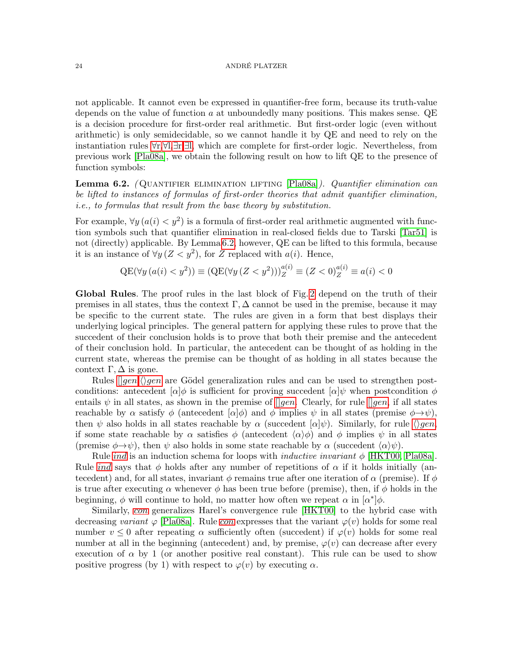not applicable. It cannot even be expressed in quantifier-free form, because its truth-value depends on the value of function  $a$  at unboundedly many positions. This makes sense. QE is a decision procedure for first-order real arithmetic. But first-order logic (even without arithmetic) is only semidecidable, so we cannot handle it by QE and need to rely on the instantiation rules [∀](#page-17-25)r,[∀](#page-17-24)l,[∃](#page-17-23)r,[∃](#page-17-26)l, which are complete for first-order logic. Nevertheless, from previous work [\[Pla08a\]](#page-43-10), we obtain the following result on how to lift QE to the presence of function symbols:

<span id="page-23-0"></span>**Lemma 6.2.** (QUANTIFIER ELIMINATION LIFTING  $[Pla08a]$ ). Quantifier elimination can be lifted to instances of formulas of first-order theories that admit quantifier elimination, i.e., to formulas that result from the base theory by substitution.

For example,  $\forall y (a(i) < y^2)$  is a formula of first-order real arithmetic augmented with function symbols such that quantifier elimination in real-closed fields due to Tarski [\[Tar51\]](#page-43-21) is not (directly) applicable. By Lemma [6.2,](#page-23-0) however, QE can be lifted to this formula, because it is an instance of  $\forall y \, (Z \langle y^2 \rangle)$ , for Z replaced with  $a(i)$ . Hence,

$$
QE(\forall y (a(i) < y^2)) \equiv (QE(\forall y (Z < y^2)))_Z^{a(i)} \equiv (Z < 0)_Z^{a(i)} \equiv a(i) < 0
$$

Global Rules. The proof rules in the last block of Fig. [2](#page-17-8) depend on the truth of their premises in all states, thus the context  $\Gamma$ ,  $\Delta$  cannot be used in the premise, because it may be specific to the current state. The rules are given in a form that best displays their underlying logical principles. The general pattern for applying these rules to prove that the succedent of their conclusion holds is to prove that both their premise and the antecedent of their conclusion hold. In particular, the antecedent can be thought of as holding in the current state, whereas the premise can be thought of as holding in all states because the context  $\Gamma, \Delta$  is gone.

Rules  $\langle \text{open}, \langle \rangle$ [gen](#page-17-30) are Gödel generalization rules and can be used to strengthen postconditions: antecedent  $[\alpha]\phi$  is sufficient for proving succedent  $[\alpha]\psi$  when postcondition  $\phi$ entails  $\psi$  in all states, as shown in the premise of  $\eta$  and Clearly, for rule  $\eta$  and states reachable by  $\alpha$  satisfy  $\phi$  (antecedent  $[\alpha]\phi$ ) and  $\phi$  implies  $\psi$  in all states (premise  $\phi \rightarrow \psi$ ), then  $\psi$  also holds in all states reachable by  $\alpha$  (succedent  $[\alpha]\psi$ ). Similarly, for rule  $\langle \rangle gen$  $\langle \rangle gen$ , if some state reachable by  $\alpha$  satisfies  $\phi$  (antecedent  $\langle \alpha \rangle \phi$ ) and  $\phi$  implies  $\psi$  in all states (premise  $\phi \rightarrow \psi$ ), then  $\psi$  also holds in some state reachable by  $\alpha$  (succedent  $\langle \alpha \rangle \psi$ ).

Rule *[ind](#page-17-31)* is an induction schema for loops with *inductive invariant*  $\phi$  [\[HKT00,](#page-42-9) [Pla08a\]](#page-43-10). Rule *[ind](#page-17-31)* says that  $\phi$  holds after any number of repetitions of  $\alpha$  if it holds initially (antecedent) and, for all states, invariant  $\phi$  remains true after one iteration of  $\alpha$  (premise). If  $\phi$ is true after executing  $\alpha$  whenever  $\phi$  has been true before (premise), then, if  $\phi$  holds in the beginning,  $\phi$  will continue to hold, no matter how often we repeat  $\alpha$  in  $\lbrack \alpha^* \rbrack \phi$ .

Similarly, [con](#page-17-32) generalizes Harel's convergence rule [\[HKT00\]](#page-42-9) to the hybrid case with decreasing variant  $\varphi$  [\[Pla08a\]](#page-43-10). Rule [con](#page-17-32) expresses that the variant  $\varphi(v)$  holds for some real number  $v \leq 0$  after repeating  $\alpha$  sufficiently often (succedent) if  $\varphi(v)$  holds for some real number at all in the beginning (antecedent) and, by premise,  $\varphi(v)$  can decrease after every execution of  $\alpha$  by 1 (or another positive real constant). This rule can be used to show positive progress (by 1) with respect to  $\varphi(v)$  by executing  $\alpha$ .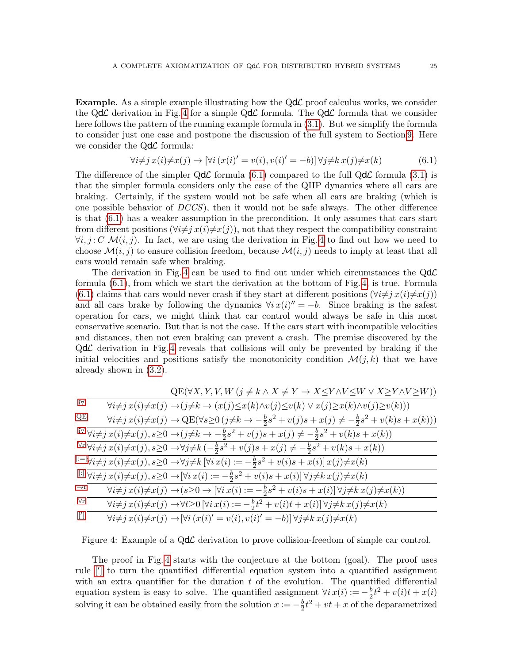**Example.** As a simple example illustrating how the  $Qd\mathcal{L}$  proof calculus works, we consider the QdC derivation in Fig. [4](#page-24-0) for a simple QdC formula. The QdC formula that we consider here follows the pattern of the running example formula in [\(3.1\)](#page-7-0). But we simplify the formula to consider just one case and postpone the discussion of the full system to Section [9.](#page-39-0) Here we consider the  $Qd\mathcal{L}$  formula:

<span id="page-24-1"></span>
$$
\forall i \neq j \ x(i) \neq x(j) \rightarrow [\forall i \ (x(i)' = v(i), v(i)' = -b)] \ \forall j \neq k \ x(j) \neq x(k) \tag{6.1}
$$

The difference of the simpler  $Qd\mathcal{L}$  formula [\(6.1\)](#page-24-1) compared to the full  $Qd\mathcal{L}$  formula [\(3.1\)](#page-7-0) is that the simpler formula considers only the case of the QHP dynamics where all cars are braking. Certainly, if the system would not be safe when all cars are braking (which is one possible behavior of  $DCCS$ ), then it would not be safe always. The other difference is that [\(6.1\)](#page-24-1) has a weaker assumption in the precondition. It only assumes that cars start from different positions  $(\forall i\neq j \; x(i)\neq x(j))$ , not that they respect the compatibility constraint  $\forall i, j \in \mathcal{C}$   $\mathcal{M}(i, j)$ . In fact, we are using the derivation in Fig. [4](#page-24-0) to find out how we need to choose  $\mathcal{M}(i, j)$  to ensure collision freedom, because  $\mathcal{M}(i, j)$  needs to imply at least that all cars would remain safe when braking.

The derivation in Fig. [4](#page-24-0) can be used to find out under which circumstances the  $Qd\mathcal{L}$ formula [\(6.1\)](#page-24-1), from which we start the derivation at the bottom of Fig. [4,](#page-24-0) is true. Formula [\(6.1\)](#page-24-1) claims that cars would never crash if they start at different positions  $(\forall i \neq j \ x(i) \neq x(j))$ and all cars brake by following the dynamics  $\forall i x(i)'' = -b$ . Since braking is the safest operation for cars, we might think that car control would always be safe in this most conservative scenario. But that is not the case. If the cars start with incompatible velocities and distances, then not even braking can prevent a crash. The premise discovered by the QdL derivation in Fig. [4](#page-24-0) reveals that collisions will only be prevented by braking if the initial velocities and positions satisfy the monotonicity condition  $\mathcal{M}(j,k)$  that we have already shown in [\(3.2\)](#page-8-1).

|                      | $QE(\forall X, Y, V, W (j \neq k \land X \neq Y \rightarrow X \leq Y \land V \leq W \lor X \geq Y \land V \geq W))$                                                                             |
|----------------------|-------------------------------------------------------------------------------------------------------------------------------------------------------------------------------------------------|
| i∀                   | $\forall i \neq j \ x(i) \neq x(j) \rightarrow (j \neq k \rightarrow (x(j) \leq x(k) \land v(j) \leq v(k) \lor x(j) \geq x(k) \land v(j) \geq v(k)))$                                           |
| QE                   | $\overline{\forall i \neq j \ x(i) \neq x(j)} \rightarrow \mathrm{QE}(\forall s \geq 0 (j \neq k \rightarrow -\frac{b}{2}s^2 + v(j)s + x(j) \neq -\frac{b}{2}s^2 + v(k)s + x(k)))$              |
|                      | $\forall i \neq j \ x(i) \neq x(j), s \geq 0 \rightarrow (j \neq k \rightarrow -\frac{b}{2}s^2 + v(j)s + x(j) \neq -\frac{b}{2}s^2 + v(k)s + x(k))$                                             |
|                      | $\forall \mathbf{r} \ \overline{\forall i \neq j \ x(i) \neq x(j), s \geq 0 \rightarrow} \forall j \neq k \ (-\tfrac{b}{2}s^2+v(j)s+x(j) \neq -\tfrac{b}{2}s^2+v(k)s+x(k))$                     |
|                      | $[:=]\overline{\forall i \neq j \ x(i) \neq x(j), s \geq 0 \rightarrow \forall j \neq k} \ [\forall i \ x(i) := -\frac{b}{2}s^2 + v(i)s + x(i)] \ x(j) \neq x(k)$                               |
|                      | $\lim_{i \to \infty} \frac{1}{\forall i \neq j} \frac{x(i) \neq x(j), s \geq 0 \rightarrow \forall i \frac{x(i)}{s} = -\frac{b}{2}s^2 + v(i)s + x(i) \forall j \neq k \frac{x(j)}{s} \neq x(k)$ |
| $\rightarrow r$      | $\overline{\forall i \neq j \ x(i) \neq x(j) \rightarrow (s \geq 0 \rightarrow \left[ \forall i \ x(i) := -\frac{b}{2}s^2 + v(i)s + x(i) \right] \forall j \neq k \ x(j) \neq x(k))$            |
| $\forall \mathbf{r}$ | $\forall i \neq j \ x(i) \neq x(j) \rightarrow \forall t \geq 0 \ [\forall i \ x(i) := -\frac{b}{2}t^2 + v(i)t + x(i)] \ \forall j \neq k \ x(j) \neq x(k)$                                     |
| $[^{\prime}]$        | $\forall i \neq j \ x(i) \neq x(j) \rightarrow [\forall i \ (x(i)' = v(i), v(i)' = -b)] \ \forall j \neq k \ x(j) \neq x(k)$                                                                    |

<span id="page-24-0"></span>Figure 4: Example of a QdC derivation to prove collision-freedom of simple car control.

The proof in Fig. [4](#page-24-0) starts with the conjecture at the bottom (goal). The proof uses rule [\[](#page-17-15)'] to turn the quantified differential equation system into a quantified assignment with an extra quantifier for the duration  $t$  of the evolution. The quantified differential equation system is easy to solve. The quantified assignment  $\forall i x(i) := -\frac{b}{2}$  $\frac{b}{2}t^2 + v(i)t + x(i)$ solving it can be obtained easily from the solution  $x := -\frac{b}{2}$  $\frac{b}{2}t^2 + vt + x$  of the deparametrized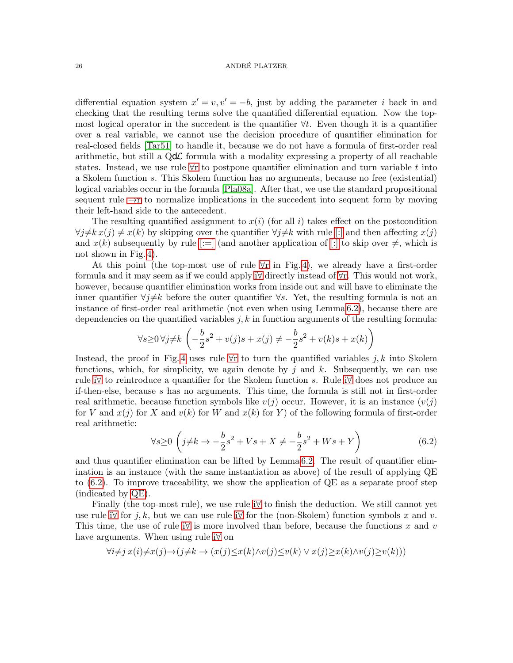differential equation system  $x' = v, v' = -b$ , just by adding the parameter i back in and checking that the resulting terms solve the quantified differential equation. Now the topmost logical operator in the succedent is the quantifier ∀t. Even though it is a quantifier over a real variable, we cannot use the decision procedure of quantifier elimination for real-closed fields [\[Tar51\]](#page-43-21) to handle it, because we do not have a formula of first-order real arithmetic, but still a  $Qd\mathcal{L}$  formula with a modality expressing a property of all reachable states. Instead, we use rule  $\forall r$  to postpone quantifier elimination and turn variable t into a Skolem function s. This Skolem function has no arguments, because no free (existential) logical variables occur in the formula [\[Pla08a\]](#page-43-10). After that, we use the standard propositional sequent rule  $\rightarrow$ r to normalize implications in the succedent into sequent form by moving their left-hand side to the antecedent.

The resulting quantified assignment to  $x(i)$  (for all i) takes effect on the postcondition  $\forall j\neq k \, x(j) \neq x(k)$  by skipping over the quantifier  $\forall j\neq k$  with rule [\[:\]](#page-17-19) and then affecting  $x(j)$ and  $x(k)$  subsequently by rule  $[:=]$  (and another application of  $[:]$  to skip over  $\neq$ , which is not shown in Fig. [4\)](#page-24-0).

At this point (the top-most use of rule [∀](#page-17-25)r in Fig. [4\)](#page-24-0), we already have a first-order formula and it may seem as if we could apply [i](#page-17-27)∀ directly instead of [∀](#page-17-25)r. This would not work, however, because quantifier elimination works from inside out and will have to eliminate the inner quantifier  $\forall j \neq k$  before the outer quantifier  $\forall s$ . Yet, the resulting formula is not an instance of first-order real arithmetic (not even when using Lemma [6.2\)](#page-23-0), because there are dependencies on the quantified variables  $j, k$  in function arguments of the resulting formula:

$$
\forall s \ge 0 \, \forall j \ne k \left( -\frac{b}{2}s^2 + v(j)s + x(j) \ne -\frac{b}{2}s^2 + v(k)s + x(k) \right)
$$

Instead, the proof in Fig. [4](#page-24-0) uses rule  $\forall$ r to turn the quantified variables j, k into Skolem functions, which, for simplicity, we again denote by j and k. Subsequently, we can use rule [i](#page-17-27)∀ to reintroduce a quantifier for the Skolem function s. Rule [i](#page-17-27)∀ does not produce an if-then-else, because s has no arguments. This time, the formula is still not in first-order real arithmetic, because function symbols like  $v(j)$  occur. However, it is an instance  $(v(j))$ for V and  $x(j)$  for X and  $v(k)$  for W and  $x(k)$  for Y) of the following formula of first-order real arithmetic:

<span id="page-25-0"></span>
$$
\forall s \ge 0 \left( j \neq k \to -\frac{b}{2} s^2 + V s + X \neq -\frac{b}{2} s^2 + W s + Y \right) \tag{6.2}
$$

and thus quantifier elimination can be lifted by Lemma [6.2.](#page-23-0) The result of quantifier elimination is an instance (with the same instantiation as above) of the result of applying QE to [\(6.2\)](#page-25-0). To improve traceability, we show the application of QE as a separate proof step (indicated by [QE\)](#page-0-0).

Finally (the top-most rule), we use rule [i](#page-17-27)∀ to finish the deduction. We still cannot yet use rule [i](#page-17-27) $\forall$  for j, k, but we can use rule i $\forall$  for the (non-Skolem) function symbols x and v. This time, the use of rule [i](#page-17-27) $\forall$  is more involved than before, because the functions x and v have arguments. When using rule [i](#page-17-27)∀ on

$$
\forall i \neq j \ x(i) \neq x(j) \rightarrow (j \neq k \rightarrow (x(j) \leq x(k) \land v(j) \leq v(k) \lor x(j) \geq x(k) \land v(j) \geq v(k)))
$$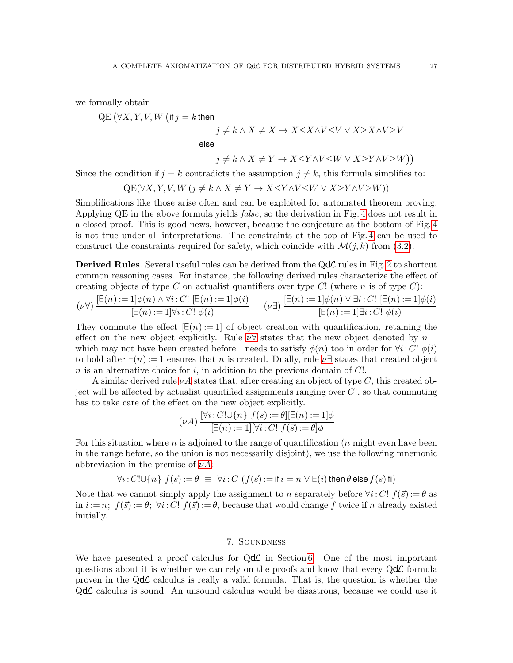we formally obtain

 $\mathrm{QE}\left( \forall X,Y,V,W\left( \textsf{if}\, j=k \textsf{then}\right.\right)$ 

$$
j \neq k \land X \neq X \to X \leq X \land V \leq V \lor X \geq X \land V \geq V
$$
  
else  

$$
j \neq k \land X \neq Y \to X \leq Y \land V \leq W \lor X \geq Y \land V \geq W)
$$
)

Since the condition if  $j = k$  contradicts the assumption  $j \neq k$ , this formula simplifies to:

$$
QE(\forall X, Y, V, W \ (j \neq k \land X \neq Y \to X \leq Y \land V \leq W \lor X \geq Y \land V \geq W))
$$

Simplifications like those arise often and can be exploited for automated theorem proving. Applying QE in the above formula yields *false*, so the derivation in Fig. [4](#page-24-0) does not result in a closed proof. This is good news, however, because the conjecture at the bottom of Fig. [4](#page-24-0) is not true under all interpretations. The constraints at the top of Fig. [4](#page-24-0) can be used to construct the constraints required for safety, which coincide with  $\mathcal{M}(j,k)$  from [\(3.2\)](#page-8-1).

Derived Rules. Several useful rules can be derived from the QdC rules in Fig. [2](#page-17-8) to shortcut common reasoning cases. For instance, the following derived rules characterize the effect of creating objects of type C on actualist quantifiers over type C! (where n is of type C):

$$
(\nu \forall) \frac{[\mathbb{E}(n) := 1] \phi(n) \land \forall i : C! [\mathbb{E}(n) := 1] \phi(i)}{[\mathbb{E}(n) := 1] \forall i : C! \phi(i)} \qquad (\nu \exists) \frac{[\mathbb{E}(n) := 1] \phi(n) \lor \exists i : C! [\mathbb{E}(n) := 1] \phi(i)}{[\mathbb{E}(n) := 1] \exists i : C! \phi(i)}
$$

<span id="page-26-0"></span>They commute the effect  $\mathbb{E}(n) := 1$  of object creation with quantification, retaining the effect on the new object explicitly. Rule  $\nu\forall$  states that the new object denoted by n which may not have been created before—needs to satisfy  $\phi(n)$  too in order for  $\forall i: C!$   $\phi(i)$ to hold after  $E(n) := 1$  ensures that n is created. Dually, rule  $\nu \exists$  states that created object  $n$  is an alternative choice for  $i$ , in addition to the previous domain of  $C!$ .

A similar derived rule  $\nu A$  states that, after creating an object of type C, this created object will be affected by actualist quantified assignments ranging over C!, so that commuting has to take care of the effect on the new object explicitly.

<span id="page-26-2"></span><span id="page-26-1"></span>
$$
(\nu A) \frac{[\forall i : C! \cup \{n\} \ f(\vec{s}) := \theta][\mathbb{E}(n) := 1] \phi}{\mathbb{E}(n) := 1 | [\forall i : C! \ f(\vec{s}) := \theta] \phi}
$$

For this situation where n is adjoined to the range of quantification ( $n$  might even have been in the range before, so the union is not necessarily disjoint), we use the following mnemonic abbreviation in the premise of  $\nu A$ :

$$
\forall i: C! \cup \{n\} \ f(\vec{s}) := \theta \equiv \forall i: C \ (f(\vec{s}) := \text{if } i = n \lor \text{E}(i) \text{ then } \theta \text{ else } f(\vec{s}) \text{ fi})
$$

Note that we cannot simply apply the assignment to n separately before  $\forall i: C'$ !  $f(\vec{s}) := \theta$  as in  $i := n$ ;  $f(\vec{s}) := \theta$ ;  $\forall i: C$ !  $f(\vec{s}) := \theta$ , because that would change f twice if n already existed initially.

# 7. Soundness

We have presented a proof calculus for  $Qd\mathcal{L}$  in Section [6.](#page-18-2) One of the most important questions about it is whether we can rely on the proofs and know that every  $Qd\mathcal{L}$  formula proven in the  $Qd\mathcal{L}$  calculus is really a valid formula. That is, the question is whether the  $Qd\mathcal{L}$  calculus is sound. An unsound calculus would be disastrous, because we could use it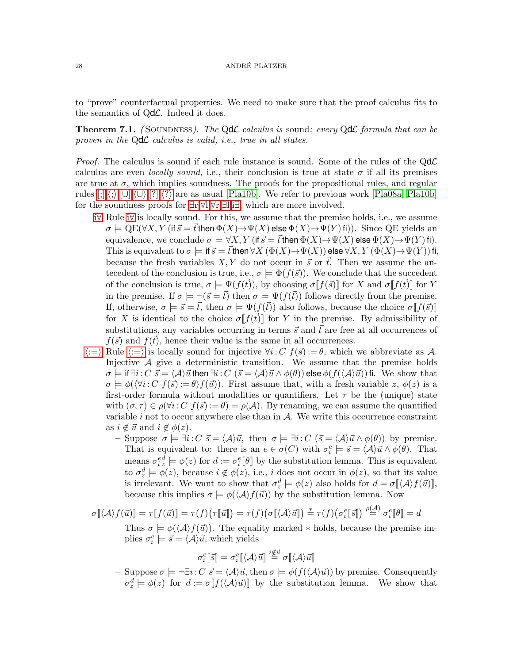to "prove" counterfactual properties. We need to make sure that the proof calculus fits to the semantics of  $Qd\mathcal{L}$ . Indeed it does.

<span id="page-27-0"></span>**Theorem 7.1.** (SOUNDNESS). The Q**d** $\mathcal{L}$  calculus is sound: every Q**d** $\mathcal{L}$  formula that can be proven in the  $Qd\mathcal{L}$  calculus is valid, i.e., true in all states.

*Proof.* The calculus is sound if each rule instance is sound. Some of the rules of the  $Qd\mathcal{L}$ calculus are even *locally sound*, i.e., their conclusion is true at state  $\sigma$  if all its premises are true at  $\sigma$ , which implies soundness. The proofs for the propositional rules, and regular rules  $[;],\langle;],[\cup],\langle\cup\rangle,[?],\langle?\rangle$  $[;],\langle;],[\cup],\langle\cup\rangle,[?],\langle?\rangle$  $[;],\langle;],[\cup],\langle\cup\rangle,[?],\langle?\rangle$  $[;],\langle;],[\cup],\langle\cup\rangle,[?],\langle?\rangle$  $[;],\langle;],[\cup],\langle\cup\rangle,[?],\langle?\rangle$  are as usual [\[Pla10b\]](#page-43-2). We refer to previous work [\[Pla08a,](#page-43-10) [Pla10b\]](#page-43-2) for the soundness proofs for [∃](#page-17-23)r,[∀](#page-17-24)l,[∀](#page-17-25)r,[∃](#page-17-26)l,i[∃](#page-17-28), which are more involved.

- i[∀](#page-17-27) Rule [i](#page-17-27)∀ is locally sound. For this, we assume that the premise holds, i.e., we assume  $\sigma \models \text{QE}(\forall X, Y \text{ (if } \vec{s} = \vec{t} \text{ then } \Phi(X) \rightarrow \Psi(X) \text{ else } \Phi(X) \rightarrow \Psi(Y) \text{ fi})).$  Since QE yields an equivalence, we conclude  $\sigma \models \forall X, Y$  (if  $\vec{s} = \vec{t}$  then  $\Phi(X) \rightarrow \Psi(X)$  else  $\Phi(X) \rightarrow \Psi(Y)$  fi). This is equivalent to  $\sigma \models$  if  $\vec{s} = \vec{t}$  then  $\forall X (\Phi(X) \rightarrow \Psi(X))$  else  $\forall X, Y (\Phi(X) \rightarrow \Psi(Y))$  fi, because the fresh variables  $X, Y$  do not occur in  $\vec{s}$  or  $\vec{t}$ . Then we assume the antecedent of the conclusion is true, i.e.,  $\sigma \models \Phi(f(\vec{s}))$ . We conclude that the succedent of the conclusion is true,  $\sigma \models \Psi(f(\vec{t}))$ , by choosing  $\sigma[f(\vec{s})]$  for X and  $\sigma[f(\vec{t})]$  for Y in the premise. If  $\sigma \models \neg (\vec{s} = \vec{t})$  then  $\sigma \models \Psi(f(\vec{t}))$  follows directly from the premise. If, otherwise,  $\sigma \models \vec{s} = \vec{t}$ , then  $\sigma \models \Psi(f(\vec{t}))$  also follows, because the choice  $\sigma[f(\vec{s})]$ for X is identical to the choice  $\sigma \| f(\vec{t}) \|$  for Y in the premise. By admissibility of substitutions, any variables occurring in terms  $\vec{s}$  and  $\vec{t}$  are free at all occurrences of  $f(\vec{s})$  and  $f(\vec{t})$ , hence their value is the same in all occurrences.
- $\langle := \rangle$  $\langle := \rangle$  $\langle := \rangle$  Rule  $\langle := \rangle$  is locally sound for injective  $\forall i: C \; f(\vec{s}) := \theta$ , which we abbreviate as A. Injective A give a deterministic transition. We assume that the premise holds  $\sigma \models \text{if } \exists i: C \ \vec{s} = \langle A \rangle \vec{u}$  then  $\exists i: C \ (\vec{s} = \langle A \rangle \vec{u} \wedge \phi(\theta))$  else  $\phi(f(\langle A \rangle \vec{u}))$  fi. We show that  $\sigma \models \phi(\forall i: C \; f(\vec{s}) := \theta \; f(\vec{u}))$ . First assume that, with a fresh variable z,  $\phi(z)$  is a first-order formula without modalities or quantifiers. Let  $\tau$  be the (unique) state with  $(\sigma, \tau) \in \rho(\forall i: C \; f(\vec{s}) := \theta) = \rho(\mathcal{A}).$  By renaming, we can assume the quantified variable  $i$  not to occur anywhere else than in  $A$ . We write this occurrence constraint as  $i \notin \vec{u}$  and  $i \notin \phi(z)$ .
	- Suppose  $\sigma \models \exists i: C \ \vec{s} = \langle A \rangle \vec{u}$ , then  $\sigma \models \exists i: C \ (\vec{s} = \langle A \rangle \vec{u} \wedge \phi(\theta))$  by premise. That is equivalent to: there is an  $e \in \sigma(C)$  with  $\sigma_i^e \models \vec{s} = \langle A \rangle \vec{u} \wedge \phi(\theta)$ . That means  $\sigma_{iz}^{ed} \models \phi(z)$  for  $d := \sigma_i^e[\![\theta]\!]$  by the substitution lemma. This is equivalent to  $\sigma_z^d \models \phi(z)$ , because  $i \notin \phi(z)$ , i.e., i does not occur in  $\phi(z)$ , so that its value is irrelevant. We want to show that  $\sigma_z^d \models \phi(z)$  also holds for  $d = \sigma[\langle \mathcal{A} \rangle f(\vec{u})],$ because this implies  $\sigma \models \phi(\langle A \rangle f(\vec{u}))$  by the substitution lemma. Now

$$
\sigma[\![\langle A \rangle f(\vec{u})\!] = \tau[\![f(\vec{u})\!] = \tau(f)(\tau[\![\vec{u}]\!]) = \tau(f)(\sigma[\![\langle A \rangle \vec{u}]\!]) \stackrel{*}{=} \tau(f)(\sigma_i^e[\![\vec{s}]\!]) \stackrel{\rho(A)}{=} \sigma_i^e[\![\theta]\!]= d
$$

Thus  $\sigma \models \phi(\langle A \rangle f(\vec{u}))$ . The equality marked  $*$  holds, because the premise implies  $\sigma_i^e \models \vec{s} = \langle \mathcal{A} \rangle \vec{u}$ , which yields

$$
\sigma_i^e[\hspace{-0.04cm}[ \vec{s}]\hspace{-0.04cm}]=\sigma_i^e[\hspace{-0.04cm}[ \langle \mathcal{A} \rangle \vec{u}]\hspace{-0.04cm}]\overset{i \not\in \vec{u}}{=} \sigma[\hspace{-0.04cm}[ \langle \mathcal{A} \rangle \vec{u}]\hspace{-0.04cm}]
$$

– Suppose  $\sigma \models \neg \exists i : C \ \vec{s} = \langle A \rangle \vec{u}$ , then  $\sigma \models \phi(f(\langle A \rangle \vec{u}))$  by premise. Consequently  $\sigma_z^d \models \phi(z)$  for  $d := \sigma \llbracket f(\langle \mathcal{A} \rangle \vec{u}) \rrbracket$  by the substitution lemma. We show that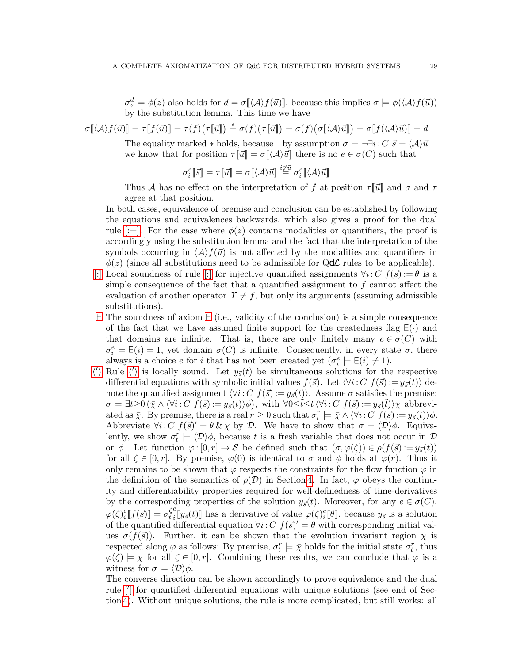$\sigma_z^d \models \phi(z)$  also holds for  $d = \sigma[\langle \mathcal{A} \rangle f(\vec{u})]$ , because this implies  $\sigma \models \phi(\langle \mathcal{A} \rangle f(\vec{u}))$ by the substitution lemma. This time we have

$$
\sigma[\hspace{-0.04cm}[ \langle \mathcal{A} \rangle f(\vec{u}) ]\hspace{-0.04cm}] = \tau[\hspace{-0.04cm}[ f(\vec{u}) ]\hspace{-0.04cm}] = \tau(f)\big(\tau[\hspace{-0.04cm}[ \vec{u} ]\hspace{-0.04cm}] \big) = \sigma(f)\big(\sigma[\hspace{-0.04cm}[ \langle \mathcal{A} \rangle \vec{u} ]\hspace{-0.04cm}] \big) = \sigma[\hspace{-0.04cm}[ f(\langle \mathcal{A} \rangle \vec{u}) ]\hspace{-0.04cm}] = d
$$

The equality marked  $*$  holds, because—by assumption  $\sigma \models \neg \exists i : C \ \vec{s} = \langle A \rangle \vec{u}$  we know that for position  $\tau[\![\vec{u}]\!] = \sigma[\![\langle \mathcal{A} \rangle \vec{u}]\!]$  there is no  $e \in \sigma(C)$  such that

$$
\sigma_i^e[\![\vec{s}]\!] = \tau[\![\vec{u}]\!] = \sigma[\![\langle \mathcal{A} \rangle \vec{u}]\!] \stackrel{i \not\in \vec{u}}{=} \sigma_i^e[\![\langle \mathcal{A} \rangle \vec{u}]\!]
$$

Thus A has no effect on the interpretation of f at position  $\tau[\vec{u}]$  and  $\sigma$  and  $\tau$ agree at that position.

In both cases, equivalence of premise and conclusion can be established by following the equations and equivalences backwards, which also gives a proof for the dual rule [\[:=\].](#page-17-17) For the case where  $\phi(z)$  contains modalities or quantifiers, the proof is accordingly using the substitution lemma and the fact that the interpretation of the symbols occurring in  $\langle A \rangle f(\vec{u})$  is not affected by the modalities and quantifiers in  $\phi(z)$  (since all substitutions need to be admissible for Q**d**C rules to be applicable).

- [\[:\]](#page-17-19) Local soundness of rule [\[:\]](#page-17-19) for injective quantified assignments  $\forall i: C \; f(\vec{s}) := \theta$  is a simple consequence of the fact that a quantified assignment to  $f$  cannot affect the evaluation of another operator  $\Upsilon \neq f$ , but only its arguments (assuming admissible substitutions).
- [∃](#page-17-22) The soundness of axiom [∃](#page-17-22) (i.e., validity of the conclusion) is a simple consequence of the fact that we have assumed finite support for the createdness flag  $E(\cdot)$  and that domains are infinite. That is, there are only finitely many  $e \in \sigma(C)$  with  $\sigma_i^e \models \mathsf{E}(i) = 1$ , yet domain  $\sigma(C)$  is infinite. Consequently, in every state  $\sigma$ , there always is a choice e for i that has not been created yet  $(\sigma_i^e \models \mathsf{E}(i) \neq 1)$ .
- $\langle \rangle$  Rule  $\langle \rangle$  is locally sound. Let  $y_{\vec{s}}(t)$  be simultaneous solutions for t[h](#page-17-16)e respective differential equations with symbolic initial values  $f(\vec{s})$ . Let  $\langle \forall i: C \; f(\vec{s}) : = y_{\vec{s}}(t) \rangle$  denote the quantified assignment  $\forall i: C \ f(\vec{s}) := y_{\vec{s}}(t)$ . Assume  $\sigma$  satisfies the premise:  $\sigma \models \exists t \geq 0 \left( \bar{\chi} \wedge \langle \forall i : C \ f(\vec{s}) : = y_{\vec{s}}(t) \rangle \phi \right), \text{ with } \forall 0 \leq \tilde{t} \leq t \left\langle \forall i : C \ f(\vec{s}) : = y_{\vec{s}}(\tilde{t}) \right\rangle \chi \text{ abbrevi$ ated as  $\bar{\chi}$ . By premise, there is a real  $r \geq 0$  such that  $\sigma_t^r \models \bar{\chi} \wedge \langle \forall i : C \; f(\bar{s}) : = y_{\bar{s}}(t) \rangle \phi$ . Abbreviate  $\forall i: C \ f(\vec{s})' = \theta \& \chi$  by D. We have to show that  $\sigma \models \langle D \rangle \phi$ . Equivalently, we show  $\sigma_t^r \models \langle \mathcal{D} \rangle \phi$ , because t is a fresh variable that does not occur in  $\mathcal{D}$ or  $\phi$ . Let function  $\varphi : [0, r] \to S$  be defined such that  $(\sigma, \varphi(\zeta)) \in \rho(f(\vec{s}) := y_{\vec{s}}(t))$ for all  $\zeta \in [0, r]$ . By premise,  $\varphi(0)$  is identical to  $\sigma$  and  $\phi$  holds at  $\varphi(r)$ . Thus it only remains to be shown that  $\varphi$  respects the constraints for the flow function  $\varphi$  in the definition of the semantics of  $\rho(\mathcal{D})$  in Section [4.](#page-12-0) In fact,  $\varphi$  obeys the continuity and differentiability properties required for well-definedness of time-derivatives by the corresponding properties of the solution  $y_{\tilde{s}}(t)$ . Moreover, for any  $e \in \sigma(C)$ ,  $\varphi(\zeta)_i^e$  $\mathcal{E}_{i}^e[\![f(\vec{s})]\!] = \sigma_t^{\zeta}$ t e  $\int_{i}^{e} [y_{\vec{s}}(t)]$  has a derivative of value  $\varphi(\zeta)_{i}^{e}$  $_i^e[\![\theta]\!]$ , because  $y_{\vec{s}}$  is a solution of the quantified differential equation  $\forall i: C \ f(\vec{s})' = \theta$  with corresponding initial values  $\sigma(f(\vec{s}))$ . Further, it can be shown that the evolution invariant region  $\chi$  is respected along  $\varphi$  as follows: By premise,  $\sigma_t^r \models \bar{\chi}$  holds for the initial state  $\sigma_t^r$ , thus  $\varphi(\zeta) \models \chi$  for all  $\zeta \in [0, r]$ . Combining these results, we can conclude that  $\varphi$  is a witness for  $\sigma \models \langle \mathcal{D} \rangle \phi$ .

The converse direction can be shown accordingly to prove equivalence and the dual rule [\[](#page-17-15)'] for quantified differential equations with unique solutions (see end of Section [4\)](#page-12-0). Without unique solutions, the rule is more complicated, but still works: all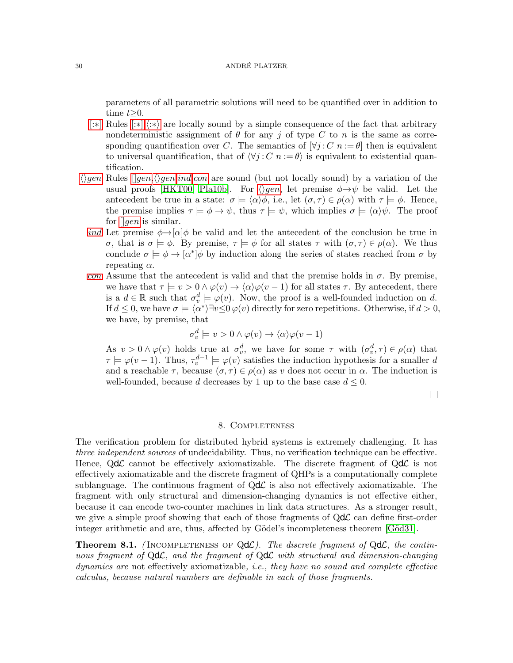parameters of all parametric solutions will need to be quantified over in addition to time  $t>0$ .

- [\[:](#page-17-20)∗] Rules [\[:](#page-17-20)∗], $\langle x \rangle$  are locally sound by a simple consequence of the fact that arbitrary nondeterministic assignment of  $\theta$  for any j of type C to n is the same as corresponding quantification over C. The semantics of  $[\forall j : C \ n := \theta]$  then is equivalent to universal quantification, that of  $\forall j : C \ n := \theta$  is equivalent to existential quantification.
- $\langle \rangle$ [gen](#page-17-30) Rules  $[gen, \langle \rangle gen, ind, con]$  $[gen, \langle \rangle gen, ind, con]$  $[gen, \langle \rangle gen, ind, con]$  $[gen, \langle \rangle gen, ind, con]$  $[gen, \langle \rangle gen, ind, con]$  are sound (but not locally sound) by a variation of the usual proofs [\[HKT00,](#page-42-9) [Pla10b\]](#page-43-2). For  $\langle \rangle gen$  $\langle \rangle gen$ , let premise  $\phi \rightarrow \psi$  be valid. Let the antecedent be true in a state:  $\sigma \models \langle \alpha \rangle \phi$ , i.e., let  $(\sigma, \tau) \in \rho(\alpha)$  with  $\tau \models \phi$ . Hence, the premise implies  $\tau \models \phi \rightarrow \psi$ , thus  $\tau \models \psi$ , which implies  $\sigma \models \langle \alpha \rangle \psi$ . The proof for  $\left\|gen\right\rangle$  $\left\|gen\right\rangle$  $\left\|gen\right\rangle$  is similar.
	- [ind](#page-17-31) Let premise  $\phi \rightarrow |\alpha| \phi$  be valid and let the antecedent of the conclusion be true in σ, that is  $\sigma \models \phi$ . By premise,  $\tau \models \phi$  for all states  $\tau$  with  $(\sigma, \tau) \in \rho(\alpha)$ . We thus conclude  $\sigma \models \phi \rightarrow [\alpha^*] \phi$  by induction along the series of states reached from  $\sigma$  by repeating  $\alpha$ .
	- [con](#page-17-32) Assume that the antecedent is valid and that the premise holds in  $\sigma$ . By premise, we have that  $\tau \models v > 0 \land \varphi(v) \rightarrow \langle \alpha \rangle \varphi(v - 1)$  for all states  $\tau$ . By antecedent, there is a  $d \in \mathbb{R}$  such that  $\sigma_v^d \models \varphi(v)$ . Now, the proof is a well-founded induction on d. If  $d \leq 0$ , we have  $\sigma \models \langle \alpha^* \rangle \exists v \leq 0 \varphi(v)$  directly for zero repetitions. Otherwise, if  $d > 0$ , we have, by premise, that

$$
\sigma_v^d \models v > 0 \land \varphi(v) \to \langle \alpha \rangle \varphi(v-1)
$$

As  $v > 0 \wedge \varphi(v)$  holds true at  $\sigma_v^d$ , we have for some  $\tau$  with  $(\sigma_v^d, \tau) \in \rho(\alpha)$  that  $\tau \models \varphi(v-1)$ . Thus,  $\tau_v^{d-1} \models \varphi(v)$  satisfies the induction hypothesis for a smaller d and a reachable  $\tau$ , because  $(\sigma, \tau) \in \rho(\alpha)$  as v does not occur in  $\alpha$ . The induction is well-founded, because d decreases by 1 up to the base case  $d \leq 0$ .

 $\Box$ 

#### 8. Completeness

The verification problem for distributed hybrid systems is extremely challenging. It has three independent sources of undecidability. Thus, no verification technique can be effective. Hence,  $Qd\mathcal{L}$  cannot be effectively axiomatizable. The discrete fragment of  $Qd\mathcal{L}$  is not effectively axiomatizable and the discrete fragment of QHPs is a computationally complete sublanguage. The continuous fragment of  $Qd\mathcal{L}$  is also not effectively axiomatizable. The fragment with only structural and dimension-changing dynamics is not effective either, because it can encode two-counter machines in link data structures. As a stronger result, we give a simple proof showing that each of those fragments of  $Qd\mathcal{L}$  can define first-order integer arithmetic and are, thus, affected by Gödel's incompleteness theorem [Göd31].

<span id="page-29-0"></span>**Theorem 8.1.** (INCOMPLETENESS OF  $Qd\mathcal{L}$ ). The discrete fragment of  $Qd\mathcal{L}$ , the continuous fragment of  $Qd\mathcal{L}$ , and the fragment of  $Qd\mathcal{L}$  with structural and dimension-changing dynamics are not effectively axiomatizable, i.e., they have no sound and complete effective calculus, because natural numbers are definable in each of those fragments.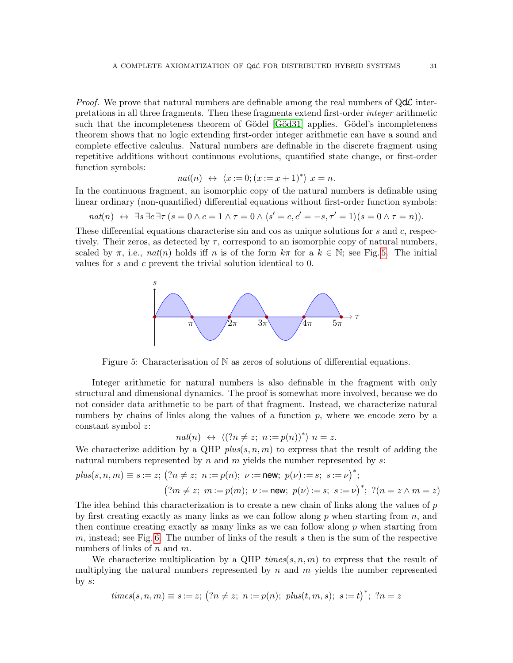*Proof.* We prove that natural numbers are definable among the real numbers of  $Qd\mathcal{L}$  interpretations in all three fragments. Then these fragments extend first-order integer arithmetic such that the incompleteness theorem of Gödel [Göd31] applies. Gödel's incompleteness theorem shows that no logic extending first-order integer arithmetic can have a sound and complete effective calculus. Natural numbers are definable in the discrete fragment using repetitive additions without continuous evolutions, quantified state change, or first-order function symbols:

$$
nat(n) \leftrightarrow \langle x:=0; (x:=x+1)^* \rangle \ x=n.
$$

In the continuous fragment, an isomorphic copy of the natural numbers is definable using linear ordinary (non-quantified) differential equations without first-order function symbols:

$$
nat(n) \leftrightarrow \exists s \exists c \exists \tau (s = 0 \land c = 1 \land \tau = 0 \land \langle s' = c, c' = -s, \tau' = 1 \rangle (s = 0 \land \tau = n)).
$$

These differential equations characterise sin and cos as unique solutions for s and c, respectively. Their zeros, as detected by  $\tau$ , correspond to an isomorphic copy of natural numbers, scaled by  $\pi$ , i.e.,  $nat(n)$  holds iff n is of the form  $k\pi$  for a  $k \in \mathbb{N}$ ; see Fig. [5.](#page-30-0) The initial values for s and c prevent the trivial solution identical to 0.



<span id="page-30-0"></span>Figure 5: Characterisation of  $\mathbb N$  as zeros of solutions of differential equations.

Integer arithmetic for natural numbers is also definable in the fragment with only structural and dimensional dynamics. The proof is somewhat more involved, because we do not consider data arithmetic to be part of that fragment. Instead, we characterize natural numbers by chains of links along the values of a function  $p$ , where we encode zero by a constant symbol z:

$$
nat(n) \leftrightarrow \langle (?n \neq z; n := p(n))^{*} \rangle n = z.
$$

We characterize addition by a QHP  $plus(s, n, m)$  to express that the result of adding the natural numbers represented by  $n$  and  $m$  yields the number represented by  $s$ :

$$
plus(s, n, m) \equiv s := z; \ (?\n n \neq z; \ n := p(n); \ \nu := \text{new}; \ p(\nu) := s; \ s := \nu)^*;
$$
\n
$$
(\ ?m \neq z; \ m := p(m); \ \nu := \text{new}; \ p(\nu) := s; \ s := \nu)^*; \ ?(n = z \land m = z)
$$

The idea behind this characterization is to create a new chain of links along the values of p by first creating exactly as many links as we can follow along  $p$  when starting from  $n$ , and then continue creating exactly as many links as we can follow along  $p$  when starting from m, instead; see Fig. [6.](#page-31-0) The number of links of the result s then is the sum of the respective numbers of links of  $n$  and  $m$ .

We characterize multiplication by a QHP  $times(s, n, m)$  to express that the result of multiplying the natural numbers represented by  $n$  and  $m$  yields the number represented by  $s$ :

$$
times(s, n, m) \equiv s := z; \ (?\neg p \neq z; \ n := p(n); \ plus(t, m, s); \ s := t)^{*}; \ ?n = z
$$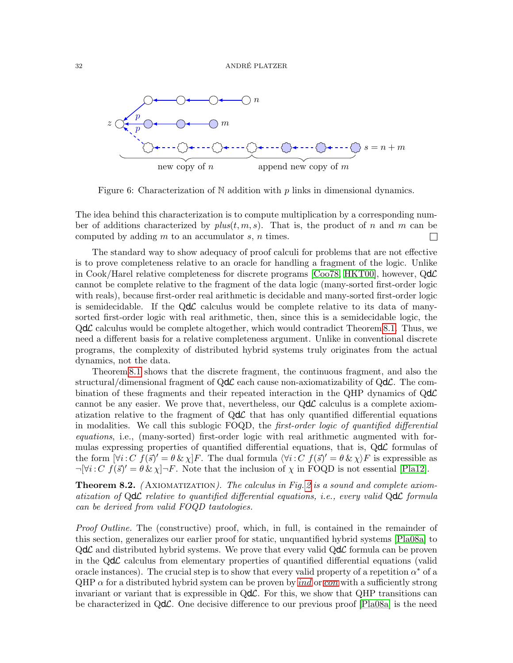

<span id="page-31-0"></span>Figure 6: Characterization of N addition with  $p$  links in dimensional dynamics.

The idea behind this characterization is to compute multiplication by a corresponding number of additions characterized by  $plus(t, m, s)$ . That is, the product of n and m can be computed by adding  $m$  to an accumulator  $s, n$  times.  $\Box$ 

The standard way to show adequacy of proof calculi for problems that are not effective is to prove completeness relative to an oracle for handling a fragment of the logic. Unlike in Cook/Harel relative completeness for discrete programs [\[Coo78,](#page-42-19) [HKT00\]](#page-42-9), however,  $Qd\mathcal{L}$ cannot be complete relative to the fragment of the data logic (many-sorted first-order logic with reals), because first-order real arithmetic is decidable and many-sorted first-order logic is semidecidable. If the  $Qd\mathcal{L}$  calculus would be complete relative to its data of manysorted first-order logic with real arithmetic, then, since this is a semidecidable logic, the  $Qd\mathcal{L}$  calculus would be complete altogether, which would contradict Theorem [8.1.](#page-29-0) Thus, we need a different basis for a relative completeness argument. Unlike in conventional discrete programs, the complexity of distributed hybrid systems truly originates from the actual dynamics, not the data.

Theorem [8.1](#page-29-0) shows that the discrete fragment, the continuous fragment, and also the structural/dimensional fragment of  $Qd\mathcal{L}$  each cause non-axiomatizability of  $Qd\mathcal{L}$ . The combination of these fragments and their repeated interaction in the QHP dynamics of  $Qd\mathcal{L}$ cannot be any easier. We prove that, nevertheless, our  $Qd\mathcal{L}$  calculus is a complete axiomatization relative to the fragment of  $Qd\mathcal{L}$  that has only quantified differential equations in modalities. We call this sublogic FOQD, the first-order logic of quantified differential equations, i.e., (many-sorted) first-order logic with real arithmetic augmented with formulas expressing properties of quantified differential equations, that is,  $Qd\mathcal{L}$  formulas of the form  $[\forall i: C \ f(\vec{s})' = \theta \& \chi$  F. The dual formula  $\langle \forall i: C \ f(\vec{s})' = \theta \& \chi \rangle F$  is expressible as  $\neg[\forall i:C \ f(\vec{s})' = \theta \& \chi]\neg F.$  Note that the inclusion of  $\chi$  in FOQD is not essential [\[Pla12\]](#page-43-5).

<span id="page-31-1"></span>**Theorem 8.2.** (AXIOMATIZATION). The calculus in Fig. [2](#page-17-8) is a sound and complete axiomatization of  $Qd\mathcal{L}$  relative to quantified differential equations, i.e., every valid  $Qd\mathcal{L}$  formula can be derived from valid FOQD tautologies.

Proof Outline. The (constructive) proof, which, in full, is contained in the remainder of this section, generalizes our earlier proof for static, unquantified hybrid systems [\[Pla08a\]](#page-43-10) to  $Qd\mathcal{L}$  and distributed hybrid systems. We prove that every valid  $Qd\mathcal{L}$  formula can be proven in the  $Qd\mathcal{L}$  calculus from elementary properties of quantified differential equations (valid oracle instances). The crucial step is to show that every valid property of a repetition  $\alpha^*$  of a  $QHP \alpha$  for a distributed hybrid system can be proven by *[ind](#page-17-31)* or *[con](#page-17-32)* with a sufficiently strong invariant or variant that is expressible in  $Qd\mathcal{L}$ . For this, we show that QHP transitions can be characterized in  $Qd\mathcal{L}$ . One decisive difference to our previous proof [\[Pla08a\]](#page-43-10) is the need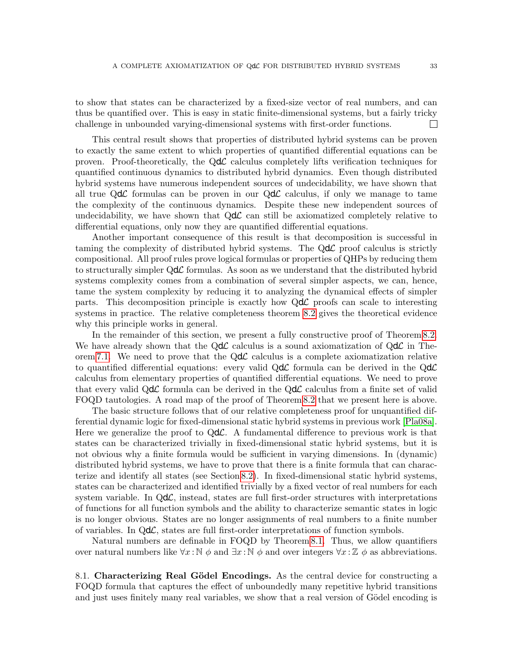to show that states can be characterized by a fixed-size vector of real numbers, and can thus be quantified over. This is easy in static finite-dimensional systems, but a fairly tricky challenge in unbounded varying-dimensional systems with first-order functions.  $\Box$ 

This central result shows that properties of distributed hybrid systems can be proven to exactly the same extent to which properties of quantified differential equations can be proven. Proof-theoretically, the  $Qd\mathcal{L}$  calculus completely lifts verification techniques for quantified continuous dynamics to distributed hybrid dynamics. Even though distributed hybrid systems have numerous independent sources of undecidability, we have shown that all true  $Qd\mathcal{L}$  formulas can be proven in our  $Qd\mathcal{L}$  calculus, if only we manage to tame the complexity of the continuous dynamics. Despite these new independent sources of undecidability, we have shown that  $Qd\mathcal{L}$  can still be axiomatized completely relative to differential equations, only now they are quantified differential equations.

Another important consequence of this result is that decomposition is successful in taming the complexity of distributed hybrid systems. The  $Qd\mathcal{L}$  proof calculus is strictly compositional. All proof rules prove logical formulas or properties of QHPs by reducing them to structurally simpler  $Qd\mathcal{L}$  formulas. As soon as we understand that the distributed hybrid systems complexity comes from a combination of several simpler aspects, we can, hence, tame the system complexity by reducing it to analyzing the dynamical effects of simpler parts. This decomposition principle is exactly how  $Qd\mathcal{L}$  proofs can scale to interesting systems in practice. The relative completeness theorem [8.2](#page-31-1) gives the theoretical evidence why this principle works in general.

In the remainder of this section, we present a fully constructive proof of Theorem [8.2.](#page-31-1) We have already shown that the  $Qd\mathcal{L}$  calculus is a sound axiomatization of  $Qd\mathcal{L}$  in The-orem [7.1.](#page-27-0) We need to prove that the  $Qd\mathcal{L}$  calculus is a complete axiomatization relative to quantified differential equations: every valid  $Qd\mathcal{L}$  formula can be derived in the  $Qd\mathcal{L}$ calculus from elementary properties of quantified differential equations. We need to prove that every valid  $Qd\mathcal{L}$  formula can be derived in the  $Qd\mathcal{L}$  calculus from a finite set of valid FOQD tautologies. A road map of the proof of Theorem [8.2](#page-31-1) that we present here is above.

The basic structure follows that of our relative completeness proof for unquantified differential dynamic logic for fixed-dimensional static hybrid systems in previous work [\[Pla08a\]](#page-43-10). Here we generalize the proof to  $Qd\mathcal{L}$ . A fundamental difference to previous work is that states can be characterized trivially in fixed-dimensional static hybrid systems, but it is not obvious why a finite formula would be sufficient in varying dimensions. In (dynamic) distributed hybrid systems, we have to prove that there is a finite formula that can characterize and identify all states (see Section [8.2\)](#page-33-0). In fixed-dimensional static hybrid systems, states can be characterized and identified trivially by a fixed vector of real numbers for each system variable. In  $Qd\mathcal{L}$ , instead, states are full first-order structures with interpretations of functions for all function symbols and the ability to characterize semantic states in logic is no longer obvious. States are no longer assignments of real numbers to a finite number of variables. In  $Qd\mathcal{L}$ , states are full first-order interpretations of function symbols.

Natural numbers are definable in FOQD by Theorem [8.1.](#page-29-0) Thus, we allow quantifiers over natural numbers like  $\forall x : \mathbb{N} \phi$  and  $\exists x : \mathbb{N} \phi$  and over integers  $\forall x : \mathbb{Z} \phi$  as abbreviations.

8.1. Characterizing Real Gödel Encodings. As the central device for constructing a FOQD formula that captures the effect of unboundedly many repetitive hybrid transitions and just uses finitely many real variables, we show that a real version of Gödel encoding is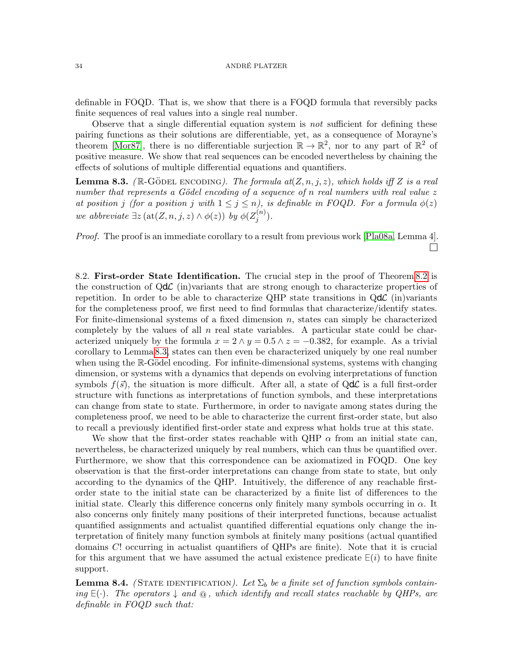definable in FOQD. That is, we show that there is a FOQD formula that reversibly packs finite sequences of real values into a single real number.

Observe that a single differential equation system is not sufficient for defining these pairing functions as their solutions are differentiable, yet, as a consequence of Morayne's theorem [\[Mor87\]](#page-43-22), there is no differentiable surjection  $\mathbb{R} \to \mathbb{R}^2$ , nor to any part of  $\mathbb{R}^2$  of positive measure. We show that real sequences can be encoded nevertheless by chaining the effects of solutions of multiple differential equations and quantifiers.

<span id="page-33-1"></span>**Lemma 8.3.** ( $\mathbb{R}$ -GÖDEL ENCODING). The formula at $(Z, n, j, z)$ , which holds iff Z is a real number that represents a Gödel encoding of a sequence of n real numbers with real value  $z$ at position j (for a position j with  $1 \leq j \leq n$ ), is definable in FOQD. For a formula  $\phi(z)$ we abbreviate  $\exists z (\text{at}(Z, n, j, z) \wedge \phi(z))$  by  $\phi(Z_i^{(n)})$  $j^{(n)}$ ).

Proof. The proof is an immediate corollary to a result from previous work [\[Pla08a,](#page-43-10) Lemma 4].  $\Box$ 

<span id="page-33-0"></span>8.2. First-order State Identification. The crucial step in the proof of Theorem [8.2](#page-31-1) is the construction of  $Qd\mathcal{L}$  (in)variants that are strong enough to characterize properties of repetition. In order to be able to characterize QHP state transitions in  $Qd\mathcal{L}$  (in)variants for the completeness proof, we first need to find formulas that characterize/identify states. For finite-dimensional systems of a fixed dimension  $n$ , states can simply be characterized completely by the values of all  $n$  real state variables. A particular state could be characterized uniquely by the formula  $x = 2 \land y = 0.5 \land z = -0.382$ , for example. As a trivial corollary to Lemma [8.3,](#page-33-1) states can then even be characterized uniquely by one real number when using the  $\mathbb{R}$ -Gödel encoding. For infinite-dimensional systems, systems with changing dimension, or systems with a dynamics that depends on evolving interpretations of function symbols  $f(\vec{s})$ , the situation is more difficult. After all, a state of QdC is a full first-order structure with functions as interpretations of function symbols, and these interpretations can change from state to state. Furthermore, in order to navigate among states during the completeness proof, we need to be able to characterize the current first-order state, but also to recall a previously identified first-order state and express what holds true at this state.

We show that the first-order states reachable with QHP  $\alpha$  from an initial state can, nevertheless, be characterized uniquely by real numbers, which can thus be quantified over. Furthermore, we show that this correspondence can be axiomatized in FOQD. One key observation is that the first-order interpretations can change from state to state, but only according to the dynamics of the QHP. Intuitively, the difference of any reachable firstorder state to the initial state can be characterized by a finite list of differences to the initial state. Clearly this difference concerns only finitely many symbols occurring in  $\alpha$ . It also concerns only finitely many positions of their interpreted functions, because actualist quantified assignments and actualist quantified differential equations only change the interpretation of finitely many function symbols at finitely many positions (actual quantified domains C! occurring in actualist quantifiers of QHPs are finite). Note that it is crucial for this argument that we have assumed the actual existence predicate  $E(i)$  to have finite support.

<span id="page-33-2"></span>**Lemma 8.4.** (STATE IDENTIFICATION). Let  $\Sigma_b$  be a finite set of function symbols containing  $E(\cdot)$ . The operators  $\downarrow$  and  $\omega$ , which identify and recall states reachable by QHPs, are definable in FOQD such that: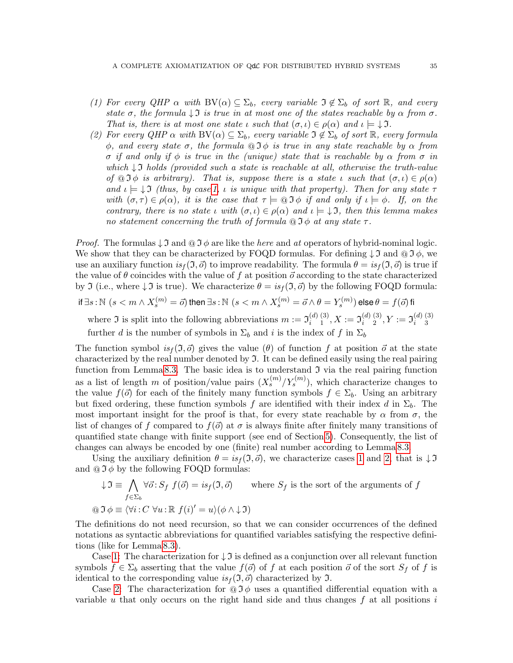- <span id="page-34-0"></span>(1) For every QHP  $\alpha$  with  $BV(\alpha) \subseteq \Sigma_b$ , every variable  $\mathfrak{I} \notin \Sigma_b$  of sort  $\mathbb{R}$ , and every state  $\sigma$ , the formula  $\downarrow$  I is true in at most one of the states reachable by  $\alpha$  from  $\sigma$ . That is, there is at most one state  $\iota$  such that  $(\sigma, \iota) \in \rho(\alpha)$  and  $\iota \models \downarrow \mathfrak{I}$ .
- <span id="page-34-1"></span>(2) For every QHP  $\alpha$  with  $BV(\alpha) \subseteq \Sigma_b$ , every variable  $\mathfrak{I} \notin \Sigma_b$  of sort  $\mathbb{R}$ , every formula  $\phi$ , and every state  $\sigma$ , the formula  $\mathfrak{D}\phi$  is true in any state reachable by  $\alpha$  from σ if and only if φ is true in the (unique) state that is reachable by α from σ in which  $\downarrow$  I holds (provided such a state is reachable at all, otherwise the truth-value of  $\mathfrak{A} \mathfrak{D} \phi$  is arbitrary). That is, suppose there is a state  $\iota$  such that  $(\sigma, \iota) \in \rho(\alpha)$ and  $\iota \models \downarrow \mathfrak{I}$  (thus, by case [1,](#page-34-0)  $\iota$  is unique with that property). Then for any state  $\tau$ with  $(\sigma, \tau) \in \rho(\alpha)$ , it is the case that  $\tau \models \text{or} \mathfrak{I} \phi$  if and only if  $\iota \models \phi$ . If, on the contrary, there is no state  $\iota$  with  $(\sigma, \iota) \in \rho(\alpha)$  and  $\iota \models \bot \mathfrak{I}$ , then this lemma makes no statement concerning the truth of formula  $\mathfrak{Q} \mathfrak{I} \phi$  at any state  $\tau$ .

*Proof.* The formulas  $\downarrow$  3 and  $\circledcirc$  3  $\phi$  are like the here and at operators of hybrid-nominal logic. We show that they can be characterized by FOQD formulas. For defining  $\downarrow$  3 and  $\circledcirc$  3  $\phi$ , we use an auxiliary function  $is_f(\mathfrak{I}, \vec{\sigma})$  to improve readability. The formula  $\theta = is_f(\mathfrak{I}, \vec{\sigma})$  is true if the value of  $\theta$  coincides with the value of f at position  $\vec{o}$  according to the state characterized by J (i.e., where  $\downarrow$  I is true). We characterize  $\theta = is_f(\mathfrak{I}, \vec{\sigma})$  by the following FOQD formula:

$$
\text{if } \exists s : \mathbb{N} \,\,(s < m \wedge X_s^{(m)} = \vec{o}) \text{ then } \exists s : \mathbb{N} \,\,(s < m \wedge X_s^{(m)} = \vec{o} \wedge \theta = Y_s^{(m)}) \text{ else } \theta = f(\vec{o}) \text{ fi}
$$

where  $\mathfrak I$  is split into the following abbreviations  $m := \mathfrak I_i^{(d)}$ i (3)  $\mathfrak{I}^{(3)}_1, X := \mathfrak{I}^{(d)}_i$ i (3)  $\mathfrak{I}^{(3)}_2,Y:=\mathfrak{I}^{(d)}_i$ i (3) 3 further d is the number of symbols in  $\Sigma_b$  and i is the index of f in  $\Sigma_b$ 

The function symbol  $is_f(\mathfrak{I}, \vec{\sigma})$  gives the value ( $\theta$ ) of function f at position  $\vec{\sigma}$  at the state characterized by the real number denoted by  $\mathfrak{I}$ . It can be defined easily using the real pairing function from Lemma [8.3.](#page-33-1) The basic idea is to understand  $\mathfrak I$  via the real pairing function as a list of length m of position/value pairs  $(X_s^{(m)}/Y_s^{(m)})$ , which characterize changes to the value  $f(\vec{o})$  for each of the finitely many function symbols  $f \in \Sigma_b$ . Using an arbitrary but fixed ordering, these function symbols f are identified with their index d in  $\Sigma_b$ . The most important insight for the proof is that, for every state reachable by  $\alpha$  from  $\sigma$ , the list of changes of f compared to  $f(\vec{o})$  at  $\sigma$  is always finite after finitely many transitions of quantified state change with finite support (see end of Section [5\)](#page-14-0). Consequently, the list of changes can always be encoded by one (finite) real number according to Lemma [8.3.](#page-33-1)

Using the auxiliary definition  $\theta = is_f(\mathfrak{I}, \vec{\sigma})$ , we characterize cases [1](#page-34-0) and [2,](#page-34-1) that is  $\downarrow \mathfrak{I}$ and  $\mathbf{\odot} \mathbf{\mathcal{I}} \phi$  by the following FOQD formulas:

$$
\downarrow \mathfrak{I} \equiv \bigwedge_{f \in \Sigma_b} \forall \vec{o} : S_f \ f(\vec{o}) = is_f(\mathfrak{I}, \vec{o}) \qquad \text{where } S_f \text{ is the sort of the arguments of } f
$$

$$
\textcircled{1} \Phi \equiv \langle \forall i : C \ \forall u : \mathbb{R} \ f(i)' = u \rangle (\phi \land \downarrow \mathfrak{I})
$$

The definitions do not need recursion, so that we can consider occurrences of the defined notations as syntactic abbreviations for quantified variables satisfying the respective definitions (like for Lemma [8.3\)](#page-33-1).

Case [1:](#page-34-0) The characterization for  $\downarrow$  I is defined as a conjunction over all relevant function symbols  $f \in \Sigma_b$  asserting that the value  $f(\vec{\sigma})$  of f at each position  $\vec{\sigma}$  of the sort  $S_f$  of f is identical to the corresponding value  $is_f(\mathfrak{I}, \vec{o})$  characterized by  $\mathfrak{I}$ .

Case [2:](#page-34-1) The characterization for  $\mathcal{O} \mathcal{I} \phi$  uses a quantified differential equation with a variable u that only occurs on the right hand side and thus changes  $f$  at all positions  $i$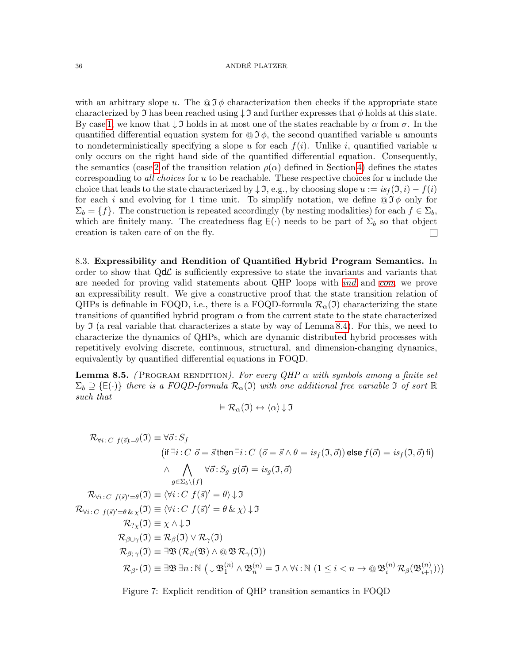with an arbitrary slope u. The  $\mathbf{Q} \mathcal{I} \phi$  characterization then checks if the appropriate state characterized by  $\Im$  has been reached using  $\Im$  and further expresses that  $\phi$  holds at this state. By case [1,](#page-34-0) we know that  $\downarrow$  I holds in at most one of the states reachable by  $\alpha$  from  $\sigma$ . In the quantified differential equation system for  $\mathbf{Q} \mathcal{I} \phi$ , the second quantified variable u amounts to nondeterministically specifying a slope u for each  $f(i)$ . Unlike i, quantified variable u only occurs on the right hand side of the quantified differential equation. Consequently, the semantics (case [2](#page-12-2) of the transition relation  $\rho(\alpha)$  defined in Section [4\)](#page-12-3) defines the states corresponding to *all choices* for  $u$  to be reachable. These respective choices for  $u$  include the choice that leads to the state characterized by  $\downarrow \mathfrak{I}$ , e.g., by choosing slope  $u := is_f(\mathfrak{I}, i) - f(i)$ for each i and evolving for 1 time unit. To simplify notation, we define  $@{\overline{\jmath}} \phi$  only for  $\Sigma_b = \{f\}$ . The construction is repeated accordingly (by nesting modalities) for each  $f \in \Sigma_b$ , which are finitely many. The createdness flag  $E(\cdot)$  needs to be part of  $\Sigma_b$  so that object creation is taken care of on the fly.  $\Box$ 

8.3. Expressibility and Rendition of Quantified Hybrid Program Semantics. In order to show that  $Qd\mathcal{L}$  is sufficiently expressive to state the invariants and variants that are needed for proving valid statements about QHP loops with [ind](#page-17-31) and [con](#page-17-32), we prove an expressibility result. We give a constructive proof that the state transition relation of QHPs is definable in FOQD, i.e., there is a FOQD-formula  $\mathcal{R}_{\alpha}(\mathfrak{I})$  characterizing the state transitions of quantified hybrid program  $\alpha$  from the current state to the state characterized by  $\Im$  (a real variable that characterizes a state by way of Lemma [8.4\)](#page-33-2). For this, we need to characterize the dynamics of QHPs, which are dynamic distributed hybrid processes with repetitively evolving discrete, continuous, structural, and dimension-changing dynamics, equivalently by quantified differential equations in FOQD.

<span id="page-35-1"></span>**Lemma 8.5.** (PROGRAM RENDITION). For every QHP  $\alpha$  with symbols among a finite set  $\Sigma_b \supseteq \{\texttt{E}(\cdot)\}\)$  there is a FOQD-formula  $\mathcal{R}_\alpha(\mathfrak{I})$  with one additional free variable  $\mathfrak{I}$  of sort  $\mathbb R$ such that

$$
\vDash \mathcal{R}_{\alpha}(\mathfrak{I}) \leftrightarrow \langle \alpha \rangle \downarrow \mathfrak{I}
$$

 $\mathcal{R}_{\forall i \,:\, C \,\, f(\vec{s}) = \theta}(\mathfrak{I}) \equiv \forall \vec{o} \colon \! S_f$  $\text{(if } \exists i: C \ \vec{o} = \vec{s} \text{ then } \exists i: C \ (\vec{o} = \vec{s} \land \theta = is_f(\mathfrak{I}, \vec{o})) \text{ else } f(\vec{o}) = is_f(\mathfrak{I}, \vec{o}) \text{ fi)}$  $\wedge \quad \bigwedge \quad \forall \vec{o} : S_g \; g(\vec{o}) = i s_g(\mathfrak{I}, \vec{o})$  $g{\in}\Sigma_b\backslash\{f\}$  $\mathcal{R}_{\forall i:C\ \, f(\vec{s})'=\theta}(\mathfrak{I})\equiv \langle \forall i:C\ \, f(\vec{s})'=\theta \rangle \!\downarrow\!\mathfrak{I}$  $\mathcal{R}_{\forall i:C\ f(\vec{s})'=\theta \& \chi(\vec{0})\equiv \langle \forall i:C\ f(\vec{s})'=\theta \& \chi \rangle \downarrow \vec{0}$  $\mathcal{R}_{?Y}(\mathfrak{I}) \equiv \chi \wedge \downarrow \mathfrak{I}$  $\mathcal{R}_{\beta\cup\gamma}(\mathfrak{I})\equiv\mathcal{R}_{\beta}(\mathfrak{I})\vee\mathcal{R}_{\gamma}(\mathfrak{I})$  $\mathcal{R}_{\beta;\gamma}(\mathfrak{I}) \equiv \exists \mathfrak{B} \left( \mathcal{R}_{\beta}(\mathfrak{B}) \wedge \mathfrak{B} \mathfrak{B} \mathcal{R}_{\gamma}(\mathfrak{I}) \right)$  $\mathcal{R}_{\beta^*}(\mathfrak{I})\equiv\exists\mathfrak{B}\,\exists n:\mathbb{N}\,\left(\downarrow\mathfrak{B}_1^{(n)}\wedge\mathfrak{B}_n^{(n)}=\mathfrak{I}\wedge\forall i:\mathbb{N}\,\left(1\leq i$ 

<span id="page-35-0"></span>Figure 7: Explicit rendition of QHP transition semantics in FOQD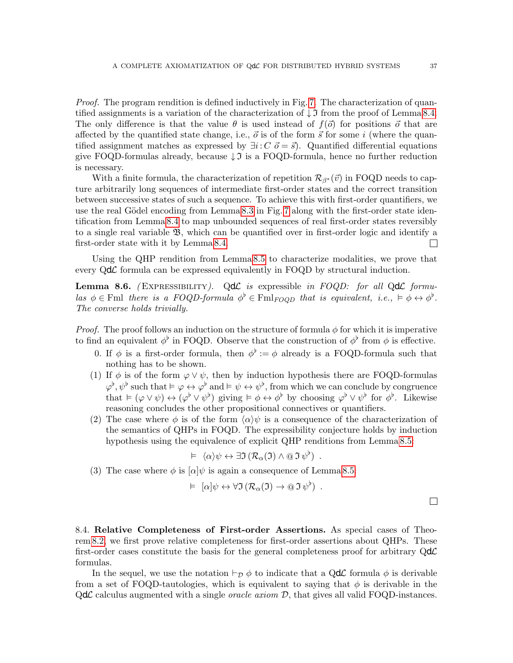Proof. The program rendition is defined inductively in Fig. [7.](#page-35-0) The characterization of quantified assignments is a variation of the characterization of  $\downarrow$  I from the proof of Lemma [8.4.](#page-33-2) The only difference is that the value  $\theta$  is used instead of  $f(\vec{\sigma})$  for positions  $\vec{\sigma}$  that are affected by the quantified state change, i.e.,  $\vec{o}$  is of the form  $\vec{s}$  for some i (where the quantified assignment matches as expressed by  $\exists i: C \, \vec{o} = \vec{s}$ . Quantified differential equations give FOQD-formulas already, because  $\downarrow$  is a FOQD-formula, hence no further reduction is necessary.

With a finite formula, the characterization of repetition  $\mathcal{R}_{\beta^*}(\vec{v})$  in FOQD needs to capture arbitrarily long sequences of intermediate first-order states and the correct transition between successive states of such a sequence. To achieve this with first-order quantifiers, we use the real Gödel encoding from Lemma [8.3](#page-33-1) in Fig. [7](#page-35-0) along with the first-order state identification from Lemma [8.4](#page-33-2) to map unbounded sequences of real first-order states reversibly to a single real variable B, which can be quantified over in first-order logic and identify a first-order state with it by Lemma [8.4.](#page-33-2)  $\Box$ 

Using the QHP rendition from Lemma [8.5](#page-35-1) to characterize modalities, we prove that every  $Qd\mathcal{L}$  formula can be expressed equivalently in FOQD by structural induction.

<span id="page-36-0"></span>**Lemma 8.6.** (EXPRESSIBILITY). QdC is expressible in FOQD: for all QdC formulas  $\phi \in \text{Fml}$  there is a FOQD-formula  $\phi^{\flat} \in \text{Fml}_{FOQD}$  that is equivalent, i.e.,  $\models \phi \leftrightarrow \phi^{\flat}$ . The converse holds trivially.

*Proof.* The proof follows an induction on the structure of formula  $\phi$  for which it is imperative to find an equivalent  $\phi^{\flat}$  in FOQD. Observe that the construction of  $\phi^{\flat}$  from  $\phi$  is effective.

- 0. If  $\phi$  is a first-order formula, then  $\phi^{\flat} := \phi$  already is a FOQD-formula such that nothing has to be shown.
- (1) If  $\phi$  is of the form  $\varphi \vee \psi$ , then by induction hypothesis there are FOQD-formulas  $\varphi^{\flat}, \psi^{\flat}$  such that  $\models \varphi \leftrightarrow \varphi^{\flat}$  and  $\models \psi \leftrightarrow \psi^{\flat}$ , from which we can conclude by congruence that  $\models (\varphi \vee \psi) \leftrightarrow (\varphi^{\flat} \vee \psi^{\flat})$  giving  $\models \phi \leftrightarrow \phi^{\flat}$  by choosing  $\varphi^{\flat} \vee \psi^{\flat}$  for  $\phi^{\flat}$ . Likewise reasoning concludes the other propositional connectives or quantifiers.
- (2) The case where  $\phi$  is of the form  $\langle \alpha \rangle \psi$  is a consequence of the characterization of the semantics of QHPs in FOQD. The expressibility conjecture holds by induction hypothesis using the equivalence of explicit QHP renditions from Lemma [8.5:](#page-35-1)

$$
\vDash \langle \alpha \rangle \psi \leftrightarrow \exists \mathfrak{I} \left( \mathcal{R}_{\alpha}(\mathfrak{I}) \wedge \mathfrak{S} \mathfrak{I} \psi^{\flat} \right) .
$$

(3) The case where  $\phi$  is  $\alpha|\psi$  is again a consequence of Lemma [8.5:](#page-35-1)

$$
\vDash \left[ \alpha \right] \psi \leftrightarrow \forall \mathfrak{I} \left( \mathcal{R}_{\alpha}(\mathfrak{I}) \to \mathfrak{O} \mathfrak{I} \, \psi^{\flat} \right) .
$$

 $\Box$ 

8.4. Relative Completeness of First-order Assertions. As special cases of Theorem [8.2,](#page-31-1) we first prove relative completeness for first-order assertions about QHPs. These first-order cases constitute the basis for the general completeness proof for arbitrary  $Qd\mathcal{L}$ formulas.

In the sequel, we use the notation  $\vdash_{\mathcal{D}} \phi$  to indicate that a QdL formula  $\phi$  is derivable from a set of FOQD-tautologies, which is equivalent to saying that  $\phi$  is derivable in the  $Qd\mathcal{L}$  calculus augmented with a single *oracle axiom*  $D$ , that gives all valid FOQD-instances.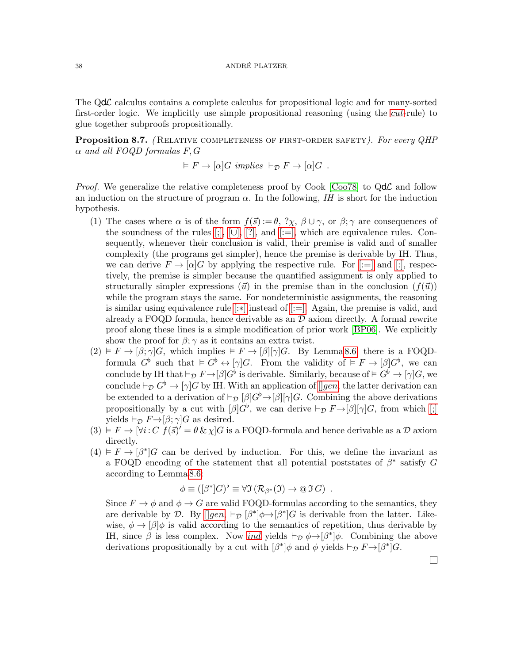The  $Qd\mathcal{L}$  calculus contains a complete calculus for propositional logic and for many-sorted first-order logic. We implicitly use simple propositional reasoning (using the *[cut](#page-18-3)*-rule) to glue together subproofs propositionally.

<span id="page-37-0"></span>Proposition 8.7. (RELATIVE COMPLETENESS OF FIRST-ORDER SAFETY). For every QHP  $\alpha$  and all FOQD formulas F, G

$$
\vDash F \to [\alpha]G \ implies \vdash_{\mathcal{D}} F \to [\alpha]G .
$$

*Proof.* We generalize the relative completeness proof by Cook  $\vert \text{Coo78} \vert$  to  $\text{Qd}\mathcal{L}$  and follow an induction on the structure of program  $\alpha$ . In the following, IH is short for the induction hypothesis.

- (1) The cases where  $\alpha$  is of the form  $f(\vec{s}) := \theta$ ,  $?\chi$ ,  $\beta \cup \gamma$ , or  $\beta$ ;  $\gamma$  are consequences of the soundness of the rules  $[;]$ ,  $[\cup]$ ,  $[?]$ , and  $[:=]$ , which are equivalence rules. Consequently, whenever their conclusion is valid, their premise is valid and of smaller complexity (the programs get simpler), hence the premise is derivable by IH. Thus, we can derive  $F \to [\alpha]G$  by applying the respective rule. For [\[:=\]](#page-17-17) and [\[:\],](#page-17-19) respectively, the premise is simpler because the quantified assignment is only applied to structurally simpler expressions ( $\vec{u}$ ) in the premise than in the conclusion  $(f(\vec{u}))$ while the program stays the same. For nondeterministic assignments, the reasoning is similar using equivalence rule [\[:](#page-17-20)∗] instead of [\[:=\].](#page-17-17) Again, the premise is valid, and already a FOQD formula, hence derivable as an  $\mathcal D$  axiom directly. A formal rewrite proof along these lines is a simple modification of prior work [\[BP06\]](#page-42-10). We explicitly show the proof for  $\beta$ ;  $\gamma$  as it contains an extra twist.
- $(2) \vDash F \rightarrow [\beta; \gamma]G$ , which implies  $\vDash F \rightarrow [\beta][\gamma]G$ . By Lemma [8.6,](#page-36-0) there is a FOQDformula  $G^{\flat}$  such that  $\models G^{\flat} \leftrightarrow [\gamma]G$ . From the validity of  $\models F \to [\beta]G^{\flat}$ , we can conclude by IH that  $\vdash_{\mathcal{D}} F \to [\beta]G^{\flat}$  is derivable. Similarly, because of  $\models G^{\flat} \to [\gamma]G$ , we conclude  $\vdash_{\mathcal{D}} G^{\flat} \to [\gamma] G$  by IH. With an application of  $\lceil \lg en \rceil$ , the latter derivation can be extended to a derivation of  $\vdash_{\mathcal{D}} [\beta]G^{\flat} \rightarrow [\beta][\gamma]G$ . Combining the above derivations propositionally by a cut with  $[\beta]G^{\flat}$ , we can derive  $\vdash_{\mathcal{D}} F \rightarrow [\beta][\gamma]G$ , from which [\[;\]](#page-17-9) yields  $\vdash_{\mathcal{D}} F \rightarrow [\beta; \gamma] G$  as desired.
- $(3) \models F \rightarrow [\forall i: C \; f(\vec{s})' = \theta \& \chi \, G$  is a FOQD-formula and hence derivable as a D axiom directly.
- $(4) \models F \rightarrow [\beta^*]G$  can be derived by induction. For this, we define the invariant as a FOQD encoding of the statement that all potential poststates of  $\beta^*$  satisfy G according to Lemma [8.6:](#page-36-0)

$$
\phi \equiv ([\beta^*]G)^{\flat} \equiv \forall \Im (\mathcal{R}_{\beta^*}(\Im) \rightarrow \textcircled{a} \Im G) .
$$

Since  $F \to \phi$  and  $\phi \to G$  are valid FOQD-formulas according to the semantics, they are derivable by D. By  $[gen, \vdash_{\mathcal{D}} [\beta^*] \phi \rightarrow [\beta^*] G$  $[gen, \vdash_{\mathcal{D}} [\beta^*] \phi \rightarrow [\beta^*] G$  $[gen, \vdash_{\mathcal{D}} [\beta^*] \phi \rightarrow [\beta^*] G$  is derivable from the latter. Likewise,  $\phi \rightarrow |\beta|\phi$  is valid according to the semantics of repetition, thus derivable by IH, since  $\beta$  is less complex. Now [ind](#page-17-31) yields  $\vdash_{\mathcal{D}} \phi \rightarrow [\beta^*]\phi$ . Combining the above derivations propositionally by a cut with  $\lbrack \beta^* \rbrack \phi$  and  $\phi$  yields  $\vdash_{\mathcal{D}} F \rightarrow [\beta^*] G$ .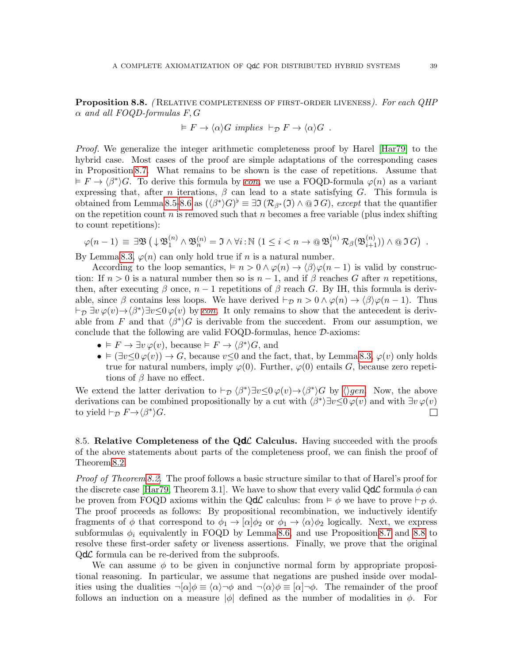<span id="page-38-0"></span>**Proposition 8.8.** (RELATIVE COMPLETENESS OF FIRST-ORDER LIVENESS). For each QHP  $\alpha$  and all FOQD-formulas F, G

$$
\vDash F \to \langle \alpha \rangle G \implies \vdash_{\mathcal{D}} F \to \langle \alpha \rangle G \ .
$$

Proof. We generalize the integer arithmetic completeness proof by Harel [\[Har79\]](#page-42-20) to the hybrid case. Most cases of the proof are simple adaptations of the corresponding cases in Proposition [8.7.](#page-37-0) What remains to be shown is the case of repetitions. Assume that  $F \to \langle \beta^* \rangle G$ . To derive this formula by [con](#page-17-32), we use a FOQD-formula  $\varphi(n)$  as a variant expressing that, after n iterations,  $\beta$  can lead to a state satisfying G. This formula is obtained from Lemma [8.5-](#page-35-1)[8.6](#page-36-0) as  $(\langle \beta^* \rangle G)^{\flat} \equiv \exists \Im (\mathcal{R}_{\beta^*}(\mathfrak{I}) \wedge \mathfrak{O} \mathfrak{I} G)$ , except that the quantifier on the repetition count n is removed such that n becomes a free variable (plus index shifting to count repetitions):

$$
\varphi(n-1) \equiv \exists \mathfrak{B} \left( \downarrow \mathfrak{B}_1^{(n)} \land \mathfrak{B}_n^{(n)} = \mathfrak{I} \land \forall i : \mathbb{N} \left( 1 \leq i < n \rightarrow \mathbb{Q} \mathfrak{B}_i^{(n)} \mathcal{R}_{\beta}(\mathfrak{B}_{i+1}^{(n)}) \right) \land \mathbb{Q} \mathfrak{I} \, G \right) \; .
$$

By Lemma [8.3,](#page-33-1)  $\varphi(n)$  can only hold true if n is a natural number.

According to the loop semantics,  $\vdash n > 0 \land \varphi(n) \rightarrow \langle \beta \rangle \varphi(n-1)$  is valid by construction: If  $n > 0$  is a natural number then so is  $n - 1$ , and if  $\beta$  reaches G after n repetitions, then, after executing  $\beta$  once,  $n-1$  repetitions of  $\beta$  reach G. By IH, this formula is derivable, since  $\beta$  contains less loops. We have derived  $\vdash_{\mathcal{D}} n > 0 \land \varphi(n) \rightarrow \langle \beta \rangle \varphi(n-1)$ . Thus  $\vdash_{\mathcal{D}} \exists v \varphi(v) \rightarrow \langle \beta^* \rangle \exists v \leq 0 \varphi(v)$  by [con](#page-17-32). It only remains to show that the antecedent is derivable from F and that  $\langle \beta^* \rangle G$  is derivable from the succedent. From our assumption, we conclude that the following are valid FOQD-formulas, hence D-axioms:

- $F \to \exists v \varphi(v)$ , because  $\models F \to \langle \beta^* \rangle G$ , and
- $(\exists v \leq 0 \varphi(v)) \rightarrow G$ , because  $v \leq 0$  and the fact, that, by Lemma [8.3,](#page-33-1)  $\varphi(v)$  only holds true for natural numbers, imply  $\varphi(0)$ . Further,  $\varphi(0)$  entails G, because zero repetitions of  $\beta$  have no effect.

We extend the latter derivation to  $\vdash_{\mathcal{D}} \langle \beta^* \rangle \exists v \leq 0 \varphi(v) \rightarrow \langle \beta^* \rangle G$  by  $\langle \rangle gen$  $\langle \rangle gen$ . Now, the above derivations can be combined propositionally by a cut with  $\langle \beta^* \rangle \exists v \leq 0 \varphi(v)$  and with  $\exists v \varphi(v)$ to yield  $\vdash_{\mathcal{D}} F \rightarrow \langle \beta^* \rangle G$ .  $\Box$ 

8.5. Relative Completeness of the  $Qd\mathcal{L}$  Calculus. Having succeeded with the proofs of the above statements about parts of the completeness proof, we can finish the proof of Theorem [8.2.](#page-31-1)

*Proof of Theorem [8.2.](#page-31-1)* The proof follows a basic structure similar to that of Harel's proof for the discrete case [\[Har79,](#page-42-20) Theorem 3.1]. We have to show that every valid  $Qd\mathcal{L}$  formula  $\phi$  can be proven from FOQD axioms within the QdC calculus: from  $\models \phi$  we have to prove  $\models_{\mathcal{D}} \phi$ . The proof proceeds as follows: By propositional recombination, we inductively identify fragments of  $\phi$  that correspond to  $\phi_1 \rightarrow [\alpha]\phi_2$  or  $\phi_1 \rightarrow \langle \alpha \rangle \phi_2$  logically. Next, we express subformulas  $\phi_i$  equivalently in FOQD by Lemma [8.6,](#page-36-0) and use Proposition [8.7](#page-37-0) and [8.8](#page-38-0) to resolve these first-order safety or liveness assertions. Finally, we prove that the original  $Qd\mathcal{L}$  formula can be re-derived from the subproofs.

We can assume  $\phi$  to be given in conjunctive normal form by appropriate propositional reasoning. In particular, we assume that negations are pushed inside over modalities using the dualities  $\neg[\alpha]\phi \equiv \langle \alpha \rangle \neg \phi$  and  $\neg \langle \alpha \rangle \phi \equiv [\alpha] \neg \phi$ . The remainder of the proof follows an induction on a measure  $|\phi|$  defined as the number of modalities in  $\phi$ . For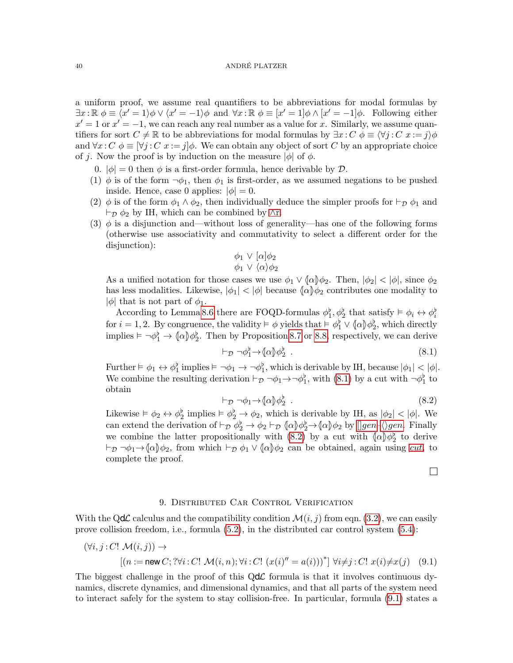a uniform proof, we assume real quantifiers to be abbreviations for modal formulas by  $\exists x : \mathbb{R} \phi \equiv \langle x' = 1 \rangle \phi \vee \langle x' = -1 \rangle \phi$  and  $\forall x : \mathbb{R} \phi \equiv [x' = 1] \phi \wedge [x' = -1] \phi$ . Following either  $x' = 1$  or  $x' = -1$ , we can reach any real number as a value for x. Similarly, we assume quantifiers for sort  $C \neq \mathbb{R}$  to be abbreviations for modal formulas by  $\exists x : C \phi \equiv \langle \forall j : C \ x := j \rangle \phi$ and  $\forall x : C \phi \equiv [\forall j : C \ x := j] \phi$ . We can obtain any object of sort C by an appropriate choice of j. Now the proof is by induction on the measure  $|\phi|$  of  $\phi$ .

- 0.  $|\phi| = 0$  then  $\phi$  is a first-order formula, hence derivable by  $\mathcal{D}$ .
- (1)  $\phi$  is of the form  $\neg \phi_1$ , then  $\phi_1$  is first-order, as we assumed negations to be pushed inside. Hence, case 0 applies:  $|\phi| = 0$ .
- (2)  $\phi$  is of the form  $\phi_1 \wedge \phi_2$ , then individually deduce the simpler proofs for  $\vdash_{\mathcal{D}} \phi_1$  and  $\vdash_{\mathcal{D}} \phi_2$  by IH, which can be combined by [∧](#page-18-4)r.
- (3)  $\phi$  is a disjunction and—without loss of generality—has one of the following forms (otherwise use associativity and commutativity to select a different order for the disjunction):

$$
\begin{array}{c}\n\phi_1 \lor [\alpha]\phi_2 \\
\phi_1 \lor \langle \alpha \rangle \phi_2\n\end{array}
$$

As a unified notation for those cases we use  $\phi_1 \vee \langle \alpha \rangle \phi_2$ . Then,  $|\phi_2| < |\phi|$ , since  $\phi_2$ has less modalities. Likewise,  $|\phi_1| < |\phi|$  because  $\langle \alpha | \phi_2 \rangle$  contributes one modality to  $|\phi|$  that is not part of  $\phi_1$ .

According to Lemma [8.6](#page-36-0) there are FOQD-formulas  $\phi_1^b, \phi_2^b$  that satisfy  $\models \phi_i \leftrightarrow \phi_i^b$ for  $i = 1, 2$ . By congruence, the validity  $\models \phi$  yields that  $\models \phi_1^{\flat} \vee (\alpha) \phi_2^{\flat}$ , which directly implies  $\models \neg \phi_1^{\flat} \rightarrow \langle \alpha \rangle \phi_2^{\flat}$ . Then by Proposition [8.7](#page-37-0) or [8.8,](#page-38-0) respectively, we can derive

<span id="page-39-1"></span>
$$
\vdash_{\mathcal{D}} \neg \phi_1^{\flat} \to \{\alpha\} \phi_2^{\flat} . \tag{8.1}
$$

Further  $\models \phi_1 \leftrightarrow \phi_1^{\flat}$  implies  $\models \neg \phi_1 \rightarrow \neg \phi_1^{\flat}$ , which is derivable by IH, because  $|\phi_1| < |\phi|$ . We combine the resulting derivation  $\vdash_{\mathcal{D}} \neg \phi_1 \rightarrow \neg \phi_1^{\flat}$ , with [\(8.1\)](#page-39-1) by a cut with  $\neg \phi_1^{\flat}$  to obtain

<span id="page-39-2"></span>
$$
\vdash_{\mathcal{D}} \neg \phi_1 \rightarrow \langle \alpha \rangle \phi_2^{\flat} . \tag{8.2}
$$

Likewise  $\models \phi_2 \leftrightarrow \phi_2^{\flat}$  implies  $\models \phi_2^{\flat} \rightarrow \phi_2$ , which is derivable by IH, as  $|\phi_2| < |\phi|$ . We can extend the derivation of  $\vdash_{\mathcal{D}} \phi_2^{\flat} \to \phi_2 \vdash_{\mathcal{D}} (\alpha \phi_2^{\flat} \to \alpha \phi_2) \uplus [\phi_2 \to \phi_2 \to \phi_2 \phi_2]$ we combine the latter propositionally with [\(8.2\)](#page-39-2) by a cut with  $\langle \alpha | \phi_2^{\flat} \rangle$  to derive  $\vdash_{\mathcal{D}} \neg \phi_1 \rightarrow \langle \alpha \rangle \phi_2$ , from which  $\vdash_{\mathcal{D}} \phi_1 \vee \langle \alpha \rangle \phi_2$  can be obtained, again using *[cut](#page-18-3)*, to complete the proof.

<span id="page-39-3"></span> $\Box$ 

# 9. Distributed Car Control Verification

<span id="page-39-0"></span>With the QdC calculus and the compatibility condition  $\mathcal{M}(i, j)$  from eqn. [\(3.2\)](#page-8-1), we can easily prove collision freedom, i.e., formula [\(5.2\)](#page-16-0), in the distributed car control system [\(5.4\)](#page-16-1):

$$
(\forall i, j : C! \mathcal{M}(i, j)) \rightarrow
$$
  
\n
$$
[(n := \text{new } C; ?\forall i : C! \mathcal{M}(i, n); \forall i : C! (x(i)^{''} = a(i)))^*] \forall i \neq j : C! x(i) \neq x(j)
$$
 (9.1)

The biggest challenge in the proof of this  $Qd\mathcal{L}$  formula is that it involves continuous dynamics, discrete dynamics, and dimensional dynamics, and that all parts of the system need to interact safely for the system to stay collision-free. In particular, formula [\(9.1\)](#page-39-3) states a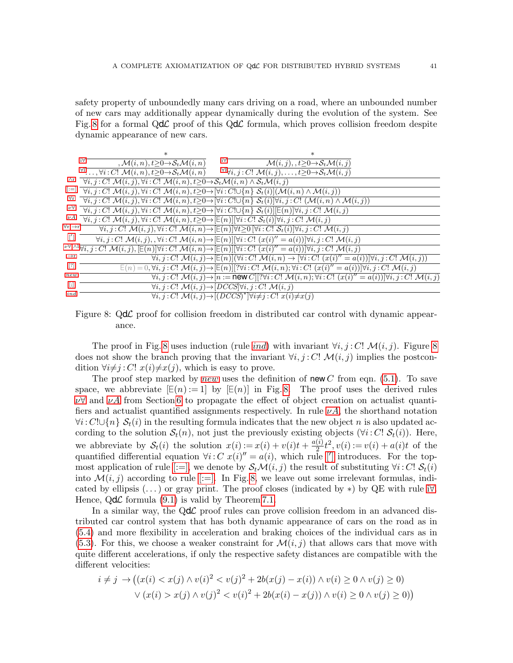safety property of unboundedly many cars driving on a road, where an unbounded number of new cars may additionally appear dynamically during the evolution of the system. See Fig. [8](#page-40-0) for a formal  $Qd\mathcal{L}$  proof of this  $Qd\mathcal{L}$  formula, which proves collision freedom despite dynamic appearance of new cars.

|                 | ж                                                                                                                                                                                                                                                                                                                                                                                                                                                                                                                                    | $\ast$                                                                                                                                                                                                |
|-----------------|--------------------------------------------------------------------------------------------------------------------------------------------------------------------------------------------------------------------------------------------------------------------------------------------------------------------------------------------------------------------------------------------------------------------------------------------------------------------------------------------------------------------------------------|-------------------------------------------------------------------------------------------------------------------------------------------------------------------------------------------------------|
|                 | i∀"<br>i∀⊤<br>, $\mathcal{M}(i,n)$ , $t \geq 0 \rightarrow \mathcal{S}_t \mathcal{M}(i,n)$                                                                                                                                                                                                                                                                                                                                                                                                                                           | $\mathcal{M}(i, j), t \geq 0 \rightarrow \mathcal{S}_t \mathcal{M}(i, j)$                                                                                                                             |
|                 | $\forall 1 \ldots, \forall i: C! \; \mathcal{M}(i,n), t \geq 0 \rightarrow \mathcal{S}_t \mathcal{M}(i,n)$                                                                                                                                                                                                                                                                                                                                                                                                                           | $\forall i, j : C! \; \mathcal{M}(i, j), \ldots, t \geq 0 \rightarrow \mathcal{S}_t \mathcal{M}(i, j)$                                                                                                |
| Λr              | $\forall i, j : C! \mathcal{M}(i, j), \forall i : C! \mathcal{M}(i, n), t \geq 0 \rightarrow S_t \mathcal{M}(i, n) \land \mathcal{S}_t \mathcal{M}(i, j)$                                                                                                                                                                                                                                                                                                                                                                            |                                                                                                                                                                                                       |
|                 | $[:=]$ $\overline{\forall i,j:C! \mathcal{M}(i,j),\forall i:C! \mathcal{M}(i,n),t \geq 0 \rightarrow [\forall i:C! \cup \{n\} \mathcal{S}_t(i)] (\mathcal{M}(i,n) \wedge \mathcal{M}(i,j))}$                                                                                                                                                                                                                                                                                                                                         |                                                                                                                                                                                                       |
| $\forall r$     | $\overline{\forall i,j:C! \; \mathcal{M}(i,j), \forall i:C! \; \mathcal{M}(i,n), t \geq 0 \rightarrow [\forall i:C! \cup \{n\} \; \mathcal{S}_t(i)] \forall i,j:C! \; (\mathcal{M}(i,n) \wedge \mathcal{M}(i,j))}$                                                                                                                                                                                                                                                                                                                   |                                                                                                                                                                                                       |
| $\nu \forall$   | $\forall i, j : C! \mathcal{M}(i, j), \forall i : C! \mathcal{M}(i, n), t \geq 0 \rightarrow [\forall i : C! \cup \{n\} \mathcal{S}_t(i)][\mathsf{E}(n) \forall i, j : C! \mathcal{M}(i, j))$                                                                                                                                                                                                                                                                                                                                        |                                                                                                                                                                                                       |
| $\nu A$         | $\overline{\forall i,j:C! \mathcal{M}(i,j), \forall i:C! \mathcal{M}(i,n), t \geq 0 \rightarrow [\mathsf{E}(n)][\forall i:C! \mathcal{S}_t(i)] \forall i,j:C! \mathcal{M}(i,j)}$                                                                                                                                                                                                                                                                                                                                                     |                                                                                                                                                                                                       |
|                 | $\forall r, \rightarrow r^{-}$<br>$\forall i, j : C! \mathcal{M}(i, j), \forall i : C! \mathcal{M}(i, n) \rightarrow \left[\mathbb{E}(n)\right] \forall t \geq 0 \left[\forall i : C! \mathcal{S}_t(i)\right] \forall i, j : C! \mathcal{M}(i, j)$                                                                                                                                                                                                                                                                                   |                                                                                                                                                                                                       |
| $\lceil \rceil$ | $\forall i, j : C! \mathcal{M}(i, j), \forall i : C! \mathcal{M}(i, n) \rightarrow [\mathbb{E}(n)][\forall i : C! (x(i)'' = a(i))]\forall i, j : C! \mathcal{M}(i, j)$                                                                                                                                                                                                                                                                                                                                                               |                                                                                                                                                                                                       |
|                 | $\text{rank}\, \text{rank}\, \text{rank}\, \text{rank}\, \text{rank}\, \text{rank}\, \text{rank}\, \text{rank}\, \text{rank}\, \text{rank}\, \text{rank}\, \text{rank}\, \text{rank}\, \text{rank}\, \text{rank}\, \text{rank}\, \text{rank}\, \text{rank}\, \text{rank}\, \text{rank}\, \text{rank}\, \text{rank}\, \text{rank}\, \text{rank}\, \text{rank}\, \text{rank}\, \text{rank}\, \text{rank}\, \text{rank}\, \text{rank}\, \text{rank}\, \text{rank}\, \text{rank}\, \text{rank}\, \text{rank}\, \text{rank}\, \text{rank$ |                                                                                                                                                                                                       |
| $\rightarrow$ r |                                                                                                                                                                                                                                                                                                                                                                                                                                                                                                                                      | $\forall i, j : C! \mathcal{M}(i, j) \rightarrow \mathbb{E}(n) \land (\forall i : C! \mathcal{M}(i, n) \rightarrow \forall i : C! \mathcal{M}(i)' = a(i) \land \forall i, j : C! \mathcal{M}(i, j))$  |
| $\lceil$ ?      |                                                                                                                                                                                                                                                                                                                                                                                                                                                                                                                                      | $E(n) = 0, \forall i, j : C! \mathcal{M}(i, j) \rightarrow [E(n)][? \forall i : C! \mathcal{M}(i, n); \forall i : C! (x(i)'' = a(i))]\forall i, j : C! \mathcal{M}(i, j)$                             |
| new             |                                                                                                                                                                                                                                                                                                                                                                                                                                                                                                                                      | $\forall i, j \in C!$ $\mathcal{M}(i,j) \rightarrow [n := \text{new } C][\forall i \in C!$ $\mathcal{M}(i,n); \forall i \in C!$ $(x(i)^{\prime\prime} = a(i))[\forall i, j \in C!$ $\mathcal{M}(i,j)$ |
| $[\cdot]$       | $\forall i, j : C! \mathcal{M}(i, j) \rightarrow [DCCS] \forall i, j : C! \mathcal{M}(i, j)$                                                                                                                                                                                                                                                                                                                                                                                                                                         |                                                                                                                                                                                                       |
| ind             | $\forall i, j : C! \mathcal{M}(i, j) \rightarrow [(DCCS)^*] \forall i \neq j : C! \ x(i) \neq x(j)$                                                                                                                                                                                                                                                                                                                                                                                                                                  |                                                                                                                                                                                                       |

<span id="page-40-0"></span>Figure 8:  $Qd\mathcal{L}$  proof for collision freedom in distributed car control with dynamic appearance.

The proof in Fig. [8](#page-40-0) uses [ind](#page-17-31)uction (rule ind) with invariant  $\forall i, j : C!$   $\mathcal{M}(i, j)$ . Figure 8 does not show the branch proving that the invariant  $\forall i, j : C!$   $\mathcal{M}(i, j)$  implies the postcondition  $\forall i \neq j : C! \; x(i) \neq x(j)$ , which is easy to prove.

<span id="page-40-1"></span>The proof step marked by [new](#page-40-1) uses the definition of new C from eqn. [\(5.1\)](#page-15-0). To save space, we abbreviate  $[E(n) := 1]$  by  $[E(n)]$  in Fig. [8.](#page-40-0) The proof uses the derived rules  $\nu \forall$  and  $\nu A$  from Section [6](#page-18-2) to propagate the effect of object creation on actualist quantifiers and actualist quantified assignments respectively. In rule  $\nu A$ , the shorthand notation  $\forall i: C! \cup \{n\}$   $\mathcal{S}_t(i)$  in the resulting formula indicates that the new object n is also updated according to the solution  $S_t(n)$ , not just the previously existing objects  $(\forall i: C \, S_t(i))$ . Here, we abbreviate by  $S_t(i)$  the solution  $x(i) := x(i) + v(i)t + \frac{a(i)}{2}$  $\frac{(i)}{2}t^2, v(i) := v(i) + a(i)t$  of the quantified differential equation  $\forall i: C \; x(i)' = a(i)$ , which rule [\[](#page-17-15)'] introduces. For the top-most application of rule [\[:=\],](#page-17-17) we denote by  $\mathcal{S}_t\mathcal{M}(i,j)$  the result of substituting  $\forall i: C$ !  $\mathcal{S}_t(i)$ into  $\mathcal{M}(i, j)$  according to rule [\[:=\].](#page-17-17) In Fig. [8,](#page-40-0) we leave out some irrelevant formulas, indicated by ellipsis  $(\ldots)$  or gray print. The proof closes (indicated by  $\ast$ ) by QE with rule [i](#page-17-27) $\forall$ . Hence,  $Qd\mathcal{L}$  formula [\(9.1\)](#page-39-3) is valid by Theorem [7.1.](#page-27-0)

In a similar way, the  $Qd\mathcal{L}$  proof rules can prove collision freedom in an advanced distributed car control system that has both dynamic appearance of cars on the road as in [\(5.4\)](#page-16-1) and more flexibility in acceleration and braking choices of the individual cars as in  $(5.3)$ . For this, we choose a weaker constraint for  $\mathcal{M}(i, j)$  that allows cars that move with quite different accelerations, if only the respective safety distances are compatible with the different velocities:

$$
i \neq j \rightarrow ((x(i) < x(j) \land v(i)^2 < v(j)^2 + 2b(x(j) - x(i)) \land v(i) \ge 0 \land v(j) \ge 0) \\
 \lor (x(i) > x(j) \land v(j)^2 < v(i)^2 + 2b(x(i) - x(j)) \land v(i) \ge 0 \land v(j) \ge 0))
$$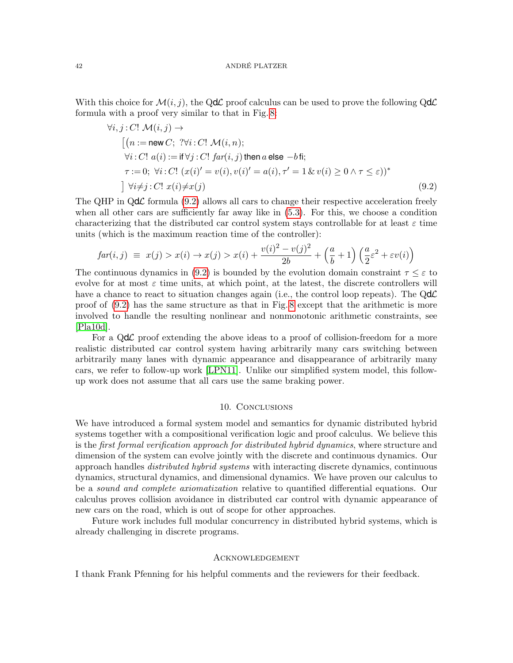With this choice for  $\mathcal{M}(i, j)$ , the QdC proof calculus can be used to prove the following QdC formula with a proof very similar to that in Fig. [8:](#page-40-0)

$$
\forall i, j : C! \mathcal{M}(i, j) \rightarrow
$$
  
\n
$$
[(n := new C; ?\forall i : C! \mathcal{M}(i, n);
$$
  
\n
$$
\forall i : C! \ a(i) := \text{if } \forall j : C! \ far(i, j) \text{ then } a \text{ else } -b \text{ fi};
$$
  
\n
$$
\tau := 0; \ \forall i : C! \ (x(i)' = v(i), v(i)' = a(i), \tau' = 1 \ \& \ v(i) \ge 0 \ \land \tau \le \varepsilon))^*
$$
  
\n
$$
]\ \forall i \neq j : C! \ x(i) \neq x(j)
$$
\n(9.2)

The QHP in  $Qd\mathcal{L}$  formula [\(9.2\)](#page-41-0) allows all cars to change their respective acceleration freely when all other cars are sufficiently far away like in  $(5.3)$ . For this, we choose a condition characterizing that the distributed car control system stays controllable for at least  $\varepsilon$  time units (which is the maximum reaction time of the controller):

$$
far(i,j) \equiv x(j) > x(i) \rightarrow x(j) > x(i) + \frac{v(i)^2 - v(j)^2}{2b} + \left(\frac{a}{b} + 1\right) \left(\frac{a}{2}\varepsilon^2 + \varepsilon v(i)\right)
$$

The continuous dynamics in [\(9.2\)](#page-41-0) is bounded by the evolution domain constraint  $\tau \leq \varepsilon$  to evolve for at most  $\varepsilon$  time units, at which point, at the latest, the discrete controllers will have a chance to react to situation changes again (i.e., the control loop repeats). The  $Qd\mathcal{L}$ proof of [\(9.2\)](#page-41-0) has the same structure as that in Fig. [8](#page-40-0) except that the arithmetic is more involved to handle the resulting nonlinear and nonmonotonic arithmetic constraints, see [\[Pla10d\]](#page-43-23).

For a  $Qd\mathcal{L}$  proof extending the above ideas to a proof of collision-freedom for a more realistic distributed car control system having arbitrarily many cars switching between arbitrarily many lanes with dynamic appearance and disappearance of arbitrarily many cars, we refer to follow-up work [\[LPN11\]](#page-43-13). Unlike our simplified system model, this followup work does not assume that all cars use the same braking power.

### <span id="page-41-0"></span>10. CONCLUSIONS

We have introduced a formal system model and semantics for dynamic distributed hybrid systems together with a compositional verification logic and proof calculus. We believe this is the *first formal verification approach for distributed hybrid dynamics*, where structure and dimension of the system can evolve jointly with the discrete and continuous dynamics. Our approach handles *distributed hybrid systems* with interacting discrete dynamics, continuous dynamics, structural dynamics, and dimensional dynamics. We have proven our calculus to be a sound and complete axiomatization relative to quantified differential equations. Our calculus proves collision avoidance in distributed car control with dynamic appearance of new cars on the road, which is out of scope for other approaches.

Future work includes full modular concurrency in distributed hybrid systems, which is already challenging in discrete programs.

### Acknowledgement

I thank Frank Pfenning for his helpful comments and the reviewers for their feedback.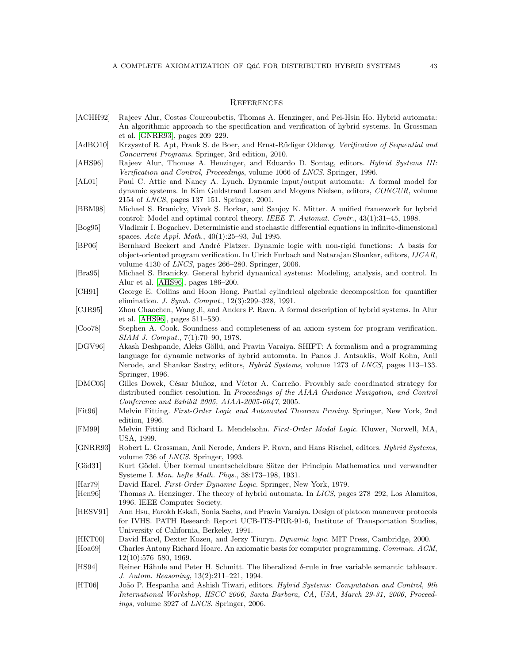### **REFERENCES**

- <span id="page-42-2"></span>[ACHH92] Rajeev Alur, Costas Courcoubetis, Thomas A. Henzinger, and Pei-Hsin Ho. Hybrid automata: An algorithmic approach to the specification and verification of hybrid systems. In Grossman et al. [\[GNRR93\]](#page-42-21), pages 209–229.
- <span id="page-42-7"></span>[AdBO10] Krzysztof R. Apt, Frank S. de Boer, and Ernst-Rüdiger Olderog. Verification of Sequential and Concurrent Programs. Springer, 3rd edition, 2010.
- <span id="page-42-22"></span>[AHS96] Rajeev Alur, Thomas A. Henzinger, and Eduardo D. Sontag, editors. *Hybrid Systems III:* Verification and Control, Proceedings, volume 1066 of LNCS. Springer, 1996.
- <span id="page-42-6"></span>[AL01] Paul C. Attie and Nancy A. Lynch. Dynamic input/output automata: A formal model for dynamic systems. In Kim Guldstrand Larsen and Mogens Nielsen, editors, CONCUR, volume 2154 of LNCS, pages 137–151. Springer, 2001.
- <span id="page-42-5"></span>[BBM98] Michael S. Branicky, Vivek S. Borkar, and Sanjoy K. Mitter. A unified framework for hybrid control: Model and optimal control theory. IEEE T. Automat. Contr., 43(1):31–45, 1998.
- <span id="page-42-13"></span>[Bog95] Vladimir I. Bogachev. Deterministic and stochastic differential equations in infinite-dimensional spaces. Acta Appl. Math., 40(1):25–93, Jul 1995.
- <span id="page-42-10"></span>[BP06] Bernhard Beckert and André Platzer. Dynamic logic with non-rigid functions: A basis for object-oriented program verification. In Ulrich Furbach and Natarajan Shankar, editors, IJCAR, volume 4130 of LNCS, pages 266–280. Springer, 2006.
- <span id="page-42-3"></span>[Bra95] Michael S. Branicky. General hybrid dynamical systems: Modeling, analysis, and control. In Alur et al. [\[AHS96\]](#page-42-22), pages 186–200.
- <span id="page-42-16"></span>[CH91] George E. Collins and Hoon Hong. Partial cylindrical algebraic decomposition for quantifier elimination. J. Symb. Comput., 12(3):299–328, 1991.
- <span id="page-42-11"></span>[CJR95] Zhou Chaochen, Wang Ji, and Anders P. Ravn. A formal description of hybrid systems. In Alur et al. [\[AHS96\]](#page-42-22), pages 511–530.

<span id="page-42-19"></span>[Coo78] Stephen A. Cook. Soundness and completeness of an axiom system for program verification. SIAM J. Comput., 7(1):70–90, 1978.

- <span id="page-42-8"></span>[DGV96] Akash Deshpande, Aleks Göllü, and Pravin Varaiya. SHIFT: A formalism and a programming language for dynamic networks of hybrid automata. In Panos J. Antsaklis, Wolf Kohn, Anil Nerode, and Shankar Sastry, editors, Hybrid Systems, volume 1273 of LNCS, pages 113–133. Springer, 1996.
- <span id="page-42-1"></span>[DMC05] Gilles Dowek, César Muñoz, and Víctor A. Carreño. Provably safe coordinated strategy for distributed conflict resolution. In Proceedings of the AIAA Guidance Navigation, and Control Conference and Exhibit 2005, AIAA-2005-6047, 2005.
- <span id="page-42-15"></span>[Fit96] Melvin Fitting. First-Order Logic and Automated Theorem Proving. Springer, New York, 2nd edition, 1996.
- <span id="page-42-12"></span>[FM99] Melvin Fitting and Richard L. Mendelsohn. First-Order Modal Logic. Kluwer, Norwell, MA, USA, 1999.
- <span id="page-42-21"></span>[GNRR93] Robert L. Grossman, Anil Nerode, Anders P. Ravn, and Hans Rischel, editors. *Hybrid Systems*, volume 736 of LNCS. Springer, 1993.
- <span id="page-42-18"></span>[Göd31] Kurt Gödel. Über formal unentscheidbare Sätze der Principia Mathematica und verwandter Systeme I. Mon. hefte Math. Phys., 38:173–198, 1931.
- <span id="page-42-20"></span>[Har79] David Harel. First-Order Dynamic Logic. Springer, New York, 1979.
- <span id="page-42-4"></span>[Hen96] Thomas A. Henzinger. The theory of hybrid automata. In LICS, pages 278–292, Los Alamitos, 1996. IEEE Computer Society.
- <span id="page-42-0"></span>[HESV91] Ann Hsu, Farokh Eskafi, Sonia Sachs, and Pravin Varaiya. Design of platoon maneuver protocols for IVHS. PATH Research Report UCB-ITS-PRR-91-6, Institute of Transportation Studies, University of California, Berkeley, 1991.
- <span id="page-42-9"></span>[HKT00] David Harel, Dexter Kozen, and Jerzy Tiuryn. Dynamic logic. MIT Press, Cambridge, 2000.
- <span id="page-42-14"></span>[Hoa69] Charles Antony Richard Hoare. An axiomatic basis for computer programming. Commun. ACM, 12(10):576–580, 1969.
- <span id="page-42-17"></span>[HS94] Reiner H¨ahnle and Peter H. Schmitt. The liberalized δ-rule in free variable semantic tableaux. J. Autom. Reasoning, 13(2):211–221, 1994.
- <span id="page-42-23"></span>[HT06] João P. Hespanha and Ashish Tiwari, editors. Hybrid Systems: Computation and Control, 9th International Workshop, HSCC 2006, Santa Barbara, CA, USA, March 29-31, 2006, Proceedings, volume 3927 of LNCS. Springer, 2006.